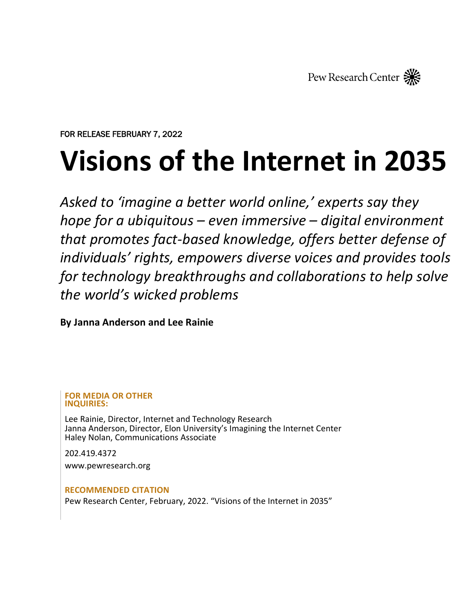

FOR RELEASE FEBRUARY 7, 2022

# **Visions of the Internet in 2035**

*Asked to 'imagine a better world online,' experts say they hope for a ubiquitous – even immersive – digital environment that promotes fact-based knowledge, offers better defense of individuals' rights, empowers diverse voices and provides tools for technology breakthroughs and collaborations to help solve the world's wicked problems*

**By Janna Anderson and Lee Rainie** 

**FOR MEDIA OR OTHER INQUIRIES:**

Lee Rainie, Director, Internet and Technology Research Janna Anderson, Director, Elon University's Imagining the Internet Center Haley Nolan, Communications Associate

202.419.4372

[www.pewresearch.org](http://www.pewresearch.org/)

**RECOMMENDED CITATION**

Pew Research Center, February, 2022. "Visions of the Internet in 2035"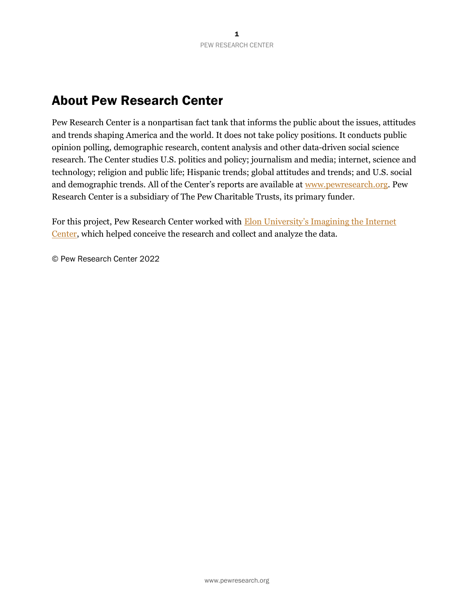# About Pew Research Center

Pew Research Center is a nonpartisan fact tank that informs the public about the issues, attitudes and trends shaping America and the world. It does not take policy positions. It conducts public opinion polling, demographic research, content analysis and other data-driven social science research. The Center studies U.S. politics and policy; journalism and media; internet, science and technology; religion and public life; Hispanic trends; global attitudes and trends; and U.S. social and demographic trends. All of the Center's reports are available at [www.pewresearch.org.](http://www.pewresearch.org/) Pew Research Center is a subsidiary of The Pew Charitable Trusts, its primary funder.

For this project, Pew Research Center worked with **Elon University's Imagining the Internet** [Center,](https://www.elon.edu/u/imagining/) which helped conceive the research and collect and analyze the data.

© Pew Research Center 2022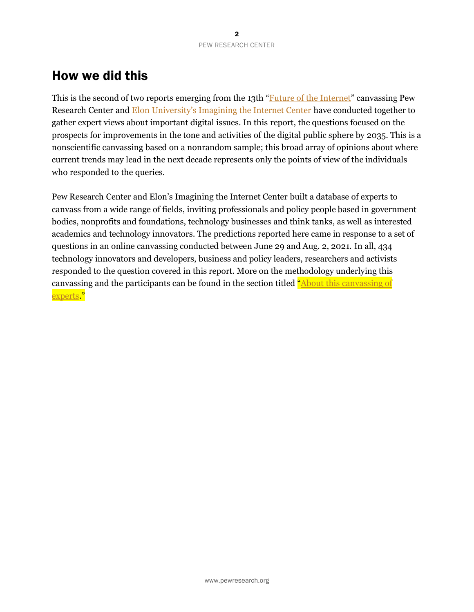# How we did this

This is the second of two reports emerging from the 13th "[Future of the Internet](https://www.pewresearch.org/topics/future-of-the-internet/)" canvassing Pew Research Center and **[Elon University's Imagining the Internet Center](https://www.elon.edu/u/imagining/) have conducted together to** gather expert views about important digital issues. In this report, the questions focused on the prospects for improvements in the tone and activities of the digital public sphere by 2035. This is a nonscientific canvassing based on a nonrandom sample; this broad array of opinions about where current trends may lead in the next decade represents only the points of view of the individuals who responded to the queries.

Pew Research Center and Elon's Imagining the Internet Center built a database of experts to canvass from a wide range of fields, inviting professionals and policy people based in government bodies, nonprofits and foundations, technology businesses and think tanks, as well as interested academics and technology innovators. The predictions reported here came in response to a set of questions in an online canvassing conducted between June 29 and Aug. 2, 2021. In all, 434 technology innovators and developers, business and policy leaders, researchers and activists responded to the question covered in this report. More on the methodology underlying this canvassing and the participants can be found in the section titled "About this canvassing of [experts.](https://www.pewresearch.org/internet/2021/11/22/future-of-digital-spaces-about-this-canvassing-of-experts/)"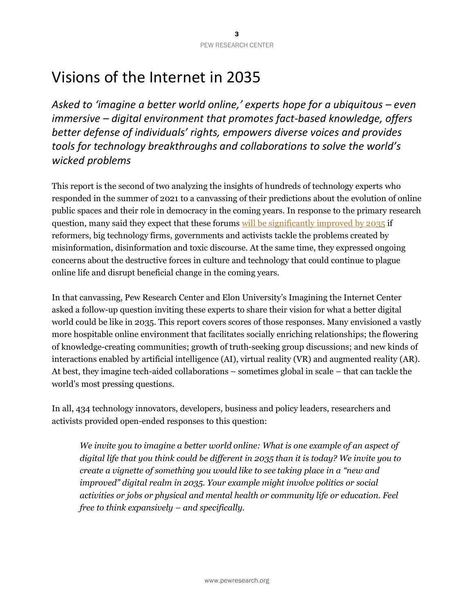# Visions of the Internet in 2035

*Asked to 'imagine a better world online,' experts hope for a ubiquitous – even immersive – digital environment that promotes fact-based knowledge, offers better defense of individuals' rights, empowers diverse voices and provides tools for technology breakthroughs and collaborations to solve the world's wicked problems*

This report is the second of two analyzing the insights of hundreds of technology experts who responded in the summer of 2021 to a canvassing of their predictions about the [evolution of online](https://www.pewresearch.org/internet/2021/11/22/the-future-of-digital-spaces-and-their-role-in-democracy/)  [public spaces](https://www.pewresearch.org/internet/2021/11/22/the-future-of-digital-spaces-and-their-role-in-democracy/) and their role in democracy in the coming years. In response to the primary research question, many said they expect that these forums will be [significantly improved](https://www.pewresearch.org/internet/2021/11/22/the-future-of-digital-spaces-and-their-role-in-democracy/) by 2035 if reformers, big technology firms, governments and activists tackle the problems created by misinformation, disinformation and toxic discourse. At the same time, they expressed ongoing concerns about the destructive forces in culture and technology that could continue to plague online life and disrupt beneficial change in the coming years.

In that canvassing, Pew Research Center and Elon University's Imagining the Internet Center asked a follow-up question inviting these experts to share their vision for what a better digital world could be like in 2035. This report covers scores of those responses. Many envisioned a vastly more hospitable online environment that facilitates socially enriching relationships; the flowering of knowledge-creating communities; growth of truth-seeking group discussions; and new kinds of interactions enabled by artificial intelligence (AI), virtual reality (VR) and augmented reality (AR). At best, they imagine tech-aided collaborations – sometimes global in scale – that can tackle the world's most pressing questions.

In all, 434 technology innovators, developers, business and policy leaders, researchers and activists provided open-ended responses to this question:

We invite you to imagine a better world online: What is one example of an aspect of *digital life that you think could be different in 2035 than it is today? We invite you to create a vignette of something you would like to see taking place in a "new and improved" digital realm in 2035. Your example might involve politics or social activities or jobs or physical and mental health or community life or education. Feel free to think expansively – and specifically.*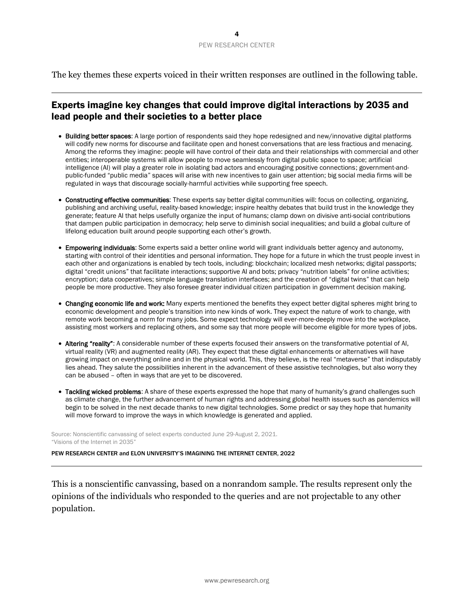The key themes these experts voiced in their written responses are outlined in the following table.

# Experts imagine key changes that could improve digital interactions by 2035 and lead people and their societies to a better place

- Building better spaces: A large portion of respondents said they hope redesigned and new/innovative digital platforms will codify new norms for discourse and facilitate open and honest conversations that are less fractious and menacing. Among the reforms they imagine: people will have control of their data and their relationships with commercial and other entities; interoperable systems will allow people to move seamlessly from digital public space to space; artificial intelligence (AI) will play a greater role in isolating bad actors and encouraging positive connections; government-andpublic-funded "public media" spaces will arise with new incentives to gain user attention; big social media firms will be regulated in ways that discourage socially-harmful activities while supporting free speech.
- Constructing effective communities: These experts say better digital communities will: focus on collecting, organizing, publishing and archiving useful, reality-based knowledge; inspire healthy debates that build trust in the knowledge they generate; feature AI that helps usefully organize the input of humans; clamp down on divisive anti-social contributions that dampen public participation in democracy; help serve to diminish social inequalities; and build a global culture of lifelong education built around people supporting each other's growth.
- Empowering individuals: Some experts said a better online world will grant individuals better agency and autonomy, starting with control of their identities and personal information. They hope for a future in which the trust people invest in each other and organizations is enabled by tech tools, including: blockchain; localized mesh networks; digital passports; digital "credit unions" that facilitate interactions; supportive AI and bots; privacy "nutrition labels" for online activities; encryption; data cooperatives; simple language translation interfaces; and the creation of "digital twins" that can help people be more productive. They also foresee greater individual citizen participation in government decision making.
- Changing economic life and work: Many experts mentioned the benefits they expect better digital spheres might bring to economic development and people's transition into new kinds of work. They expect the nature of work to change, with remote work becoming a norm for many jobs. Some expect technology will ever-more-deeply move into the workplace, assisting most workers and replacing others, and some say that more people will become eligible for more types of jobs.
- Altering "reality": A considerable number of these experts focused their answers on the transformative potential of AI, virtual reality (VR) and augmented reality (AR). They expect that these digital enhancements or alternatives will have growing impact on everything online and in the physical world. This, they believe, is the real "metaverse" that indisputably lies ahead. They salute the possibilities inherent in the advancement of these assistive technologies, but also worry they can be abused – often in ways that are yet to be discovered.
- Tackling wicked problems: A share of these experts expressed the hope that many of humanity's grand challenges such as climate change, the further advancement of human rights and addressing global health issues such as pandemics will begin to be solved in the next decade thanks to new digital technologies. Some predict or say they hope that humanity will move forward to improve the ways in which knowledge is generated and applied.

Source: Nonscientific canvassing of select experts conducted June 29-August 2, 2021. "Visions of the Internet in 2035" **Example 10** and the internet in 2035"

PEW RESEARCH CENTER and ELON UNIVERSITY'S IMAGINING THE INTERNET CENTER, 2022

It would improve their interactions with government and health services, businesses and other entities. Subheadlines: This is a nonscientific canvassing, based on a nonrandom sample. The results represent only the  $\mathbf{r}_{\text{in}}$ impact on the world of 2035, possibly completely transforming society in ways that are yet to be discovered. opinions of the individuals who responded to the queries and are not projectable to any other population.

 $\mathcal{L}_{\mathcal{A}}$  better online world world would grant individuals better privacy and control over the individuals better privacy and control over the individuals better personal data. In the individual data. In the individ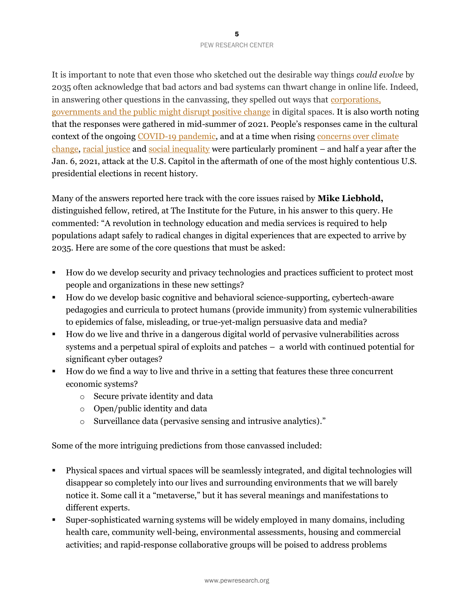It is important to note that even those who sketched out the desirable way things *could evolve* by 2035 often acknowledge that bad actors and bad systems can thwart change in online life. Indeed, in answering other questions in the canvassing, they spelled out ways that [corporations,](https://www.pewresearch.org/internet/2021/11/22/large-improvement-of-digital-spaces-is-unlikely-by-2035-human-frailties-will-remain-the-same-corporations-governments-and-the-public-will-not-be-able-to-make-reforms/)  [governments and the public might disrupt positive change](https://www.pewresearch.org/internet/2021/11/22/large-improvement-of-digital-spaces-is-unlikely-by-2035-human-frailties-will-remain-the-same-corporations-governments-and-the-public-will-not-be-able-to-make-reforms/) in digital spaces. It is also worth noting that the responses were gathered in mid-summer of 2021. People's responses came in the cultural context of the ongoing [COVID-19 pandemic,](https://www.pewresearch.org/topic/coronavirus-disease-covid-19/) and at a time when risin[g concerns over climate](https://www.ipcc.ch/2021/08/09/ar6-wg1-20210809-pr/)  [change,](https://www.ipcc.ch/2021/08/09/ar6-wg1-20210809-pr/) [racial justice](https://www.edelman.com/trust/2021-trust-barometer/business-racial-justice) and [social inequality](https://www.theguardian.com/commentisfree/2021/aug/17/american-chief-executive-pay-wages-workers) were particularly prominent – and half a year after the Jan. 6, 2021, attack at the U.S. Capitol in the aftermath of one of the most highly contentious U.S. presidential elections in recent history.

Many of the answers reported here track with the core issues raised by **Mike Liebhold,** distinguished fellow, retired, at The Institute for the Future, in his answer to this query. He commented: "A revolution in technology education and media services is required to help populations adapt safely to radical changes in digital experiences that are expected to arrive by 2035. Here are some of the core questions that must be asked:

- How do we develop security and privacy technologies and practices sufficient to protect most people and organizations in these new settings?
- How do we develop basic cognitive and behavioral science-supporting, cybertech-aware pedagogies and curricula to protect humans (provide immunity) from systemic vulnerabilities to epidemics of false, misleading, or true-yet-malign persuasive data and media?
- How do we live and thrive in a dangerous digital world of pervasive vulnerabilities across systems and a perpetual spiral of exploits and patches – a world with continued potential for significant cyber outages?
- How do we find a way to live and thrive in a setting that features these three concurrent economic systems?
	- o Secure private identity and data
	- o Open/public identity and data
	- o Surveillance data (pervasive sensing and intrusive analytics)."

Some of the more intriguing predictions from those canvassed included:

- Physical spaces and virtual spaces will be seamlessly integrated, and digital technologies will disappear so completely into our lives and surrounding environments that we will barely notice it. Some call it a "metaverse," but it has several meanings and manifestations to different experts.
- Super-sophisticated warning systems will be widely employed in many domains, including health care, community well-being, environmental assessments, housing and commercial activities; and rapid-response collaborative groups will be poised to address problems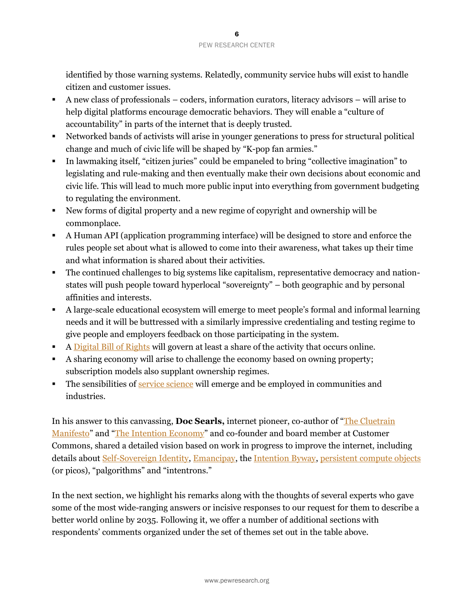identified by those warning systems. Relatedly, community service hubs will exist to handle citizen and customer issues.

- A new class of professionals coders, information curators, literacy advisors will arise to help digital platforms encourage democratic behaviors. They will enable a "culture of accountability" in parts of the internet that is deeply trusted.
- Networked bands of activists will arise in younger generations to press for structural political change and much of civic life will be shaped by "K-pop fan armies."
- In lawmaking itself, "citizen juries" could be empaneled to bring "collective imagination" to legislating and rule-making and then eventually make their own decisions about economic and civic life. This will lead to much more public input into everything from government budgeting to regulating the environment.
- New forms of digital property and a new regime of copyright and ownership will be commonplace.
- A Human API (application programming interface) will be designed to store and enforce the rules people set about what is allowed to come into their awareness, what takes up their time and what information is shared about their activities.
- **•** The continued challenges to big systems like capitalism, representative democracy and nationstates will push people toward hyperlocal "sovereignty" – both geographic and by personal affinities and interests.
- A large-scale educational ecosystem will emerge to meet people's formal and informal learning needs and it will be buttressed with a similarly impressive credentialing and testing regime to give people and employers feedback on those participating in the system.
- A [Digital Bill of Rights](https://khanna.house.gov/media/press-releases/release-rep-khanna-releases-internet-bill-rights-principles-endorsed-sir-tim) will govern at least a share of the activity that occurs online.
- A sharing economy will arise to challenge the economy based on owning property; subscription models also supplant ownership regimes.
- **The sensibilities o[f service science](https://en.wikipedia.org/wiki/Service_science,_management_and_engineering)** will emerge and be employed in communities and industries.

In his answer to this canvassing, **Doc Searls,** internet pioneer, co-author of "[The Cluetrain](https://www.goodreads.com/book/show/81195.The_Cluetrain_Manifesto?from_search=true&from_srp=true&qid=8UxRjTT2gG&rank=1)  [Manifesto](https://www.goodreads.com/book/show/81195.The_Cluetrain_Manifesto?from_search=true&from_srp=true&qid=8UxRjTT2gG&rank=1)" and "[The Intention Economy](https://www.goodreads.com/book/show/12968836-the-intention-economy?from_search=true&from_srp=true&qid=frVMwQ09gZ&rank=1)" and co-founder and board member at Customer Commons, shared a detailed vision based on work in progress to improve the internet, including details about [Self-Sovereign Identity,](https://www.sciencedirect.com/science/article/abs/pii/S1574013718301217) [Emancipay,](https://www.linuxjournal.com/content/immodest-proposal-music-industry) th[e Intention Byway,](https://blogs.harvard.edu/vrm/2021/05/05/a-new-way/) [persistent compute objects](https://picolabs.atlassian.net/wiki/spaces/docs/pages/1189992/Persistent+Compute+Objects) (or picos), "palgorithms" and "intentrons."

In the next section, we highlight his remarks along with the thoughts of several experts who gave some of the most wide-ranging answers or incisive responses to our request for them to describe a better world online by 2035. Following it, we offer a number of additional sections with respondents' comments organized under the set of themes set out in the table above.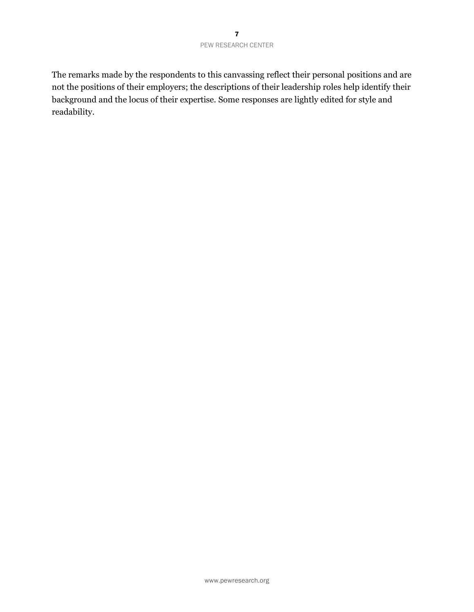The remarks made by the respondents to this canvassing reflect their personal positions and are not the positions of their employers; the descriptions of their leadership roles help identify their background and the locus of their expertise. Some responses are lightly edited for style and readability.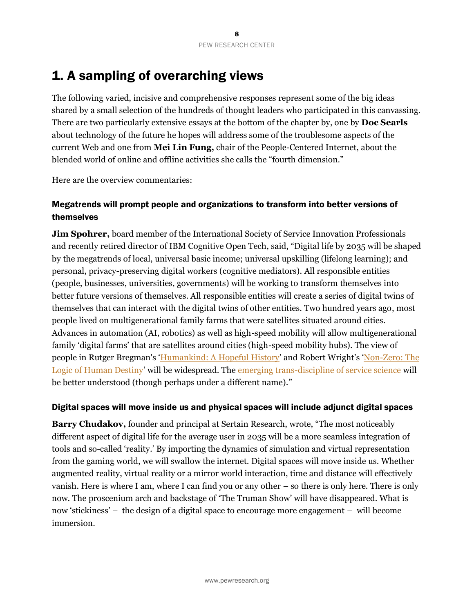# 1. A sampling of overarching views

The following varied, incisive and comprehensive responses represent some of the big ideas shared by a small selection of the hundreds of thought leaders who participated in this canvassing. There are two particularly extensive essays at the bottom of the chapter by, one by **Doc Searls** about technology of the future he hopes will address some of the troublesome aspects of the current Web and one from **Mei Lin Fung,** chair of the People-Centered Internet, about the blended world of online and offline activities she calls the "fourth dimension."

Here are the overview commentaries:

## Megatrends will prompt people and organizations to transform into better versions of themselves

**Jim Spohrer,** board member of the International Society of Service Innovation Professionals and recently retired director of IBM Cognitive Open Tech, said, "Digital life by 2035 will be shaped by the megatrends of local, universal basic income; universal upskilling (lifelong learning); and personal, privacy-preserving digital workers (cognitive mediators). All responsible entities (people, businesses, universities, governments) will be working to transform themselves into better future versions of themselves. All responsible entities will create a series of digital twins of themselves that can interact with the digital twins of other entities. Two hundred years ago, most people lived on multigenerational family farms that were satellites situated around cities. Advances in automation (AI, robotics) as well as high-speed mobility will allow multigenerational family 'digital farms' that are satellites around cities (high-speed mobility hubs). The view of people in Rutger Bregman's '[Humankind: A Hopeful History](https://www.theguardian.com/books/2020/may/12/humankind-a-hopeful-history-by-rutger-bregman-review)' and Robert Wright's '[Non-Zero: The](https://www.goodreads.com/book/show/9526993-nonzero)  [Logic of Human Destiny](https://www.goodreads.com/book/show/9526993-nonzero)' will be widespread. The [emerging trans-discipline of service science](https://en.wikipedia.org/wiki/Service_science,_management_and_engineering) will be better understood (though perhaps under a different name)."

#### Digital spaces will move inside us and physical spaces will include adjunct digital spaces

**Barry Chudakov,** founder and principal at Sertain Research, wrote, "The most noticeably different aspect of digital life for the average user in 2035 will be a more seamless integration of tools and so-called 'reality.' By importing the dynamics of simulation and virtual representation from the gaming world, we will swallow the internet. Digital spaces will move inside us. Whether augmented reality, virtual reality or a mirror world interaction, time and distance will effectively vanish. Here is where I am, where I can find you or any other – so there is only here. There is only now. The proscenium arch and backstage of 'The Truman Show' will have disappeared. What is now 'stickiness' – the design of a digital space to encourage more engagement – will become immersion.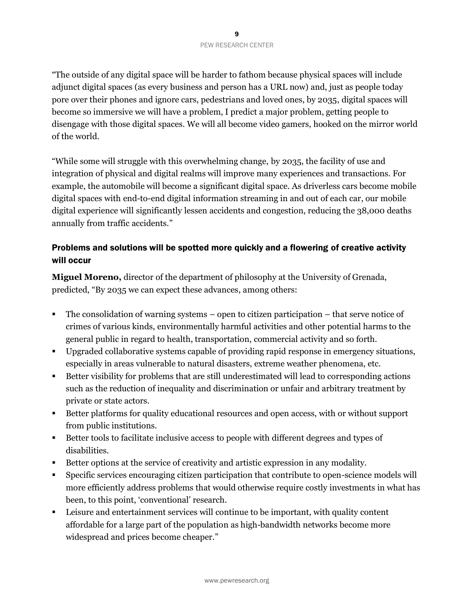"The outside of any digital space will be harder to fathom because physical spaces will include adjunct digital spaces (as every business and person has a URL now) and, just as people today pore over their phones and ignore cars, pedestrians and loved ones, by 2035, digital spaces will become so immersive we will have a problem, I predict a major problem, getting people to disengage with those digital spaces. We will all become video gamers, hooked on the mirror world of the world.

"While some will struggle with this overwhelming change, by 2035, the facility of use and integration of physical and digital realms will improve many experiences and transactions. For example, the automobile will become a significant digital space. As driverless cars become mobile digital spaces with end-to-end digital information streaming in and out of each car, our mobile digital experience will significantly lessen accidents and congestion, reducing the 38,000 deaths annually from traffic accidents."

## Problems and solutions will be spotted more quickly and a flowering of creative activity will occur

**Miguel Moreno,** director of the department of philosophy at the University of Grenada, predicted, "By 2035 we can expect these advances, among others:

- The consolidation of warning systems open to citizen participation that serve notice of crimes of various kinds, environmentally harmful activities and other potential harms to the general public in regard to health, transportation, commercial activity and so forth.
- Upgraded collaborative systems capable of providing rapid response in emergency situations, especially in areas vulnerable to natural disasters, extreme weather phenomena, etc.
- Better visibility for problems that are still underestimated will lead to corresponding actions such as the reduction of inequality and discrimination or unfair and arbitrary treatment by private or state actors.
- Better platforms for quality educational resources and open access, with or without support from public institutions.
- Better tools to facilitate inclusive access to people with different degrees and types of disabilities.
- Better options at the service of creativity and artistic expression in any modality.
- Specific services encouraging citizen participation that contribute to open-science models will more efficiently address problems that would otherwise require costly investments in what has been, to this point, 'conventional' research.
- Leisure and entertainment services will continue to be important, with quality content affordable for a large part of the population as high-bandwidth networks become more widespread and prices become cheaper."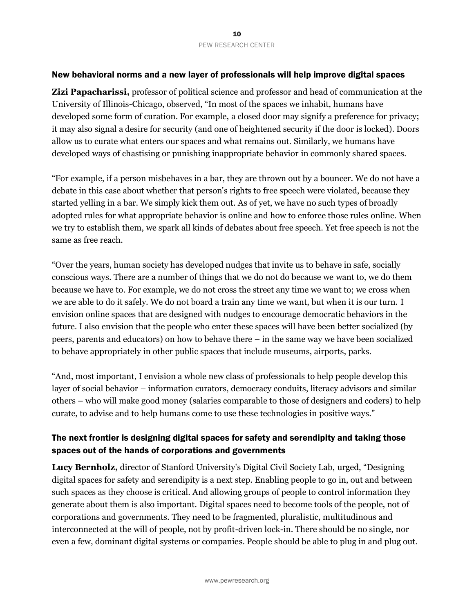#### New behavioral norms and a new layer of professionals will help improve digital spaces

**Zizi Papacharissi,** professor of political science and professor and head of communication at the University of Illinois-Chicago, observed, "In most of the spaces we inhabit, humans have developed some form of curation. For example, a closed door may signify a preference for privacy; it may also signal a desire for security (and one of heightened security if the door is locked). Doors allow us to curate what enters our spaces and what remains out. Similarly, we humans have developed ways of chastising or punishing inappropriate behavior in commonly shared spaces.

"For example, if a person misbehaves in a bar, they are thrown out by a bouncer. We do not have a debate in this case about whether that person's rights to free speech were violated, because they started yelling in a bar. We simply kick them out. As of yet, we have no such types of broadly adopted rules for what appropriate behavior is online and how to enforce those rules online. When we try to establish them, we spark all kinds of debates about free speech. Yet free speech is not the same as free reach.

"Over the years, human society has developed nudges that invite us to behave in safe, socially conscious ways. There are a number of things that we do not do because we want to, we do them because we have to. For example, we do not cross the street any time we want to; we cross when we are able to do it safely. We do not board a train any time we want, but when it is our turn. I envision online spaces that are designed with nudges to encourage democratic behaviors in the future. I also envision that the people who enter these spaces will have been better socialized (by peers, parents and educators) on how to behave there – in the same way we have been socialized to behave appropriately in other public spaces that include museums, airports, parks.

"And, most important, I envision a whole new class of professionals to help people develop this layer of social behavior – information curators, democracy conduits, literacy advisors and similar others – who will make good money (salaries comparable to those of designers and coders) to help curate, to advise and to help humans come to use these technologies in positive ways."

## The next frontier is designing digital spaces for safety and serendipity and taking those spaces out of the hands of corporations and governments

**Lucy Bernholz,** director of Stanford University's Digital Civil Society Lab, urged, "Designing digital spaces for safety and serendipity is a next step. Enabling people to go in, out and between such spaces as they choose is critical. And allowing groups of people to control information they generate about them is also important. Digital spaces need to become tools of the people, not of corporations and governments. They need to be fragmented, pluralistic, multitudinous and interconnected at the will of people, not by profit-driven lock-in. There should be no single, nor even a few, dominant digital systems or companies. People should be able to plug in and plug out.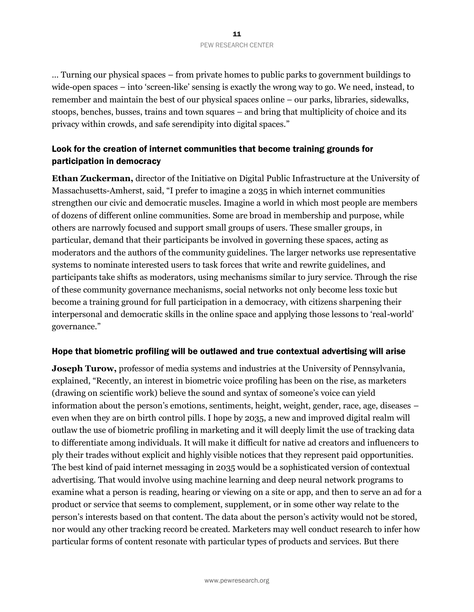… Turning our physical spaces – from private homes to public parks to government buildings to wide-open spaces – into 'screen-like' sensing is exactly the wrong way to go. We need, instead, to remember and maintain the best of our physical spaces online – our parks, libraries, sidewalks, stoops, benches, busses, trains and town squares – and bring that multiplicity of choice and its privacy within crowds, and safe serendipity into digital spaces."

# Look for the creation of internet communities that become training grounds for participation in democracy

**Ethan Zuckerman,** director of the Initiative on Digital Public Infrastructure at the University of Massachusetts-Amherst, said, "I prefer to imagine a 2035 in which internet communities strengthen our civic and democratic muscles. Imagine a world in which most people are members of dozens of different online communities. Some are broad in membership and purpose, while others are narrowly focused and support small groups of users. These smaller groups, in particular, demand that their participants be involved in governing these spaces, acting as moderators and the authors of the community guidelines. The larger networks use representative systems to nominate interested users to task forces that write and rewrite guidelines, and participants take shifts as moderators, using mechanisms similar to jury service. Through the rise of these community governance mechanisms, social networks not only become less toxic but become a training ground for full participation in a democracy, with citizens sharpening their interpersonal and democratic skills in the online space and applying those lessons to 'real-world' governance."

#### Hope that biometric profiling will be outlawed and true contextual advertising will arise

**Joseph Turow,** professor of media systems and industries at the University of Pennsylvania, explained, "Recently, an interest in biometric voice profiling has been on the rise, as marketers (drawing on scientific work) believe the sound and syntax of someone's voice can yield information about the person's emotions, sentiments, height, weight, gender, race, age, diseases – even when they are on birth control pills. I hope by 2035, a new and improved digital realm will outlaw the use of biometric profiling in marketing and it will deeply limit the use of tracking data to differentiate among individuals. It will make it difficult for native ad creators and influencers to ply their trades without explicit and highly visible notices that they represent paid opportunities. The best kind of paid internet messaging in 2035 would be a sophisticated version of contextual advertising. That would involve using machine learning and deep neural network programs to examine what a person is reading, hearing or viewing on a site or app, and then to serve an ad for a product or service that seems to complement, supplement, or in some other way relate to the person's interests based on that content. The data about the person's activity would not be stored, nor would any other tracking record be created. Marketers may well conduct research to infer how particular forms of content resonate with particular types of products and services. But there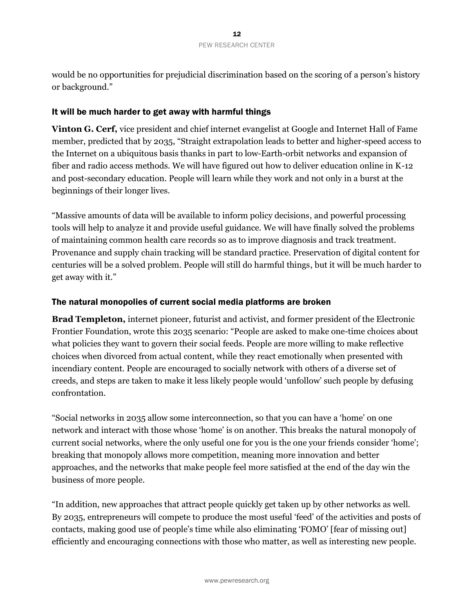would be no opportunities for prejudicial discrimination based on the scoring of a person's history or background."

#### It will be much harder to get away with harmful things

**Vinton G. Cerf,** vice president and chief internet evangelist at Google and Internet Hall of Fame member, predicted that by 2035, "Straight extrapolation leads to better and higher-speed access to the Internet on a ubiquitous basis thanks in part to low-Earth-orbit networks and expansion of fiber and radio access methods. We will have figured out how to deliver education online in K-12 and post-secondary education. People will learn while they work and not only in a burst at the beginnings of their longer lives.

"Massive amounts of data will be available to inform policy decisions, and powerful processing tools will help to analyze it and provide useful guidance. We will have finally solved the problems of maintaining common health care records so as to improve diagnosis and track treatment. Provenance and supply chain tracking will be standard practice. Preservation of digital content for centuries will be a solved problem. People will still do harmful things, but it will be much harder to get away with it."

#### The natural monopolies of current social media platforms are broken

**Brad Templeton,** internet pioneer, futurist and activist, and former president of the Electronic Frontier Foundation, wrote this 2035 scenario: "People are asked to make one-time choices about what policies they want to govern their social feeds. People are more willing to make reflective choices when divorced from actual content, while they react emotionally when presented with incendiary content. People are encouraged to socially network with others of a diverse set of creeds, and steps are taken to make it less likely people would 'unfollow' such people by defusing confrontation.

"Social networks in 2035 allow some interconnection, so that you can have a 'home' on one network and interact with those whose 'home' is on another. This breaks the natural monopoly of current social networks, where the only useful one for you is the one your friends consider 'home'; breaking that monopoly allows more competition, meaning more innovation and better approaches, and the networks that make people feel more satisfied at the end of the day win the business of more people.

"In addition, new approaches that attract people quickly get taken up by other networks as well. By 2035, entrepreneurs will compete to produce the most useful 'feed' of the activities and posts of contacts, making good use of people's time while also eliminating 'FOMO' [fear of missing out] efficiently and encouraging connections with those who matter, as well as interesting new people.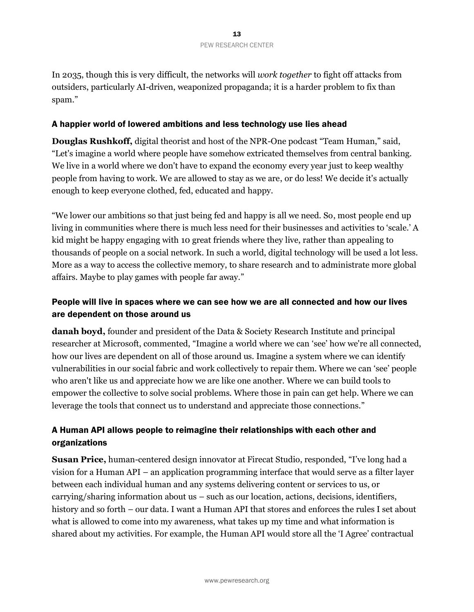In 2035, though this is very difficult, the networks will *work together* to fight off attacks from outsiders, particularly AI-driven, weaponized propaganda; it is a harder problem to fix than spam."

#### A happier world of lowered ambitions and less technology use lies ahead

**Douglas Rushkoff,** digital theorist and host of the NPR-One podcast "Team Human," said, "Let's imagine a world where people have somehow extricated themselves from central banking. We live in a world where we don't have to expand the economy every year just to keep wealthy people from having to work. We are allowed to stay as we are, or do less! We decide it's actually enough to keep everyone clothed, fed, educated and happy.

"We lower our ambitions so that just being fed and happy is all we need. So, most people end up living in communities where there is much less need for their businesses and activities to 'scale.' A kid might be happy engaging with 10 great friends where they live, rather than appealing to thousands of people on a social network. In such a world, digital technology will be used a lot less. More as a way to access the collective memory, to share research and to administrate more global affairs. Maybe to play games with people far away."

# People will live in spaces where we can see how we are all connected and how our lives are dependent on those around us

**danah boyd,** founder and president of the Data & Society Research Institute and principal researcher at Microsoft, commented, "Imagine a world where we can 'see' how we're all connected, how our lives are dependent on all of those around us. Imagine a system where we can identify vulnerabilities in our social fabric and work collectively to repair them. Where we can 'see' people who aren't like us and appreciate how we are like one another. Where we can build tools to empower the collective to solve social problems. Where those in pain can get help. Where we can leverage the tools that connect us to understand and appreciate those connections."

# A Human API allows people to reimagine their relationships with each other and organizations

**Susan Price,** human-centered design innovator at Firecat Studio, responded, "I've long had a vision for a Human API – an application programming interface that would serve as a filter layer between each individual human and any systems delivering content or services to us, or carrying/sharing information about us – such as our location, actions, decisions, identifiers, history and so forth – our data. I want a Human API that stores and enforces the rules I set about what is allowed to come into my awareness, what takes up my time and what information is shared about my activities. For example, the Human API would store all the 'I Agree' contractual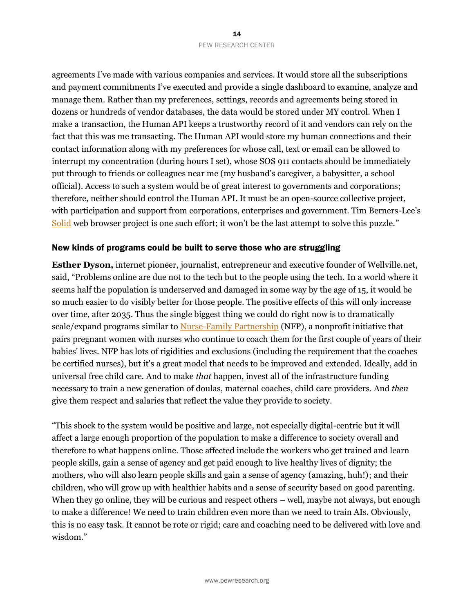agreements I've made with various companies and services. It would store all the subscriptions and payment commitments I've executed and provide a single dashboard to examine, analyze and manage them. Rather than my preferences, settings, records and agreements being stored in dozens or hundreds of vendor databases, the data would be stored under MY control. When I make a transaction, the Human API keeps a trustworthy record of it and vendors can rely on the fact that this was me transacting. The Human API would store my human connections and their contact information along with my preferences for whose call, text or email can be allowed to interrupt my concentration (during hours I set), whose SOS 911 contacts should be immediately put through to friends or colleagues near me (my husband's caregiver, a babysitter, a school official). Access to such a system would be of great interest to governments and corporations; therefore, neither should control the Human API. It must be an open-source collective project, with participation and support from corporations, enterprises and government. Tim Berners-Lee's [Solid](https://solidproject.org/) web browser project is one such effort; it won't be the last attempt to solve this puzzle."

#### New kinds of programs could be built to serve those who are struggling

**Esther Dyson,** internet pioneer, journalist, entrepreneur and executive founder of Wellville.net, said, "Problems online are due not to the tech but to the people using the tech. In a world where it seems half the population is underserved and damaged in some way by the age of 15, it would be so much easier to do visibly better for those people. The positive effects of this will only increase over time, after 2035. Thus the single biggest thing we could do right now is to dramatically scale/expand programs similar t[o Nurse-Family Partnership](https://www.nursefamilypartnership.org/) (NFP), a nonprofit initiative that pairs pregnant women with nurses who continue to coach them for the first couple of years of their babies' lives. NFP has lots of rigidities and exclusions (including the requirement that the coaches be certified nurses), but it's a great model that needs to be improved and extended. Ideally, add in universal free child care. And to make *that* happen, invest all of the infrastructure funding necessary to train a new generation of doulas, maternal coaches, child care providers. And *then* give them respect and salaries that reflect the value they provide to society.

"This shock to the system would be positive and large, not especially digital-centric but it will affect a large enough proportion of the population to make a difference to society overall and therefore to what happens online. Those affected include the workers who get trained and learn people skills, gain a sense of agency and get paid enough to live healthy lives of dignity; the mothers, who will also learn people skills and gain a sense of agency (amazing, huh!); and their children, who will grow up with healthier habits and a sense of security based on good parenting. When they go online, they will be curious and respect others – well, maybe not always, but enough to make a difference! We need to train children even more than we need to train AIs. Obviously, this is no easy task. It cannot be rote or rigid; care and coaching need to be delivered with love and wisdom."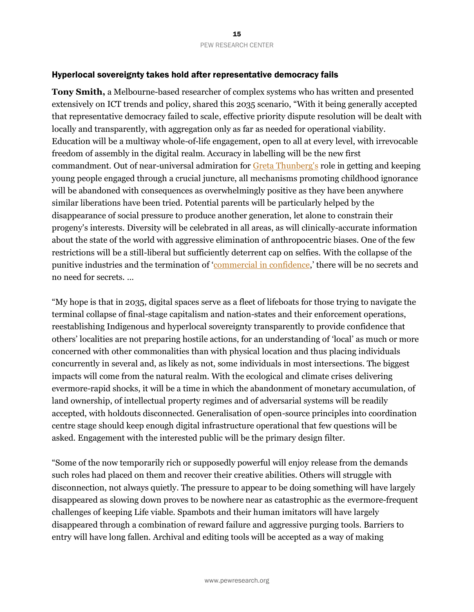#### Hyperlocal sovereignty takes hold after representative democracy fails

**Tony Smith,** a Melbourne-based researcher of complex systems who has written and presented extensively on ICT trends and policy, shared this 2035 scenario, "With it being generally accepted that representative democracy failed to scale, effective priority dispute resolution will be dealt with locally and transparently, with aggregation only as far as needed for operational viability. Education will be a multiway whole-of-life engagement, open to all at every level, with irrevocable freedom of assembly in the digital realm. Accuracy in labelling will be the new first commandment. Out of near-universal admiration fo[r Greta Thunberg's](https://en.wikipedia.org/wiki/Greta_Thunberg) role in getting and keeping young people engaged through a crucial juncture, all mechanisms promoting childhood ignorance will be abandoned with consequences as overwhelmingly positive as they have been anywhere similar liberations have been tried. Potential parents will be particularly helped by the disappearance of social pressure to produce another generation, let alone to constrain their progeny's interests. Diversity will be celebrated in all areas, as will clinically-accurate information about the state of the world with aggressive elimination of anthropocentric biases. One of the few restrictions will be a still-liberal but sufficiently deterrent cap on selfies. With the collapse of the punitive industries and the termination of '[commercial in confidence](https://www.oxfordreference.com/view/10.1093/oi/authority.20110803095627773),' there will be no secrets and no need for secrets. …

"My hope is that in 2035, digital spaces serve as a fleet of lifeboats for those trying to navigate the terminal collapse of final-stage capitalism and nation-states and their enforcement operations, reestablishing Indigenous and hyperlocal sovereignty transparently to provide confidence that others' localities are not preparing hostile actions, for an understanding of 'local' as much or more concerned with other commonalities than with physical location and thus placing individuals concurrently in several and, as likely as not, some individuals in most intersections. The biggest impacts will come from the natural realm. With the ecological and climate crises delivering evermore-rapid shocks, it will be a time in which the abandonment of monetary accumulation, of land ownership, of intellectual property regimes and of adversarial systems will be readily accepted, with holdouts disconnected. Generalisation of open-source principles into coordination centre stage should keep enough digital infrastructure operational that few questions will be asked. Engagement with the interested public will be the primary design filter.

"Some of the now temporarily rich or supposedly powerful will enjoy release from the demands such roles had placed on them and recover their creative abilities. Others will struggle with disconnection, not always quietly. The pressure to appear to be doing something will have largely disappeared as slowing down proves to be nowhere near as catastrophic as the evermore-frequent challenges of keeping Life viable. Spambots and their human imitators will have largely disappeared through a combination of reward failure and aggressive purging tools. Barriers to entry will have long fallen. Archival and editing tools will be accepted as a way of making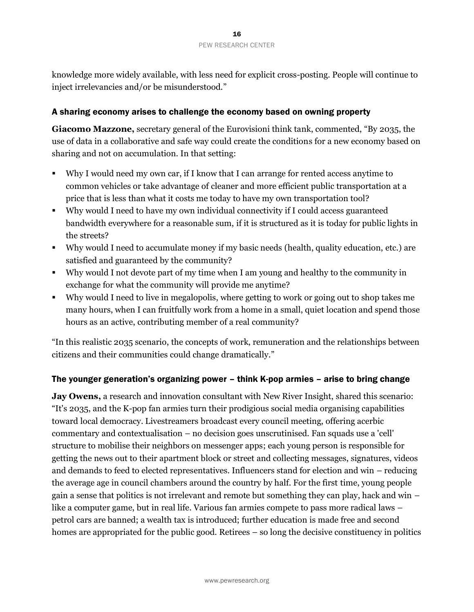knowledge more widely available, with less need for explicit cross-posting. People will continue to inject irrelevancies and/or be misunderstood."

#### A sharing economy arises to challenge the economy based on owning property

**Giacomo Mazzone,** secretary general of the Eurovisioni think tank, commented, "By 2035, the use of data in a collaborative and safe way could create the conditions for a new economy based on sharing and not on accumulation. In that setting:

- Why I would need my own car, if I know that I can arrange for rented access anytime to common vehicles or take advantage of cleaner and more efficient public transportation at a price that is less than what it costs me today to have my own transportation tool?
- Why would I need to have my own individual connectivity if I could access guaranteed bandwidth everywhere for a reasonable sum, if it is structured as it is today for public lights in the streets?
- Why would I need to accumulate money if my basic needs (health, quality education, etc.) are satisfied and guaranteed by the community?
- Why would I not devote part of my time when I am young and healthy to the community in exchange for what the community will provide me anytime?
- Why would I need to live in megalopolis, where getting to work or going out to shop takes me many hours, when I can fruitfully work from a home in a small, quiet location and spend those hours as an active, contributing member of a real community?

"In this realistic 2035 scenario, the concepts of work, remuneration and the relationships between citizens and their communities could change dramatically."

#### The younger generation's organizing power – think K-pop armies – arise to bring change

**Jay Owens,** a research and innovation consultant with New River Insight, shared this scenario: "It's 2035, and the K-pop fan armies turn their prodigious social media organising capabilities toward local democracy. Livestreamers broadcast every council meeting, offering acerbic commentary and contextualisation – no decision goes unscrutinised. Fan squads use a 'cell' structure to mobilise their neighbors on messenger apps; each young person is responsible for getting the news out to their apartment block or street and collecting messages, signatures, videos and demands to feed to elected representatives. Influencers stand for election and win – reducing the average age in council chambers around the country by half. For the first time, young people gain a sense that politics is not irrelevant and remote but something they can play, hack and win – like a computer game, but in real life. Various fan armies compete to pass more radical laws – petrol cars are banned; a wealth tax is introduced; further education is made free and second homes are appropriated for the public good. Retirees – so long the decisive constituency in politics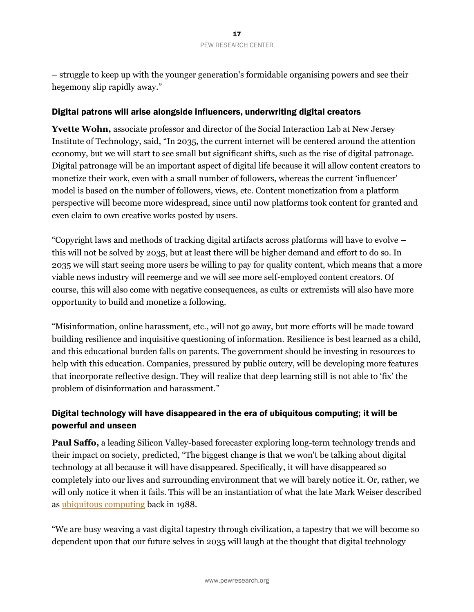– struggle to keep up with the younger generation's formidable organising powers and see their hegemony slip rapidly away."

#### Digital patrons will arise alongside influencers, underwriting digital creators

**Yvette Wohn,** associate professor and director of the Social Interaction Lab at New Jersey Institute of Technology, said, "In 2035, the current internet will be centered around the attention economy, but we will start to see small but significant shifts, such as the rise of digital patronage. Digital patronage will be an important aspect of digital life because it will allow content creators to monetize their work, even with a small number of followers, whereas the current 'influencer' model is based on the number of followers, views, etc. Content monetization from a platform perspective will become more widespread, since until now platforms took content for granted and even claim to own creative works posted by users.

"Copyright laws and methods of tracking digital artifacts across platforms will have to evolve – this will not be solved by 2035, but at least there will be higher demand and effort to do so. In 2035 we will start seeing more users be willing to pay for quality content, which means that a more viable news industry will reemerge and we will see more self-employed content creators. Of course, this will also come with negative consequences, as cults or extremists will also have more opportunity to build and monetize a following.

"Misinformation, online harassment, etc., will not go away, but more efforts will be made toward building resilience and inquisitive questioning of information. Resilience is best learned as a child, and this educational burden falls on parents. The government should be investing in resources to help with this education. Companies, pressured by public outcry, will be developing more features that incorporate reflective design. They will realize that deep learning still is not able to 'fix' the problem of disinformation and harassment."

# Digital technology will have disappeared in the era of ubiquitous computing; it will be powerful and unseen

**Paul Saffo,** a leading Silicon Valley-based forecaster exploring long-term technology trends and their impact on society, predicted, "The biggest change is that we won't be talking about digital technology at all because it will have disappeared. Specifically, it will have disappeared so completely into our lives and surrounding environment that we will barely notice it. Or, rather, we will only notice it when it fails. This will be an instantiation of what the late Mark Weiser described as [ubiquitous computing](https://www.ics.uci.edu/~corps/phaseii/Weiser-Computer21stCentury-SciAm.pdf) back in 1988.

"We are busy weaving a vast digital tapestry through civilization, a tapestry that we will become so dependent upon that our future selves in 2035 will laugh at the thought that digital technology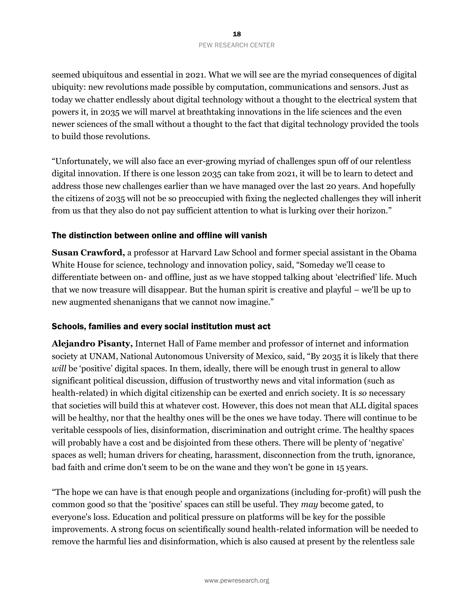seemed ubiquitous and essential in 2021. What we will see are the myriad consequences of digital ubiquity: new revolutions made possible by computation, communications and sensors. Just as today we chatter endlessly about digital technology without a thought to the electrical system that powers it, in 2035 we will marvel at breathtaking innovations in the life sciences and the even newer sciences of the small without a thought to the fact that digital technology provided the tools to build those revolutions.

"Unfortunately, we will also face an ever-growing myriad of challenges spun off of our relentless digital innovation. If there is one lesson 2035 can take from 2021, it will be to learn to detect and address those new challenges earlier than we have managed over the last 20 years. And hopefully the citizens of 2035 will not be so preoccupied with fixing the neglected challenges they will inherit from us that they also do not pay sufficient attention to what is lurking over their horizon."

#### The distinction between online and offline will vanish

**Susan Crawford,** a professor at Harvard Law School and former special assistant in the Obama White House for science, technology and innovation policy, said, "Someday we'll cease to differentiate between on- and offline, just as we have stopped talking about 'electrified' life. Much that we now treasure will disappear. But the human spirit is creative and playful – we'll be up to new augmented shenanigans that we cannot now imagine."

#### Schools, families and every social institution must act

**Alejandro Pisanty,** Internet Hall of Fame member and professor of internet and information society at UNAM, National Autonomous University of Mexico, said, "By 2035 it is likely that there *will* be 'positive' digital spaces. In them, ideally, there will be enough trust in general to allow significant political discussion, diffusion of trustworthy news and vital information (such as health-related) in which digital citizenship can be exerted and enrich society. It is *so* necessary that societies will build this at whatever cost. However, this does not mean that ALL digital spaces will be healthy, nor that the healthy ones will be the ones we have today. There will continue to be veritable cesspools of lies, disinformation, discrimination and outright crime. The healthy spaces will probably have a cost and be disjointed from these others. There will be plenty of 'negative' spaces as well; human drivers for cheating, harassment, disconnection from the truth, ignorance, bad faith and crime don't seem to be on the wane and they won't be gone in 15 years.

"The hope we can have is that enough people and organizations (including for-profit) will push the common good so that the 'positive' spaces can still be useful. They *may* become gated, to everyone's loss. Education and political pressure on platforms will be key for the possible improvements. A strong focus on scientifically sound health-related information will be needed to remove the harmful lies and disinformation, which is also caused at present by the relentless sale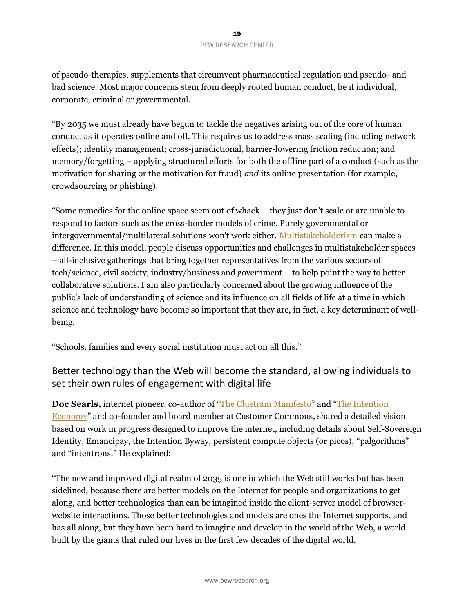of pseudo-therapies, supplements that circumvent pharmaceutical regulation and pseudo- and bad science. Most major concerns stem from deeply rooted human conduct, be it individual, corporate, criminal or governmental.

"By 2035 we must already have begun to tackle the negatives arising out of the core of human conduct as it operates online and off. This requires us to address mass scaling (including network effects); identity management; cross-jurisdictional, barrier-lowering friction reduction; and memory/forgetting – applying structured efforts for both the offline part of a conduct (such as the motivation for sharing or the motivation for fraud) *and* its online presentation (for example, crowdsourcing or phishing).

"Some remedies for the online space seem out of whack – they just don't scale or are unable to respond to factors such as the cross-border models of crime. Purely governmental or intergovernmental/multilateral solutions won't work either. [Multistakeholderism](https://en.wikipedia.org/wiki/Multistakeholder_governance) can make a difference. In this model, people discuss opportunities and challenges in multistakeholder spaces – all-inclusive gatherings that bring together representatives from the various sectors of tech/science, civil society, industry/business and government – to help point the way to better collaborative solutions. I am also particularly concerned about the growing influence of the public's lack of understanding of science and its influence on all fields of life at a time in which science and technology have become so important that they are, in fact, a key determinant of wellbeing.

"Schools, families and every social institution must act on all this."

# Better technology than the Web will become the standard, allowing individuals to set their own rules of engagement with digital life

**Doc Searls,** internet pioneer, co-author of "[The Cluetrain Manifesto](https://www.goodreads.com/book/show/81195.The_Cluetrain_Manifesto?from_search=true&from_srp=true&qid=8UxRjTT2gG&rank=1)" and "[The Intention](https://www.goodreads.com/book/show/12968836-the-intention-economy?from_search=true&from_srp=true&qid=frVMwQ09gZ&rank=1)  [Economy](https://www.goodreads.com/book/show/12968836-the-intention-economy?from_search=true&from_srp=true&qid=frVMwQ09gZ&rank=1)" and co-founder and board member at Customer Commons, shared a detailed vision based on work in progress designed to improve the internet, including details about Self-Sovereign Identity, Emancipay, the Intention Byway, persistent compute objects (or picos), "palgorithms" and "intentrons." He explained:

"The new and improved digital realm of 2035 is one in which the Web still works but has been sidelined, because there are better models on the Internet for people and organizations to get along, and better technologies than can be imagined inside the client-server model of browserwebsite interactions. Those better technologies and models are ones the Internet supports, and has all along, but they have been hard to imagine and develop in the world of the Web, a world built by the giants that ruled our lives in the first few decades of the digital world.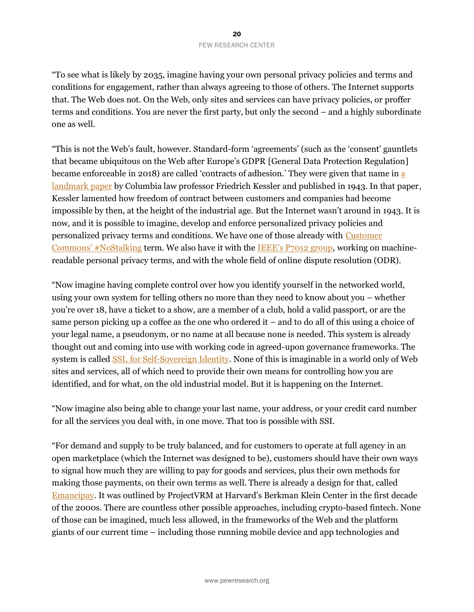"To see what is likely by 2035, imagine having your own personal privacy policies and terms and conditions for engagement, rather than always agreeing to those of others. The Internet supports that. The Web does not. On the Web, only sites and services can have privacy policies, or proffer terms and conditions. You are never the first party, but only the second – and a highly subordinate one as well.

"This is not the Web's fault, however. Standard-form 'agreements' (such as the 'consent' gauntlets that became ubiquitous on the Web after Europe's GDPR [General Data Protection Regulation] became enforceable in 2018) are called 'contracts of adhesion.' They were given that name in [a](https://chicagounbound.uchicago.edu/cgi/viewcontent.cgi?article=11639&context=journal_articles)  [landmark paper](https://chicagounbound.uchicago.edu/cgi/viewcontent.cgi?article=11639&context=journal_articles) by Columbia law professor Friedrich Kessler and published in 1943. In that paper, Kessler lamented how freedom of contract between customers and companies had become impossible by then, at the height of the industrial age. But the Internet wasn't around in 1943. It is now, and it is possible to imagine, develop and enforce personalized privacy policies and personalized privacy terms and conditions. We have one of those already with [Customer](https://customercommons.org/solutions/tools/terms/p2b1/)  [Commons' #NoStalking](https://customercommons.org/solutions/tools/terms/p2b1/) term. We also have it with the [IEEE's P7012 group](https://sagroups.ieee.org/7012/), working on machinereadable personal privacy terms, and with the whole field of online dispute resolution (ODR).

"Now imagine having complete control over how you identify yourself in the networked world, using your own system for telling others no more than they need to know about you – whether you're over 18, have a ticket to a show, are a member of a club, hold a valid passport, or are the same person picking up a coffee as the one who ordered it – and to do all of this using a choice of your legal name, a pseudonym, or no name at all because none is needed. This system is already thought out and coming into use with working code in agreed-upon governance frameworks. The system is called [SSI, for Self-Sovereign Identity.](https://en.wikipedia.org/wiki/Self-sovereign_identity) None of this is imaginable in a world only of Web sites and services, all of which need to provide their own means for controlling how you are identified, and for what, on the old industrial model. But it is happening on the Internet.

"Now imagine also being able to change your last name, your address, or your credit card number for all the services you deal with, in one move. That too is possible with SSI.

"For demand and supply to be truly balanced, and for customers to operate at full agency in an open marketplace (which the Internet was designed to be), customers should have their own ways to signal how much they are willing to pay for goods and services, plus their own methods for making those payments, on their own terms as well. There is already a design for that, called [Emancipay](https://cyber.harvard.edu/projectvrm/EmanciPay). It was outlined by ProjectVRM at Harvard's Berkman Klein Center in the first decade of the 2000s. There are countless other possible approaches, including crypto-based fintech. None of those can be imagined, much less allowed, in the frameworks of the Web and the platform giants of our current time – including those running mobile device and app technologies and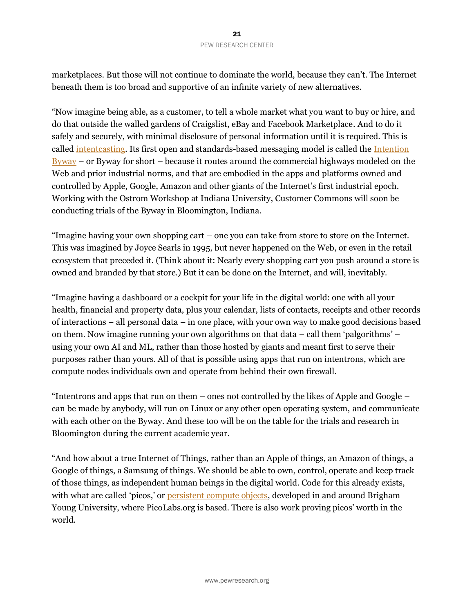marketplaces. But those will not continue to dominate the world, because they can't. The Internet beneath them is too broad and supportive of an infinite variety of new alternatives.

"Now imagine being able, as a customer, to tell a whole market what you want to buy or hire, and do that outside the walled gardens of Craigslist, eBay and Facebook Marketplace. And to do it safely and securely, with minimal disclosure of personal information until it is required. This is called [intentcasting.](https://cyber.harvard.edu/projectvrm/Intentcasting) Its first open and standards-based messaging model is called the Intention  $\frac{Bvway}{Bv}$  – or [Byway](https://customercommons.org/category/byway/) for short – because it routes around the commercial highways modeled on the Web and prior industrial norms, and that are embodied in the apps and platforms owned and controlled by Apple, Google, Amazon and other giants of the Internet's first industrial epoch. Working with the Ostrom Workshop at Indiana University, Customer Commons will soon be conducting trials of the Byway in Bloomington, Indiana.

"Imagine having your own shopping cart – one you can take from store to store on the Internet. This was imagined by Joyce Searls in 1995, but never happened on the Web, or even in the retail ecosystem that preceded it. (Think about it: Nearly every shopping cart you push around a store is owned and branded by that store.) But it can be done on the Internet, and will, inevitably.

"Imagine having a dashboard or a cockpit for your life in the digital world: one with all your health, financial and property data, plus your calendar, lists of contacts, receipts and other records of interactions – all personal data – in one place, with your own way to make good decisions based on them. Now imagine running your own algorithms on that data – call them 'palgorithms' – using your own AI and ML, rather than those hosted by giants and meant first to serve their purposes rather than yours. All of that is possible using apps that run on intentrons, which are compute nodes individuals own and operate from behind their own firewall.

"Intentrons and apps that run on them – ones not controlled by the likes of Apple and Google – can be made by anybody, will run on Linux or any other open operating system, and communicate with each other on the Byway. And these too will be on the table for the trials and research in Bloomington during the current academic year.

"And how about a true Internet of Things, rather than an Apple of things, an Amazon of things, a Google of things, a Samsung of things. We should be able to own, control, operate and keep track of those things, as independent human beings in the digital world. Code for this already exists, with what are called 'picos,' or [persistent compute objects,](https://picolabs.atlassian.net/wiki/spaces/docs/pages/1189992/Persistent+Compute+Objects) developed in and around Brigham Young University, where PicoLabs.org is based. There is also work proving picos' worth in the world.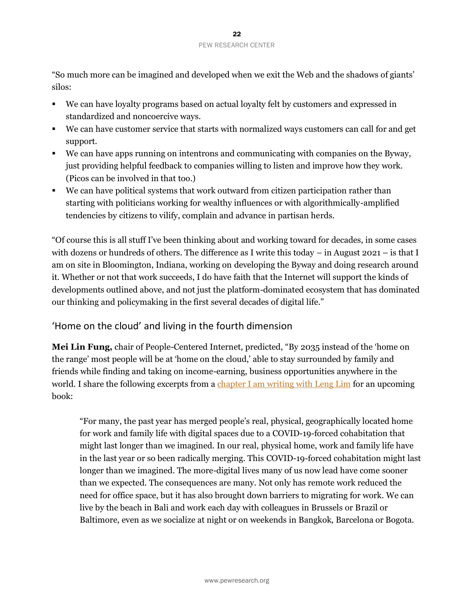"So much more can be imagined and developed when we exit the Web and the shadows of giants' silos:

- We can have loyalty programs based on actual loyalty felt by customers and expressed in standardized and noncoercive ways.
- We can have customer service that starts with normalized ways customers can call for and get support.
- We can have apps running on intentrons and communicating with companies on the Byway, just providing helpful feedback to companies willing to listen and improve how they work. (Picos can be involved in that too.)
- We can have political systems that work outward from citizen participation rather than starting with politicians working for wealthy influences or with algorithmically-amplified tendencies by citizens to vilify, complain and advance in partisan herds.

"Of course this is all stuff I've been thinking about and working toward for decades, in some cases with dozens or hundreds of others. The difference as I write this today – in August 2021 – is that I am on site in Bloomington, Indiana, working on developing the Byway and doing research around it. Whether or not that work succeeds, I do have faith that the Internet will support the kinds of developments outlined above, and not just the platform-dominated ecosystem that has dominated our thinking and policymaking in the first several decades of digital life."

# 'Home on the cloud' and living in the fourth dimension

**Mei Lin Fung,** chair of People-Centered Internet, predicted, "By 2035 instead of the 'home on the range' most people will be at 'home on the cloud,' able to stay surrounded by family and friends while finding and taking on income-earning, business opportunities anywhere in the world. I share the following excerpts from [a chapter I am writing with Leng Lim](https://techonomy.com/2021/09/digital-humanism-for-life-in-the-cloud/) for an upcoming book:

"For many, the past year has merged people's real, physical, geographically located home for work and family life with digital spaces due to a COVID-19-forced cohabitation that might last longer than we imagined. In our real, physical home, work and family life have in the last year or so been radically merging. This COVID-19-forced cohabitation might last longer than we imagined. The more-digital lives many of us now lead have come sooner than we expected. The consequences are many. Not only has remote work reduced the need for office space, but it has also brought down barriers to migrating for work. We can live by the beach in Bali and work each day with colleagues in Brussels or Brazil or Baltimore, even as we socialize at night or on weekends in Bangkok, Barcelona or Bogota.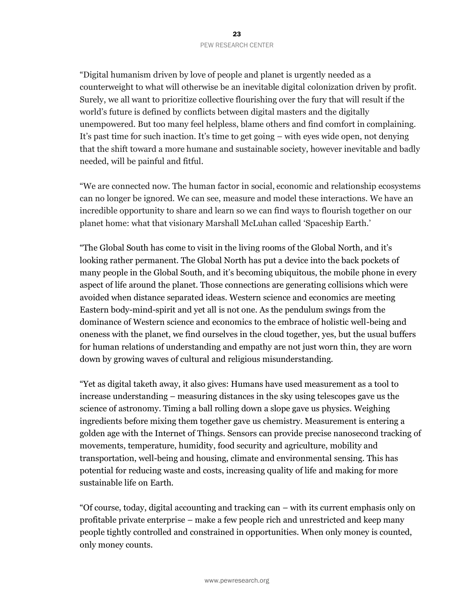"Digital humanism driven by love of people and planet is urgently needed as a counterweight to what will otherwise be an inevitable digital colonization driven by profit. Surely, we all want to prioritize collective flourishing over the fury that will result if the world's future is defined by conflicts between digital masters and the digitally unempowered. But too many feel helpless, blame others and find comfort in complaining. It's past time for such inaction. It's time to get going – with eyes wide open, not denying that the shift toward a more humane and sustainable society, however inevitable and badly needed, will be painful and fitful.

"We are connected now. The human factor in social, economic and relationship ecosystems can no longer be ignored. We can see, measure and model these interactions. We have an incredible opportunity to share and learn so we can find ways to flourish together on our planet home: what that visionary Marshall McLuhan called 'Spaceship Earth.'

"The Global South has come to visit in the living rooms of the Global North, and it's looking rather permanent. The Global North has put a device into the back pockets of many people in the Global South, and it's becoming ubiquitous, the mobile phone in every aspect of life around the planet. Those connections are generating collisions which were avoided when distance separated ideas. Western science and economics are meeting Eastern body-mind-spirit and yet all is not one. As the pendulum swings from the dominance of Western science and economics to the embrace of holistic well-being and oneness with the planet, we find ourselves in the cloud together, yes, but the usual buffers for human relations of understanding and empathy are not just worn thin, they are worn down by growing waves of cultural and religious misunderstanding.

"Yet as digital taketh away, it also gives: Humans have used measurement as a tool to increase understanding – measuring distances in the sky using telescopes gave us the science of astronomy. Timing a ball rolling down a slope gave us physics. Weighing ingredients before mixing them together gave us chemistry. Measurement is entering a golden age with the Internet of Things. Sensors can provide precise nanosecond tracking of movements, temperature, humidity, food security and agriculture, mobility and transportation, well-being and housing, climate and environmental sensing. This has potential for reducing waste and costs, increasing quality of life and making for more sustainable life on Earth.

"Of course, today, digital accounting and tracking can – with its current emphasis only on profitable private enterprise – make a few people rich and unrestricted and keep many people tightly controlled and constrained in opportunities. When only money is counted, only money counts.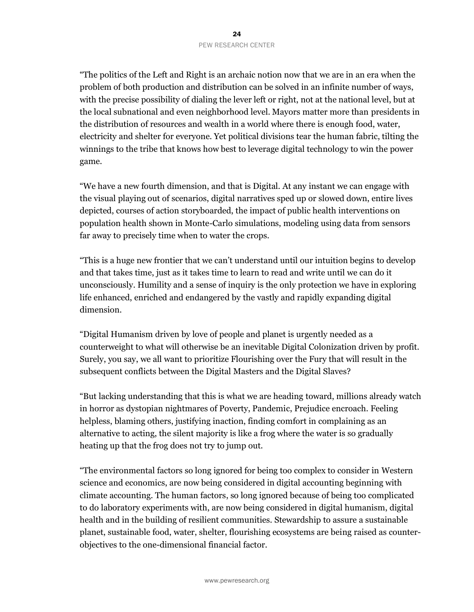"The politics of the Left and Right is an archaic notion now that we are in an era when the problem of both production and distribution can be solved in an infinite number of ways, with the precise possibility of dialing the lever left or right, not at the national level, but at the local subnational and even neighborhood level. Mayors matter more than presidents in the distribution of resources and wealth in a world where there is enough food, water, electricity and shelter for everyone. Yet political divisions tear the human fabric, tilting the winnings to the tribe that knows how best to leverage digital technology to win the power game.

"We have a new fourth dimension, and that is Digital. At any instant we can engage with the visual playing out of scenarios, digital narratives sped up or slowed down, entire lives depicted, courses of action storyboarded, the impact of public health interventions on population health shown in Monte-Carlo simulations, modeling using data from sensors far away to precisely time when to water the crops.

"This is a huge new frontier that we can't understand until our intuition begins to develop and that takes time, just as it takes time to learn to read and write until we can do it unconsciously. Humility and a sense of inquiry is the only protection we have in exploring life enhanced, enriched and endangered by the vastly and rapidly expanding digital dimension.

"Digital Humanism driven by love of people and planet is urgently needed as a counterweight to what will otherwise be an inevitable Digital Colonization driven by profit. Surely, you say, we all want to prioritize Flourishing over the Fury that will result in the subsequent conflicts between the Digital Masters and the Digital Slaves?

"But lacking understanding that this is what we are heading toward, millions already watch in horror as dystopian nightmares of Poverty, Pandemic, Prejudice encroach. Feeling helpless, blaming others, justifying inaction, finding comfort in complaining as an alternative to acting, the silent majority is like a frog where the water is so gradually heating up that the frog does not try to jump out.

"The environmental factors so long ignored for being too complex to consider in Western science and economics, are now being considered in digital accounting beginning with climate accounting. The human factors, so long ignored because of being too complicated to do laboratory experiments with, are now being considered in digital humanism, digital health and in the building of resilient communities. Stewardship to assure a sustainable planet, sustainable food, water, shelter, flourishing ecosystems are being raised as counterobjectives to the one-dimensional financial factor.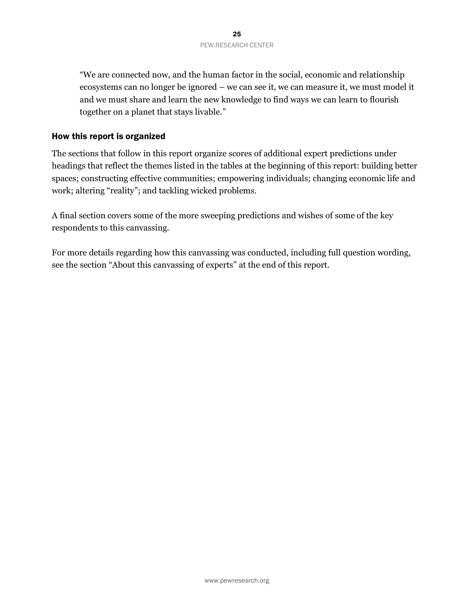"We are connected now, and the human factor in the social, economic and relationship ecosystems can no longer be ignored – we can see it, we can measure it, we must model it and we must share and learn the new knowledge to find ways we can learn to flourish together on a planet that stays livable."

#### How this report is organized

The sections that follow in this report organize scores of additional expert predictions under headings that reflect the themes listed in the tables at the beginning of this report: building better spaces; constructing effective communities; empowering individuals; changing economic life and work; altering "reality"; and tackling wicked problems.

A final section covers some of the more sweeping predictions and wishes of some of the key respondents to this canvassing.

For more details regarding how this canvassing was conducted, including full question wording, see the section "About this canvassing of experts" at the end of this report.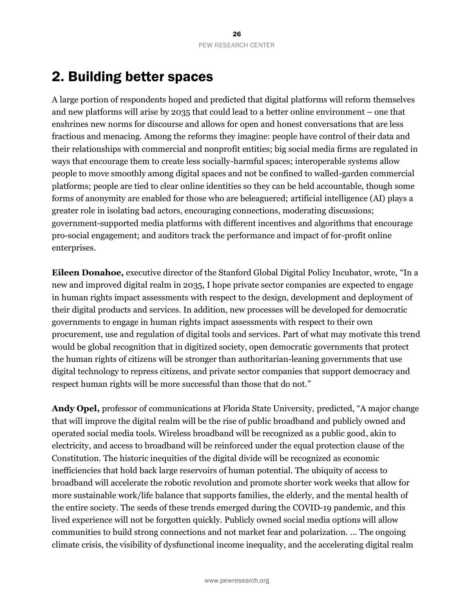# 2. Building better spaces

A large portion of respondents hoped and predicted that digital platforms will reform themselves and new platforms will arise by 2035 that could lead to a better online environment – one that enshrines new norms for discourse and allows for open and honest conversations that are less fractious and menacing. Among the reforms they imagine: people have control of their data and their relationships with commercial and nonprofit entities; big social media firms are regulated in ways that encourage them to create less socially-harmful spaces; interoperable systems allow people to move smoothly among digital spaces and not be confined to walled-garden commercial platforms; people are tied to clear online identities so they can be held accountable, though some forms of anonymity are enabled for those who are beleaguered; artificial intelligence (AI) plays a greater role in isolating bad actors, encouraging connections, moderating discussions; government-supported media platforms with different incentives and algorithms that encourage pro-social engagement; and auditors track the performance and impact of for-profit online enterprises.

**Eileen Donahoe,** executive director of the Stanford Global Digital Policy Incubator, wrote, "In a new and improved digital realm in 2035, I hope private sector companies are expected to engage in human rights impact assessments with respect to the design, development and deployment of their digital products and services. In addition, new processes will be developed for democratic governments to engage in human rights impact assessments with respect to their own procurement, use and regulation of digital tools and services. Part of what may motivate this trend would be global recognition that in digitized society, open democratic governments that protect the human rights of citizens will be stronger than authoritarian-leaning governments that use digital technology to repress citizens, and private sector companies that support democracy and respect human rights will be more successful than those that do not."

**Andy Opel,** professor of communications at Florida State University, predicted, "A major change that will improve the digital realm will be the rise of public broadband and publicly owned and operated social media tools. Wireless broadband will be recognized as a public good, akin to electricity, and access to broadband will be reinforced under the equal protection clause of the Constitution. The historic inequities of the digital divide will be recognized as economic inefficiencies that hold back large reservoirs of human potential. The ubiquity of access to broadband will accelerate the robotic revolution and promote shorter work weeks that allow for more sustainable work/life balance that supports families, the elderly, and the mental health of the entire society. The seeds of these trends emerged during the COVID-19 pandemic, and this lived experience will not be forgotten quickly. Publicly owned social media options will allow communities to build strong connections and not market fear and polarization. … The ongoing climate crisis, the visibility of dysfunctional income inequality, and the accelerating digital realm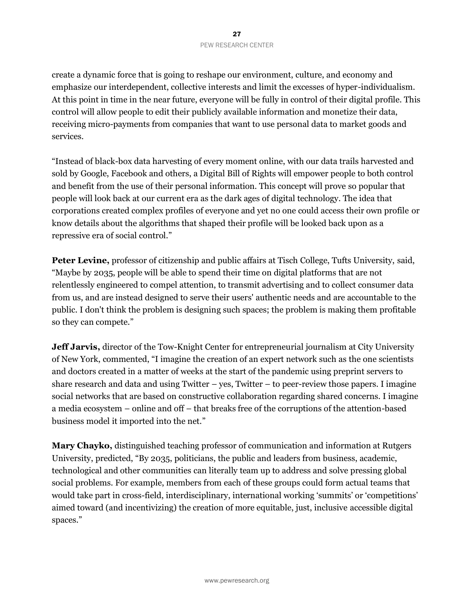create a dynamic force that is going to reshape our environment, culture, and economy and emphasize our interdependent, collective interests and limit the excesses of hyper-individualism. At this point in time in the near future, everyone will be fully in control of their digital profile. This control will allow people to edit their publicly available information and monetize their data, receiving micro-payments from companies that want to use personal data to market goods and services.

"Instead of black-box data harvesting of every moment online, with our data trails harvested and sold by Google, Facebook and others, a Digital Bill of Rights will empower people to both control and benefit from the use of their personal information. This concept will prove so popular that people will look back at our current era as the dark ages of digital technology. The idea that corporations created complex profiles of everyone and yet no one could access their own profile or know details about the algorithms that shaped their profile will be looked back upon as a repressive era of social control."

**Peter Levine,** professor of citizenship and public affairs at Tisch College, Tufts University, said, "Maybe by 2035, people will be able to spend their time on digital platforms that are not relentlessly engineered to compel attention, to transmit advertising and to collect consumer data from us, and are instead designed to serve their users' authentic needs and are accountable to the public. I don't think the problem is designing such spaces; the problem is making them profitable so they can compete."

**Jeff Jarvis,** director of the Tow-Knight Center for entrepreneurial journalism at City University of New York, commented, "I imagine the creation of an expert network such as the one scientists and doctors created in a matter of weeks at the start of the pandemic using preprint servers to share research and data and using Twitter – yes, Twitter – to peer-review those papers. I imagine social networks that are based on constructive collaboration regarding shared concerns. I imagine a media ecosystem – online and off – that breaks free of the corruptions of the attention-based business model it imported into the net."

**Mary Chayko,** distinguished teaching professor of communication and information at Rutgers University, predicted, "By 2035, politicians, the public and leaders from business, academic, technological and other communities can literally team up to address and solve pressing global social problems. For example, members from each of these groups could form actual teams that would take part in cross-field, interdisciplinary, international working 'summits' or 'competitions' aimed toward (and incentivizing) the creation of more equitable, just, inclusive accessible digital spaces."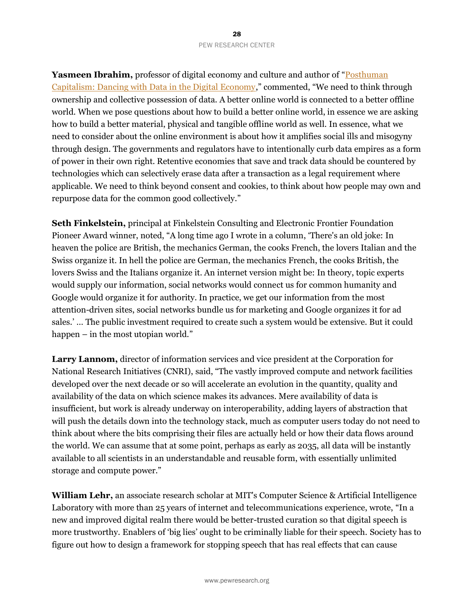**Yasmeen Ibrahim,** professor of digital economy and culture and author of "[Posthuman](https://www.goodreads.com/book/show/56446558-posthuman-capitalism)  [Capitalism: Dancing with Data in the Digital Economy,](https://www.goodreads.com/book/show/56446558-posthuman-capitalism)" commented, "We need to think through ownership and collective possession of data. A better online world is connected to a better offline world. When we pose questions about how to build a better online world, in essence we are asking how to build a better material, physical and tangible offline world as well. In essence, what we need to consider about the online environment is about how it amplifies social ills and misogyny through design. The governments and regulators have to intentionally curb data empires as a form of power in their own right. Retentive economies that save and track data should be countered by technologies which can selectively erase data after a transaction as a legal requirement where applicable. We need to think beyond consent and cookies, to think about how people may own and repurpose data for the common good collectively."

**Seth Finkelstein,** principal at Finkelstein Consulting and Electronic Frontier Foundation Pioneer Award winner, noted, "A long time ago I wrote in a column, 'There's an old joke: In heaven the police are British, the mechanics German, the cooks French, the lovers Italian and the Swiss organize it. In hell the police are German, the mechanics French, the cooks British, the lovers Swiss and the Italians organize it. An internet version might be: In theory, topic experts would supply our information, social networks would connect us for common humanity and Google would organize it for authority. In practice, we get our information from the most attention-driven sites, social networks bundle us for marketing and Google organizes it for ad sales.' … The public investment required to create such a system would be extensive. But it could happen – in the most utopian world."

**Larry Lannom,** director of information services and vice president at the Corporation for National Research Initiatives (CNRI), said, "The vastly improved compute and network facilities developed over the next decade or so will accelerate an evolution in the quantity, quality and availability of the data on which science makes its advances. Mere availability of data is insufficient, but work is already underway on interoperability, adding layers of abstraction that will push the details down into the technology stack, much as computer users today do not need to think about where the bits comprising their files are actually held or how their data flows around the world. We can assume that at some point, perhaps as early as 2035, all data will be instantly available to all scientists in an understandable and reusable form, with essentially unlimited storage and compute power."

**William Lehr,** an associate research scholar at MIT's Computer Science & Artificial Intelligence Laboratory with more than 25 years of internet and telecommunications experience, wrote, "In a new and improved digital realm there would be better-trusted curation so that digital speech is more trustworthy. Enablers of 'big lies' ought to be criminally liable for their speech. Society has to figure out how to design a framework for stopping speech that has real effects that can cause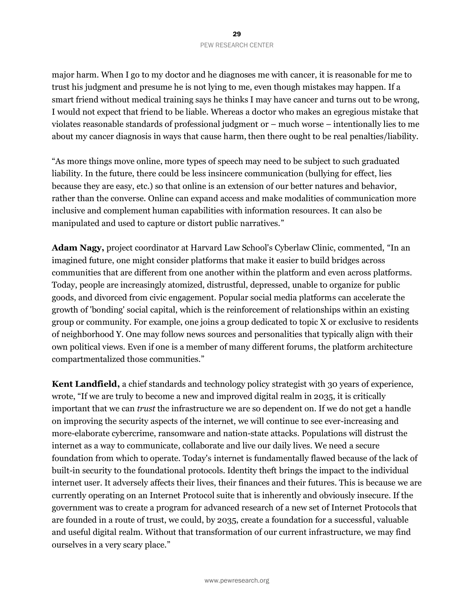major harm. When I go to my doctor and he diagnoses me with cancer, it is reasonable for me to trust his judgment and presume he is not lying to me, even though mistakes may happen. If a smart friend without medical training says he thinks I may have cancer and turns out to be wrong, I would not expect that friend to be liable. Whereas a doctor who makes an egregious mistake that violates reasonable standards of professional judgment or – much worse – intentionally lies to me about my cancer diagnosis in ways that cause harm, then there ought to be real penalties/liability.

"As more things move online, more types of speech may need to be subject to such graduated liability. In the future, there could be less insincere communication (bullying for effect, lies because they are easy, etc.) so that online is an extension of our better natures and behavior, rather than the converse. Online can expand access and make modalities of communication more inclusive and complement human capabilities with information resources. It can also be manipulated and used to capture or distort public narratives."

**Adam Nagy,** project coordinator at Harvard Law School's Cyberlaw Clinic, commented, "In an imagined future, one might consider platforms that make it easier to build bridges across communities that are different from one another within the platform and even across platforms. Today, people are increasingly atomized, distrustful, depressed, unable to organize for public goods, and divorced from civic engagement. Popular social media platforms can accelerate the growth of 'bonding' social capital, which is the reinforcement of relationships within an existing group or community. For example, one joins a group dedicated to topic X or exclusive to residents of neighborhood Y. One may follow news sources and personalities that typically align with their own political views. Even if one is a member of many different forums, the platform architecture compartmentalized those communities."

**Kent Landfield,** a chief standards and technology policy strategist with 30 years of experience, wrote, "If we are truly to become a new and improved digital realm in 2035, it is critically important that we can *trust* the infrastructure we are so dependent on. If we do not get a handle on improving the security aspects of the internet, we will continue to see ever-increasing and more-elaborate cybercrime, ransomware and nation-state attacks. Populations will distrust the internet as a way to communicate, collaborate and live our daily lives. We need a secure foundation from which to operate. Today's internet is fundamentally flawed because of the lack of built-in security to the foundational protocols. Identity theft brings the impact to the individual internet user. It adversely affects their lives, their finances and their futures. This is because we are currently operating on an Internet Protocol suite that is inherently and obviously insecure. If the government was to create a program for advanced research of a new set of Internet Protocols that are founded in a route of trust, we could, by 2035, create a foundation for a successful, valuable and useful digital realm. Without that transformation of our current infrastructure, we may find ourselves in a very scary place."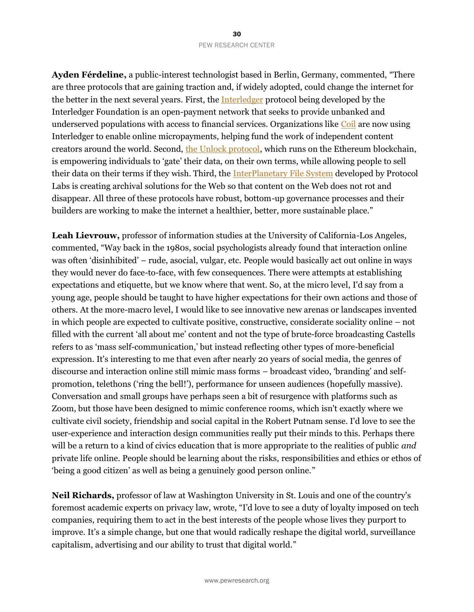**Ayden Férdeline,** a public-interest technologist based in Berlin, Germany, commented, "There are three protocols that are gaining traction and, if widely adopted, could change the internet for the better in the next several years. First, th[e Interledger](https://interledger.org/) protocol being developed by the Interledger Foundation is an open-payment network that seeks to provide unbanked and underserved populations with access to financial services. Organizations like [Coil](https://coilfoundation.org/) are now using Interledger to enable online micropayments, helping fund the work of independent content creators around the world. Second, [the Unlock protocol,](https://unlock-protocol.com/) which runs on the Ethereum blockchain, is empowering individuals to 'gate' their data, on their own terms, while allowing people to sell their data on their terms if they wish. Third, th[e InterPlanetary File System](https://ipfs.io/) developed by Protocol Labs is creating archival solutions for the Web so that content on the Web does not rot and disappear. All three of these protocols have robust, bottom-up governance processes and their builders are working to make the internet a healthier, better, more sustainable place."

**Leah Lievrouw,** professor of information studies at the University of California-Los Angeles, commented, "Way back in the 1980s, social psychologists already found that interaction online was often 'disinhibited' – rude, asocial, vulgar, etc. People would basically act out online in ways they would never do face-to-face, with few consequences. There were attempts at establishing expectations and etiquette, but we know where that went. So, at the micro level, I'd say from a young age, people should be taught to have higher expectations for their own actions and those of others. At the more-macro level, I would like to see innovative new arenas or landscapes invented in which people are expected to cultivate positive, constructive, considerate sociality online – not filled with the current 'all about me' content and not the type of brute-force broadcasting Castells refers to as 'mass self-communication,' but instead reflecting other types of more-beneficial expression. It's interesting to me that even after nearly 20 years of social media, the genres of discourse and interaction online still mimic mass forms – broadcast video, 'branding' and selfpromotion, telethons ('ring the bell!'), performance for unseen audiences (hopefully massive). Conversation and small groups have perhaps seen a bit of resurgence with platforms such as Zoom, but those have been designed to mimic conference rooms, which isn't exactly where we cultivate civil society, friendship and social capital in the Robert Putnam sense. I'd love to see the user-experience and interaction design communities really put their minds to this. Perhaps there will be a return to a kind of civics education that is more appropriate to the realities of public *and* private life online. People should be learning about the risks, responsibilities and ethics or ethos of 'being a good citizen' as well as being a genuinely good person online."

**Neil Richards,** professor of law at Washington University in St. Louis and one of the country's foremost academic experts on privacy law, wrote, "I'd love to see a duty of loyalty imposed on tech companies, requiring them to act in the best interests of the people whose lives they purport to improve. It's a simple change, but one that would radically reshape the digital world, surveillance capitalism, advertising and our ability to trust that digital world."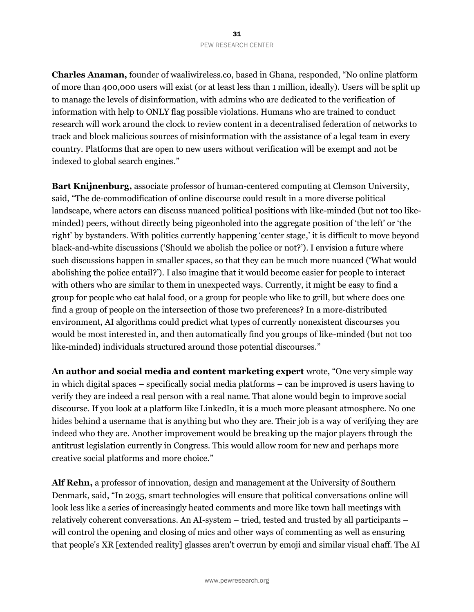**Charles Anaman,** founder of waaliwireless.co, based in Ghana, responded, "No online platform of more than 400,000 users will exist (or at least less than 1 million, ideally). Users will be split up to manage the levels of disinformation, with admins who are dedicated to the verification of information with help to ONLY flag possible violations. Humans who are trained to conduct research will work around the clock to review content in a decentralised federation of networks to track and block malicious sources of misinformation with the assistance of a legal team in every country. Platforms that are open to new users without verification will be exempt and not be indexed to global search engines."

**Bart Knijnenburg,** associate professor of human-centered computing at Clemson University, said, "The de-commodification of online discourse could result in a more diverse political landscape, where actors can discuss nuanced political positions with like-minded (but not too likeminded) peers, without directly being pigeonholed into the aggregate position of 'the left' or 'the right' by bystanders. With politics currently happening 'center stage,' it is difficult to move beyond black-and-white discussions ('Should we abolish the police or not?'). I envision a future where such discussions happen in smaller spaces, so that they can be much more nuanced ('What would abolishing the police entail?'). I also imagine that it would become easier for people to interact with others who are similar to them in unexpected ways. Currently, it might be easy to find a group for people who eat halal food, or a group for people who like to grill, but where does one find a group of people on the intersection of those two preferences? In a more-distributed environment, AI algorithms could predict what types of currently nonexistent discourses you would be most interested in, and then automatically find you groups of like-minded (but not too like-minded) individuals structured around those potential discourses."

**An author and social media and content marketing expert** wrote, "One very simple way in which digital spaces – specifically social media platforms – can be improved is users having to verify they are indeed a real person with a real name. That alone would begin to improve social discourse. If you look at a platform like LinkedIn, it is a much more pleasant atmosphere. No one hides behind a username that is anything but who they are. Their job is a way of verifying they are indeed who they are. Another improvement would be breaking up the major players through the antitrust legislation currently in Congress. This would allow room for new and perhaps more creative social platforms and more choice."

**Alf Rehn,** a professor of innovation, design and management at the University of Southern Denmark, said, "In 2035, smart technologies will ensure that political conversations online will look less like a series of increasingly heated comments and more like town hall meetings with relatively coherent conversations. An AI-system – tried, tested and trusted by all participants – will control the opening and closing of mics and other ways of commenting as well as ensuring that people's XR [extended reality] glasses aren't overrun by emoji and similar visual chaff. The AI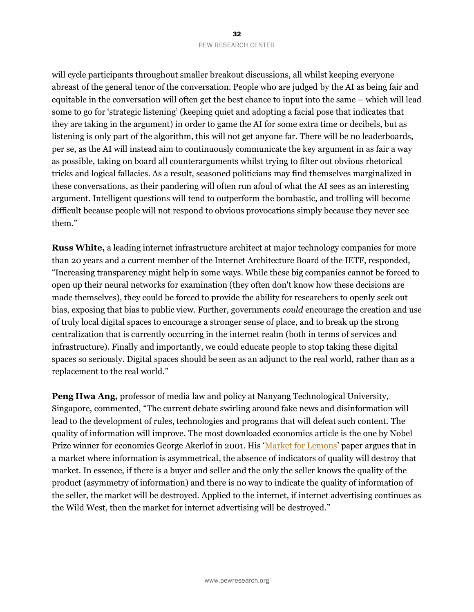will cycle participants throughout smaller breakout discussions, all whilst keeping everyone abreast of the general tenor of the conversation. People who are judged by the AI as being fair and equitable in the conversation will often get the best chance to input into the same – which will lead some to go for 'strategic listening' (keeping quiet and adopting a facial pose that indicates that they are taking in the argument) in order to game the AI for some extra time or decibels, but as listening is only part of the algorithm, this will not get anyone far. There will be no leaderboards, per se, as the AI will instead aim to continuously communicate the key argument in as fair a way as possible, taking on board all counterarguments whilst trying to filter out obvious rhetorical tricks and logical fallacies. As a result, seasoned politicians may find themselves marginalized in these conversations, as their pandering will often run afoul of what the AI sees as an interesting argument. Intelligent questions will tend to outperform the bombastic, and trolling will become difficult because people will not respond to obvious provocations simply because they never see them."

**Russ White,** a leading internet infrastructure architect at major technology companies for more than 20 years and a current member of the Internet Architecture Board of the IETF, responded, "Increasing transparency might help in some ways. While these big companies cannot be forced to open up their neural networks for examination (they often don't know how these decisions are made themselves), they could be forced to provide the ability for researchers to openly seek out bias, exposing that bias to public view. Further, governments *could* encourage the creation and use of truly local digital spaces to encourage a stronger sense of place, and to break up the strong centralization that is currently occurring in the internet realm (both in terms of services and infrastructure). Finally and importantly, we could educate people to stop taking these digital spaces so seriously. Digital spaces should be seen as an adjunct to the real world, rather than as a replacement to the real world."

**Peng Hwa Ang,** professor of media law and policy at Nanyang Technological University, Singapore, commented, "The current debate swirling around fake news and disinformation will lead to the development of rules, technologies and programs that will defeat such content. The quality of information will improve. The most downloaded economics article is the one by Nobel Prize winner for economics George Akerlof in 2001. His '[Market for Lemons](https://viterbi-web.usc.edu/~shaddin/cs590fa13/papers/AkerlofMarketforLemons.pdf)' paper argues that in a market where information is asymmetrical, the absence of indicators of quality will destroy that market. In essence, if there is a buyer and seller and the only the seller knows the quality of the product (asymmetry of information) and there is no way to indicate the quality of information of the seller, the market will be destroyed. Applied to the internet, if internet advertising continues as the Wild West, then the market for internet advertising will be destroyed."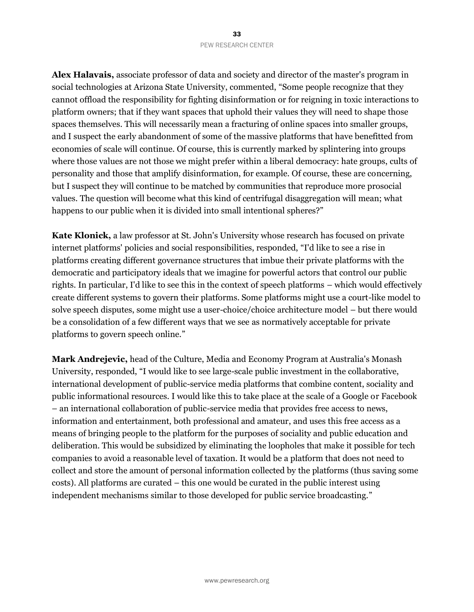**Alex Halavais,** associate professor of data and society and director of the master's program in social technologies at Arizona State University, commented, "Some people recognize that they cannot offload the responsibility for fighting disinformation or for reigning in toxic interactions to platform owners; that if they want spaces that uphold their values they will need to shape those spaces themselves. This will necessarily mean a fracturing of online spaces into smaller groups, and I suspect the early abandonment of some of the massive platforms that have benefitted from economies of scale will continue. Of course, this is currently marked by splintering into groups where those values are not those we might prefer within a liberal democracy: hate groups, cults of personality and those that amplify disinformation, for example. Of course, these are concerning, but I suspect they will continue to be matched by communities that reproduce more prosocial values. The question will become what this kind of centrifugal disaggregation will mean; what happens to our public when it is divided into small intentional spheres?"

**Kate Klonick,** a law professor at St. John's University whose research has focused on private internet platforms' policies and social responsibilities, responded, "I'd like to see a rise in platforms creating different governance structures that imbue their private platforms with the democratic and participatory ideals that we imagine for powerful actors that control our public rights. In particular, I'd like to see this in the context of speech platforms – which would effectively create different systems to govern their platforms. Some platforms might use a court-like model to solve speech disputes, some might use a user-choice/choice architecture model – but there would be a consolidation of a few different ways that we see as normatively acceptable for private platforms to govern speech online."

**Mark Andrejevic,** head of the Culture, Media and Economy Program at Australia's Monash University, responded, "I would like to see large-scale public investment in the collaborative, international development of public-service media platforms that combine content, sociality and public informational resources. I would like this to take place at the scale of a Google or Facebook – an international collaboration of public-service media that provides free access to news, information and entertainment, both professional and amateur, and uses this free access as a means of bringing people to the platform for the purposes of sociality and public education and deliberation. This would be subsidized by eliminating the loopholes that make it possible for tech companies to avoid a reasonable level of taxation. It would be a platform that does not need to collect and store the amount of personal information collected by the platforms (thus saving some costs). All platforms are curated – this one would be curated in the public interest using independent mechanisms similar to those developed for public service broadcasting."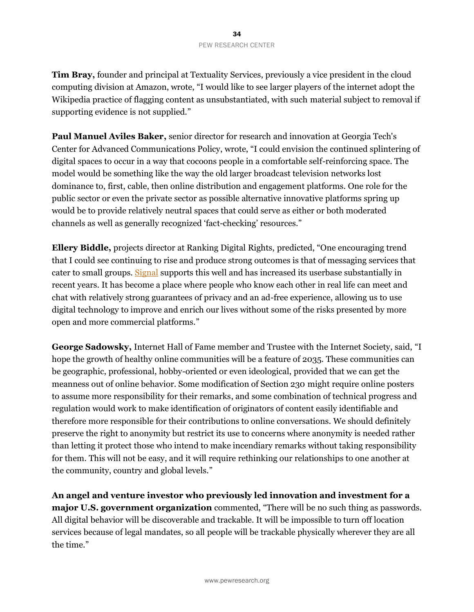**Tim Bray,** founder and principal at Textuality Services, previously a vice president in the cloud computing division at Amazon, wrote, "I would like to see larger players of the internet adopt the Wikipedia practice of flagging content as unsubstantiated, with such material subject to removal if supporting evidence is not supplied."

**Paul Manuel Aviles Baker,** senior director for research and innovation at Georgia Tech's Center for Advanced Communications Policy, wrote, "I could envision the continued splintering of digital spaces to occur in a way that cocoons people in a comfortable self-reinforcing space. The model would be something like the way the old larger broadcast television networks lost dominance to, first, cable, then online distribution and engagement platforms. One role for the public sector or even the private sector as possible alternative innovative platforms spring up would be to provide relatively neutral spaces that could serve as either or both moderated channels as well as generally recognized 'fact-checking' resources."

**Ellery Biddle,** projects director at Ranking Digital Rights, predicted, "One encouraging trend that I could see continuing to rise and produce strong outcomes is that of messaging services that cater to small groups. [Signal](https://signal.org/en/) supports this well and has increased its userbase substantially in recent years. It has become a place where people who know each other in real life can meet and chat with relatively strong guarantees of privacy and an ad-free experience, allowing us to use digital technology to improve and enrich our lives without some of the risks presented by more open and more commercial platforms."

**George Sadowsky,** Internet Hall of Fame member and Trustee with the Internet Society, said, "I hope the growth of healthy online communities will be a feature of 2035. These communities can be geographic, professional, hobby-oriented or even ideological, provided that we can get the meanness out of online behavior. Some modification of Section 230 might require online posters to assume more responsibility for their remarks, and some combination of technical progress and regulation would work to make identification of originators of content easily identifiable and therefore more responsible for their contributions to online conversations. We should definitely preserve the right to anonymity but restrict its use to concerns where anonymity is needed rather than letting it protect those who intend to make incendiary remarks without taking responsibility for them. This will not be easy, and it will require rethinking our relationships to one another at the community, country and global levels."

**An angel and venture investor who previously led innovation and investment for a major U.S. government organization** commented, "There will be no such thing as passwords. All digital behavior will be discoverable and trackable. It will be impossible to turn off location services because of legal mandates, so all people will be trackable physically wherever they are all the time."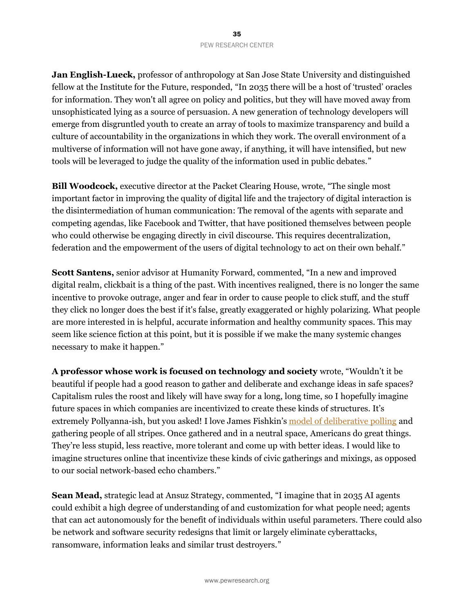**Jan English-Lueck,** professor of anthropology at San Jose State University and distinguished fellow at the Institute for the Future, responded, "In 2035 there will be a host of 'trusted' oracles for information. They won't all agree on policy and politics, but they will have moved away from unsophisticated lying as a source of persuasion. A new generation of technology developers will emerge from disgruntled youth to create an array of tools to maximize transparency and build a culture of accountability in the organizations in which they work. The overall environment of a multiverse of information will not have gone away, if anything, it will have intensified, but new tools will be leveraged to judge the quality of the information used in public debates."

**Bill Woodcock,** executive director at the Packet Clearing House, wrote, "The single most important factor in improving the quality of digital life and the trajectory of digital interaction is the disintermediation of human communication: The removal of the agents with separate and competing agendas, like Facebook and Twitter, that have positioned themselves between people who could otherwise be engaging directly in civil discourse. This requires decentralization, federation and the empowerment of the users of digital technology to act on their own behalf."

**Scott Santens,** senior advisor at Humanity Forward, commented, "In a new and improved digital realm, clickbait is a thing of the past. With incentives realigned, there is no longer the same incentive to provoke outrage, anger and fear in order to cause people to click stuff, and the stuff they click no longer does the best if it's false, greatly exaggerated or highly polarizing. What people are more interested in is helpful, accurate information and healthy community spaces. This may seem like science fiction at this point, but it is possible if we make the many systemic changes necessary to make it happen."

**A professor whose work is focused on technology and society** wrote, "Wouldn't it be beautiful if people had a good reason to gather and deliberate and exchange ideas in safe spaces? Capitalism rules the roost and likely will have sway for a long, long time, so I hopefully imagine future spaces in which companies are incentivized to create these kinds of structures. It's extremely Pollyanna-ish, but you asked! I love James Fishkin's [model of deliberative polling](https://cdd.stanford.edu/what-is-deliberative-polling/) and gathering people of all stripes. Once gathered and in a neutral space, Americans do great things. They're less stupid, less reactive, more tolerant and come up with better ideas. I would like to imagine structures online that incentivize these kinds of civic gatherings and mixings, as opposed to our social network-based echo chambers."

**Sean Mead,** strategic lead at Ansuz Strategy, commented, "I imagine that in 2035 AI agents could exhibit a high degree of understanding of and customization for what people need; agents that can act autonomously for the benefit of individuals within useful parameters. There could also be network and software security redesigns that limit or largely eliminate cyberattacks, ransomware, information leaks and similar trust destroyers."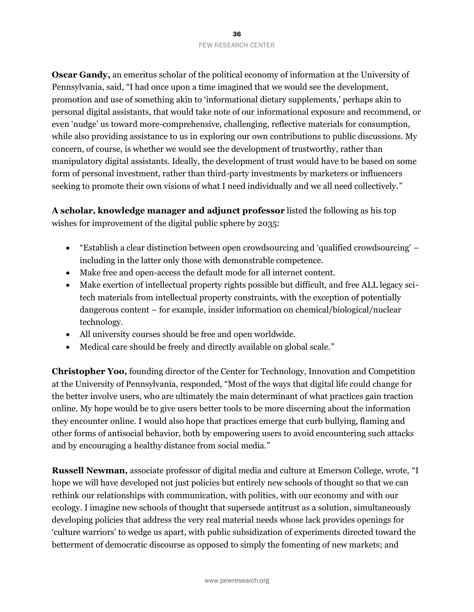**Oscar Gandy,** an emeritus scholar of the political economy of information at the University of Pennsylvania, said, "I had once upon a time imagined that we would see the development, promotion and use of something akin to 'informational dietary supplements,' perhaps akin to personal digital assistants, that would take note of our informational exposure and recommend, or even 'nudge' us toward more-comprehensive, challenging, reflective materials for consumption, while also providing assistance to us in exploring our own contributions to public discussions. My concern, of course, is whether we would see the development of trustworthy, rather than manipulatory digital assistants. Ideally, the development of trust would have to be based on some form of personal investment, rather than third-party investments by marketers or influencers seeking to promote their own visions of what I need individually and we all need collectively."

**A scholar, knowledge manager and adjunct professor** listed the following as his top wishes for improvement of the digital public sphere by 2035:

- "Establish a clear distinction between open crowdsourcing and 'qualified crowdsourcing' including in the latter only those with demonstrable competence.
- Make free and open-access the default mode for all internet content.
- Make exertion of intellectual property rights possible but difficult, and free ALL legacy scitech materials from intellectual property constraints, with the exception of potentially dangerous content – for example, insider information on chemical/biological/nuclear technology.
- All university courses should be free and open worldwide.
- Medical care should be freely and directly available on global scale."

**Christopher Yoo,** founding director of the Center for Technology, Innovation and Competition at the University of Pennsylvania, responded, "Most of the ways that digital life could change for the better involve users, who are ultimately the main determinant of what practices gain traction online. My hope would be to give users better tools to be more discerning about the information they encounter online. I would also hope that practices emerge that curb bullying, flaming and other forms of antisocial behavior, both by empowering users to avoid encountering such attacks and by encouraging a healthy distance from social media."

**Russell Newman,** associate professor of digital media and culture at Emerson College, wrote, "I hope we will have developed not just policies but entirely new schools of thought so that we can rethink our relationships with communication, with politics, with our economy and with our ecology. I imagine new schools of thought that supersede antitrust as a solution, simultaneously developing policies that address the very real material needs whose lack provides openings for 'culture warriors' to wedge us apart, with public subsidization of experiments directed toward the betterment of democratic discourse as opposed to simply the fomenting of new markets; and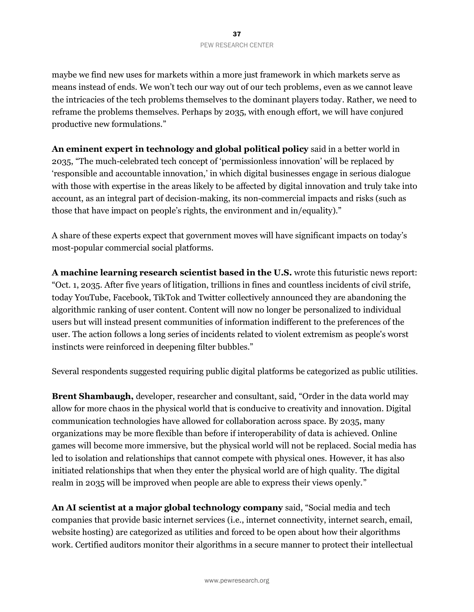maybe we find new uses for markets within a more just framework in which markets serve as means instead of ends. We won't tech our way out of our tech problems, even as we cannot leave the intricacies of the tech problems themselves to the dominant players today. Rather, we need to reframe the problems themselves. Perhaps by 2035, with enough effort, we will have conjured productive new formulations."

**An eminent expert in technology and global political policy** said in a better world in 2035, "The much-celebrated tech concept of 'permissionless innovation' will be replaced by 'responsible and accountable innovation,' in which digital businesses engage in serious dialogue with those with expertise in the areas likely to be affected by digital innovation and truly take into account, as an integral part of decision-making, its non-commercial impacts and risks (such as those that have impact on people's rights, the environment and in/equality)."

A share of these experts expect that government moves will have significant impacts on today's most-popular commercial social platforms.

**A machine learning research scientist based in the U.S.** wrote this futuristic news report: "Oct. 1, 2035. After five years of litigation, trillions in fines and countless incidents of civil strife, today YouTube, Facebook, TikTok and Twitter collectively announced they are abandoning the algorithmic ranking of user content. Content will now no longer be personalized to individual users but will instead present communities of information indifferent to the preferences of the user. The action follows a long series of incidents related to violent extremism as people's worst instincts were reinforced in deepening filter bubbles."

Several respondents suggested requiring public digital platforms be categorized as public utilities.

**Brent Shambaugh,** developer, researcher and consultant, said, "Order in the data world may allow for more chaos in the physical world that is conducive to creativity and innovation. Digital communication technologies have allowed for collaboration across space. By 2035, many organizations may be more flexible than before if interoperability of data is achieved. Online games will become more immersive, but the physical world will not be replaced. Social media has led to isolation and relationships that cannot compete with physical ones. However, it has also initiated relationships that when they enter the physical world are of high quality. The digital realm in 2035 will be improved when people are able to express their views openly."

**An AI scientist at a major global technology company** said, "Social media and tech companies that provide basic internet services (i.e., internet connectivity, internet search, email, website hosting) are categorized as utilities and forced to be open about how their algorithms work. Certified auditors monitor their algorithms in a secure manner to protect their intellectual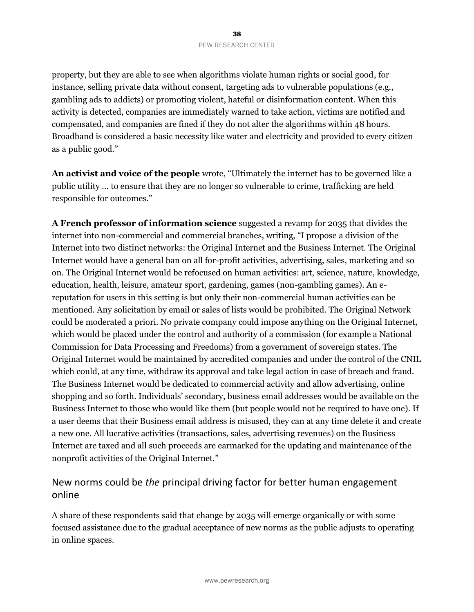property, but they are able to see when algorithms violate human rights or social good, for instance, selling private data without consent, targeting ads to vulnerable populations (e.g., gambling ads to addicts) or promoting violent, hateful or disinformation content. When this activity is detected, companies are immediately warned to take action, victims are notified and compensated, and companies are fined if they do not alter the algorithms within 48 hours. Broadband is considered a basic necessity like water and electricity and provided to every citizen as a public good."

**An activist and voice of the people** wrote, "Ultimately the internet has to be governed like a public utility … to ensure that they are no longer so vulnerable to crime, trafficking are held responsible for outcomes."

**A French professor of information science** suggested a revamp for 2035 that divides the internet into non-commercial and commercial branches, writing, "I propose a division of the Internet into two distinct networks: the Original Internet and the Business Internet. The Original Internet would have a general ban on all for-profit activities, advertising, sales, marketing and so on. The Original Internet would be refocused on human activities: art, science, nature, knowledge, education, health, leisure, amateur sport, gardening, games (non-gambling games). An ereputation for users in this setting is but only their non-commercial human activities can be mentioned. Any solicitation by email or sales of lists would be prohibited. The Original Network could be moderated a priori. No private company could impose anything on the Original Internet, which would be placed under the control and authority of a commission (for example a National Commission for Data Processing and Freedoms) from a government of sovereign states. The Original Internet would be maintained by accredited companies and under the control of the CNIL which could, at any time, withdraw its approval and take legal action in case of breach and fraud. The Business Internet would be dedicated to commercial activity and allow advertising, online shopping and so forth. Individuals' secondary, business email addresses would be available on the Business Internet to those who would like them (but people would not be required to have one). If a user deems that their Business email address is misused, they can at any time delete it and create a new one. All lucrative activities (transactions, sales, advertising revenues) on the Business Internet are taxed and all such proceeds are earmarked for the updating and maintenance of the nonprofit activities of the Original Internet."

### New norms could be *the* principal driving factor for better human engagement online

A share of these respondents said that change by 2035 will emerge organically or with some focused assistance due to the gradual acceptance of new norms as the public adjusts to operating in online spaces.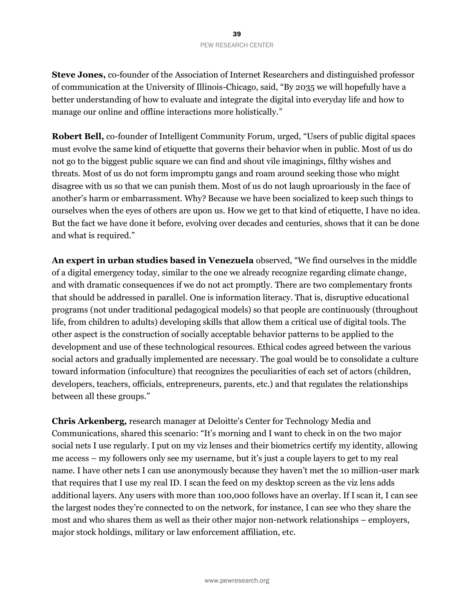**Steve Jones,** co-founder of the Association of Internet Researchers and distinguished professor of communication at the University of Illinois-Chicago, said, "By 2035 we will hopefully have a better understanding of how to evaluate and integrate the digital into everyday life and how to manage our online and offline interactions more holistically."

**Robert Bell,** co-founder of Intelligent Community Forum, urged, "Users of public digital spaces must evolve the same kind of etiquette that governs their behavior when in public. Most of us do not go to the biggest public square we can find and shout vile imaginings, filthy wishes and threats. Most of us do not form impromptu gangs and roam around seeking those who might disagree with us so that we can punish them. Most of us do not laugh uproariously in the face of another's harm or embarrassment. Why? Because we have been socialized to keep such things to ourselves when the eyes of others are upon us. How we get to that kind of etiquette, I have no idea. But the fact we have done it before, evolving over decades and centuries, shows that it can be done and what is required."

**An expert in urban studies based in Venezuela** observed, "We find ourselves in the middle of a digital emergency today, similar to the one we already recognize regarding climate change, and with dramatic consequences if we do not act promptly. There are two complementary fronts that should be addressed in parallel. One is information literacy. That is, disruptive educational programs (not under traditional pedagogical models) so that people are continuously (throughout life, from children to adults) developing skills that allow them a critical use of digital tools. The other aspect is the construction of socially acceptable behavior patterns to be applied to the development and use of these technological resources. Ethical codes agreed between the various social actors and gradually implemented are necessary. The goal would be to consolidate a culture toward information (infoculture) that recognizes the peculiarities of each set of actors (children, developers, teachers, officials, entrepreneurs, parents, etc.) and that regulates the relationships between all these groups."

**Chris Arkenberg,** research manager at Deloitte's Center for Technology Media and Communications, shared this scenario: "It's morning and I want to check in on the two major social nets I use regularly. I put on my viz lenses and their biometrics certify my identity, allowing me access – my followers only see my username, but it's just a couple layers to get to my real name. I have other nets I can use anonymously because they haven't met the 10 million-user mark that requires that I use my real ID. I scan the feed on my desktop screen as the viz lens adds additional layers. Any users with more than 100,000 follows have an overlay. If I scan it, I can see the largest nodes they're connected to on the network, for instance, I can see who they share the most and who shares them as well as their other major non-network relationships – employers, major stock holdings, military or law enforcement affiliation, etc.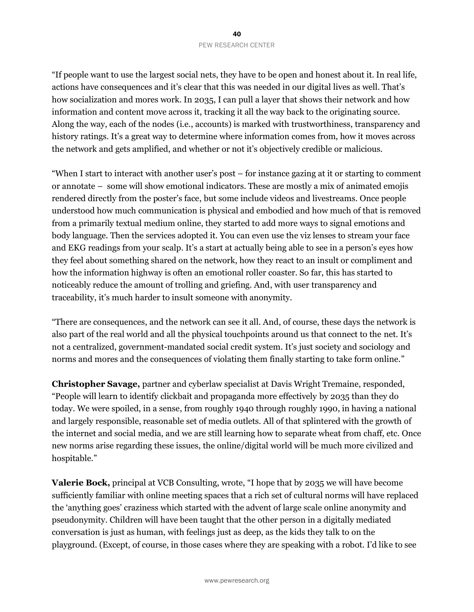"If people want to use the largest social nets, they have to be open and honest about it. In real life, actions have consequences and it's clear that this was needed in our digital lives as well. That's how socialization and mores work. In 2035, I can pull a layer that shows their network and how information and content move across it, tracking it all the way back to the originating source. Along the way, each of the nodes (i.e., accounts) is marked with trustworthiness, transparency and history ratings. It's a great way to determine where information comes from, how it moves across the network and gets amplified, and whether or not it's objectively credible or malicious.

"When I start to interact with another user's post – for instance gazing at it or starting to comment or annotate – some will show emotional indicators. These are mostly a mix of animated emojis rendered directly from the poster's face, but some include videos and livestreams. Once people understood how much communication is physical and embodied and how much of that is removed from a primarily textual medium online, they started to add more ways to signal emotions and body language. Then the services adopted it. You can even use the viz lenses to stream your face and EKG readings from your scalp. It's a start at actually being able to see in a person's eyes how they feel about something shared on the network, how they react to an insult or compliment and how the information highway is often an emotional roller coaster. So far, this has started to noticeably reduce the amount of trolling and griefing. And, with user transparency and traceability, it's much harder to insult someone with anonymity.

"There are consequences, and the network can see it all. And, of course, these days the network is also part of the real world and all the physical touchpoints around us that connect to the net. It's not a centralized, government-mandated social credit system. It's just society and sociology and norms and mores and the consequences of violating them finally starting to take form online."

**Christopher Savage,** partner and cyberlaw specialist at Davis Wright Tremaine, responded, "People will learn to identify clickbait and propaganda more effectively by 2035 than they do today. We were spoiled, in a sense, from roughly 1940 through roughly 1990, in having a national and largely responsible, reasonable set of media outlets. All of that splintered with the growth of the internet and social media, and we are still learning how to separate wheat from chaff, etc. Once new norms arise regarding these issues, the online/digital world will be much more civilized and hospitable."

**Valerie Bock,** principal at VCB Consulting, wrote, "I hope that by 2035 we will have become sufficiently familiar with online meeting spaces that a rich set of cultural norms will have replaced the 'anything goes' craziness which started with the advent of large scale online anonymity and pseudonymity. Children will have been taught that the other person in a digitally mediated conversation is just as human, with feelings just as deep, as the kids they talk to on the playground. (Except, of course, in those cases where they are speaking with a robot. I'd like to see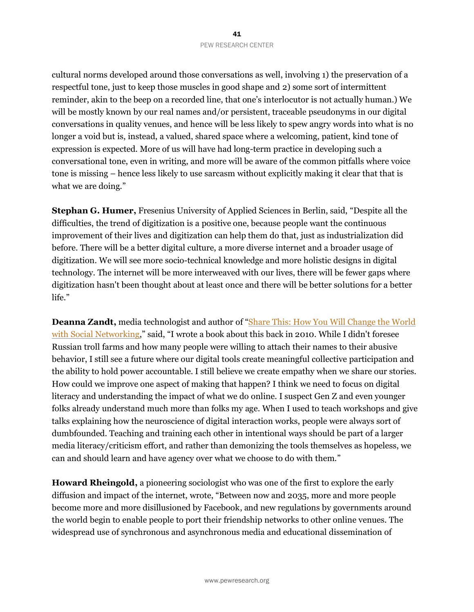cultural norms developed around those conversations as well, involving 1) the preservation of a respectful tone, just to keep those muscles in good shape and 2) some sort of intermittent reminder, akin to the beep on a recorded line, that one's interlocutor is not actually human.) We will be mostly known by our real names and/or persistent, traceable pseudonyms in our digital conversations in quality venues, and hence will be less likely to spew angry words into what is no longer a void but is, instead, a valued, shared space where a welcoming, patient, kind tone of expression is expected. More of us will have had long-term practice in developing such a conversational tone, even in writing, and more will be aware of the common pitfalls where voice tone is missing – hence less likely to use sarcasm without explicitly making it clear that that is what we are doing."

**Stephan G. Humer,** Fresenius University of Applied Sciences in Berlin, said, "Despite all the difficulties, the trend of digitization is a positive one, because people want the continuous improvement of their lives and digitization can help them do that, just as industrialization did before. There will be a better digital culture, a more diverse internet and a broader usage of digitization. We will see more socio-technical knowledge and more holistic designs in digital technology. The internet will be more interweaved with our lives, there will be fewer gaps where digitization hasn't been thought about at least once and there will be better solutions for a better life."

Deanna Zandt, media technologist and author of "Share This: How You Will Change the World [with Social Networking,](https://www.goodreads.com/book/show/7645343-share-this)" said, "I wrote a book about this back in 2010. While I didn't foresee Russian troll farms and how many people were willing to attach their names to their abusive behavior, I still see a future where our digital tools create meaningful collective participation and the ability to hold power accountable. I still believe we create empathy when we share our stories. How could we improve one aspect of making that happen? I think we need to focus on digital literacy and understanding the impact of what we do online. I suspect Gen Z and even younger folks already understand much more than folks my age. When I used to teach workshops and give talks explaining how the neuroscience of digital interaction works, people were always sort of dumbfounded. Teaching and training each other in intentional ways should be part of a larger media literacy/criticism effort, and rather than demonizing the tools themselves as hopeless, we can and should learn and have agency over what we choose to do with them."

**Howard Rheingold,** a pioneering sociologist who was one of the first to explore the early diffusion and impact of the internet, wrote, "Between now and 2035, more and more people become more and more disillusioned by Facebook, and new regulations by governments around the world begin to enable people to port their friendship networks to other online venues. The widespread use of synchronous and asynchronous media and educational dissemination of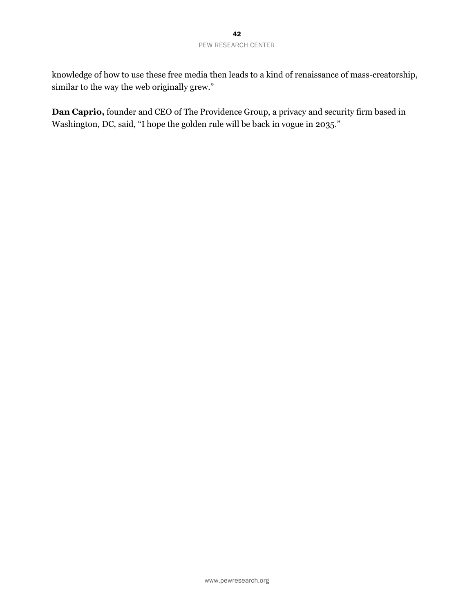knowledge of how to use these free media then leads to a kind of renaissance of mass-creatorship, similar to the way the web originally grew."

**Dan Caprio,** founder and CEO of The Providence Group, a privacy and security firm based in Washington, DC, said, "I hope the golden rule will be back in vogue in 2035."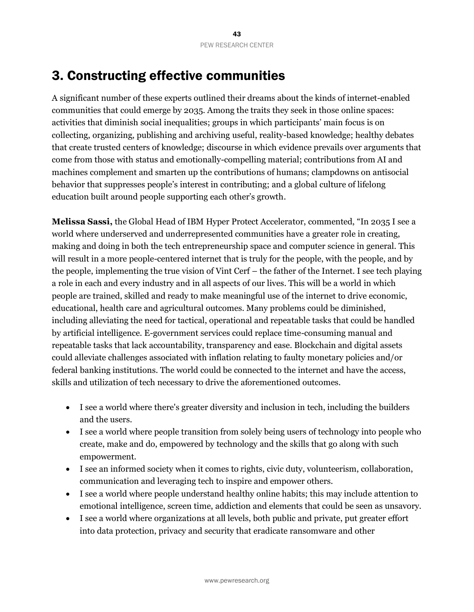# 3. Constructing effective communities

A significant number of these experts outlined their dreams about the kinds of internet-enabled communities that could emerge by 2035. Among the traits they seek in those online spaces: activities that diminish social inequalities; groups in which participants' main focus is on collecting, organizing, publishing and archiving useful, reality-based knowledge; healthy debates that create trusted centers of knowledge; discourse in which evidence prevails over arguments that come from those with status and emotionally-compelling material; contributions from AI and machines complement and smarten up the contributions of humans; clampdowns on antisocial behavior that suppresses people's interest in contributing; and a global culture of lifelong education built around people supporting each other's growth.

**Melissa Sassi,** the Global Head of IBM Hyper Protect Accelerator, commented, "In 2035 I see a world where underserved and underrepresented communities have a greater role in creating, making and doing in both the tech entrepreneurship space and computer science in general. This will result in a more people-centered internet that is truly for the people, with the people, and by the people, implementing the true vision of Vint Cerf – the father of the Internet. I see tech playing a role in each and every industry and in all aspects of our lives. This will be a world in which people are trained, skilled and ready to make meaningful use of the internet to drive economic, educational, health care and agricultural outcomes. Many problems could be diminished, including alleviating the need for tactical, operational and repeatable tasks that could be handled by artificial intelligence. E-government services could replace time-consuming manual and repeatable tasks that lack accountability, transparency and ease. Blockchain and digital assets could alleviate challenges associated with inflation relating to faulty monetary policies and/or federal banking institutions. The world could be connected to the internet and have the access, skills and utilization of tech necessary to drive the aforementioned outcomes.

- I see a world where there's greater diversity and inclusion in tech, including the builders and the users.
- I see a world where people transition from solely being users of technology into people who create, make and do, empowered by technology and the skills that go along with such empowerment.
- I see an informed society when it comes to rights, civic duty, volunteerism, collaboration, communication and leveraging tech to inspire and empower others.
- I see a world where people understand healthy online habits; this may include attention to emotional intelligence, screen time, addiction and elements that could be seen as unsavory.
- I see a world where organizations at all levels, both public and private, put greater effort into data protection, privacy and security that eradicate ransomware and other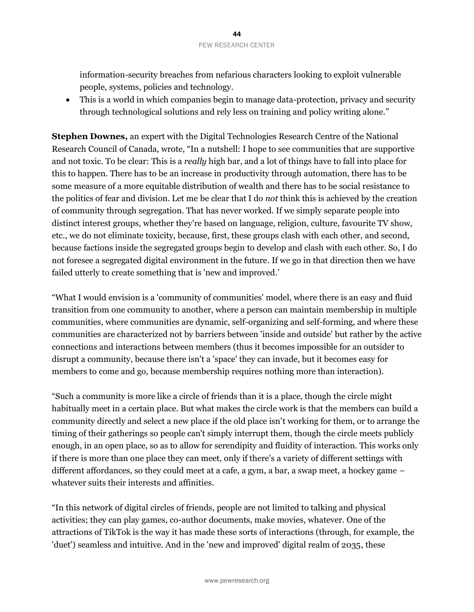information-security breaches from nefarious characters looking to exploit vulnerable people, systems, policies and technology.

• This is a world in which companies begin to manage data-protection, privacy and security through technological solutions and rely less on training and policy writing alone."

**Stephen Downes,** an expert with the Digital Technologies Research Centre of the National Research Council of Canada, wrote, "In a nutshell: I hope to see communities that are supportive and not toxic. To be clear: This is a *really* high bar, and a lot of things have to fall into place for this to happen. There has to be an increase in productivity through automation, there has to be some measure of a more equitable distribution of wealth and there has to be social resistance to the politics of fear and division. Let me be clear that I do *not* think this is achieved by the creation of community through segregation. That has never worked. If we simply separate people into distinct interest groups, whether they're based on language, religion, culture, favourite TV show, etc., we do not eliminate toxicity, because, first, these groups clash with each other, and second, because factions inside the segregated groups begin to develop and clash with each other. So, I do not foresee a segregated digital environment in the future. If we go in that direction then we have failed utterly to create something that is 'new and improved.'

"What I would envision is a 'community of communities' model, where there is an easy and fluid transition from one community to another, where a person can maintain membership in multiple communities, where communities are dynamic, self-organizing and self-forming, and where these communities are characterized not by barriers between 'inside and outside' but rather by the active connections and interactions between members (thus it becomes impossible for an outsider to disrupt a community, because there isn't a 'space' they can invade, but it becomes easy for members to come and go, because membership requires nothing more than interaction).

"Such a community is more like a circle of friends than it is a place, though the circle might habitually meet in a certain place. But what makes the circle work is that the members can build a community directly and select a new place if the old place isn't working for them, or to arrange the timing of their gatherings so people can't simply interrupt them, though the circle meets publicly enough, in an open place, so as to allow for serendipity and fluidity of interaction. This works only if there is more than one place they can meet, only if there's a variety of different settings with different affordances, so they could meet at a cafe, a gym, a bar, a swap meet, a hockey game – whatever suits their interests and affinities.

"In this network of digital circles of friends, people are not limited to talking and physical activities; they can play games, co-author documents, make movies, whatever. One of the attractions of TikTok is the way it has made these sorts of interactions (through, for example, the 'duet') seamless and intuitive. And in the 'new and improved' digital realm of 2035, these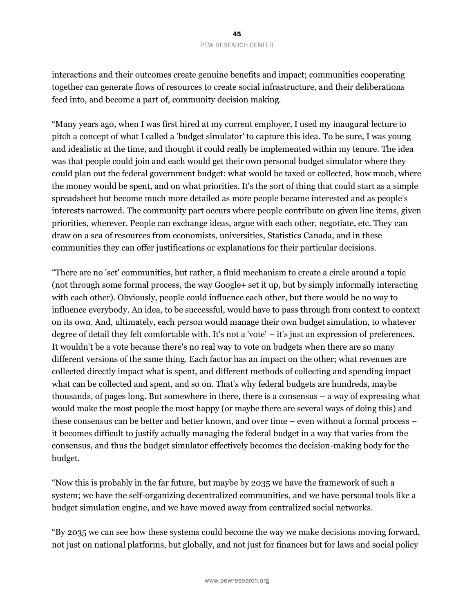interactions and their outcomes create genuine benefits and impact; communities cooperating together can generate flows of resources to create social infrastructure, and their deliberations feed into, and become a part of, community decision making.

"Many years ago, when I was first hired at my current employer, I used my inaugural lecture to pitch a concept of what I called a 'budget simulator' to capture this idea. To be sure, I was young and idealistic at the time, and thought it could really be implemented within my tenure. The idea was that people could join and each would get their own personal budget simulator where they could plan out the federal government budget: what would be taxed or collected, how much, where the money would be spent, and on what priorities. It's the sort of thing that could start as a simple spreadsheet but become much more detailed as more people became interested and as people's interests narrowed. The community part occurs where people contribute on given line items, given priorities, wherever. People can exchange ideas, argue with each other, negotiate, etc. They can draw on a sea of resources from economists, universities, Statistics Canada, and in these communities they can offer justifications or explanations for their particular decisions.

"There are no 'set' communities, but rather, a fluid mechanism to create a circle around a topic (not through some formal process, the way Google+ set it up, but by simply informally interacting with each other). Obviously, people could influence each other, but there would be no way to influence everybody. An idea, to be successful, would have to pass through from context to context on its own. And, ultimately, each person would manage their own budget simulation, to whatever degree of detail they felt comfortable with. It's not a 'vote' – it's just an expression of preferences. It wouldn't be a vote because there's no real way to vote on budgets when there are so many different versions of the same thing. Each factor has an impact on the other; what revenues are collected directly impact what is spent, and different methods of collecting and spending impact what can be collected and spent, and so on. That's why federal budgets are hundreds, maybe thousands, of pages long. But somewhere in there, there is a consensus – a way of expressing what would make the most people the most happy (or maybe there are several ways of doing this) and these consensus can be better and better known, and over time – even without a formal process – it becomes difficult to justify actually managing the federal budget in a way that varies from the consensus, and thus the budget simulator effectively becomes the decision-making body for the budget.

"Now this is probably in the far future, but maybe by 2035 we have the framework of such a system; we have the self-organizing decentralized communities, and we have personal tools like a budget simulation engine, and we have moved away from centralized social networks.

"By 2035 we can see how these systems could become the way we make decisions moving forward, not just on national platforms, but globally, and not just for finances but for laws and social policy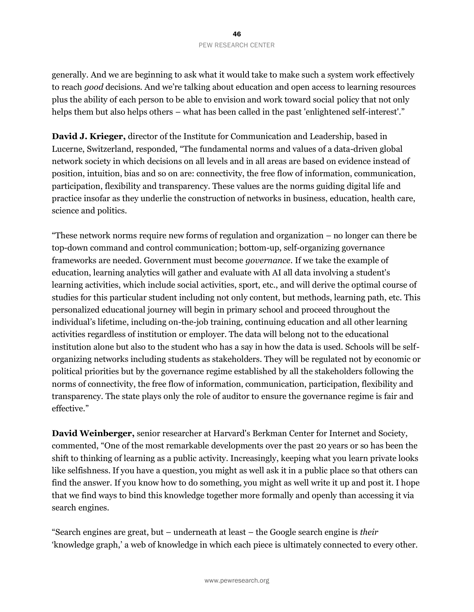#### 46 PEW RESEARCH CENTER

generally. And we are beginning to ask what it would take to make such a system work effectively to reach *good* decisions. And we're talking about education and open access to learning resources plus the ability of each person to be able to envision and work toward social policy that not only helps them but also helps others – what has been called in the past 'enlightened self-interest'."

**David J. Krieger,** director of the Institute for Communication and Leadership, based in Lucerne, Switzerland, responded, "The fundamental norms and values of a data-driven global network society in which decisions on all levels and in all areas are based on evidence instead of position, intuition, bias and so on are: connectivity, the free flow of information, communication, participation, flexibility and transparency. These values are the norms guiding digital life and practice insofar as they underlie the construction of networks in business, education, health care, science and politics.

"These network norms require new forms of regulation and organization – no longer can there be top-down command and control communication; bottom-up, self-organizing governance frameworks are needed. Government must become *governance*. If we take the example of education, learning analytics will gather and evaluate with AI all data involving a student's learning activities, which include social activities, sport, etc., and will derive the optimal course of studies for this particular student including not only content, but methods, learning path, etc. This personalized educational journey will begin in primary school and proceed throughout the individual's lifetime, including on-the-job training, continuing education and all other learning activities regardless of institution or employer. The data will belong not to the educational institution alone but also to the student who has a say in how the data is used. Schools will be selforganizing networks including students as stakeholders. They will be regulated not by economic or political priorities but by the governance regime established by all the stakeholders following the norms of connectivity, the free flow of information, communication, participation, flexibility and transparency. The state plays only the role of auditor to ensure the governance regime is fair and effective."

**David Weinberger,** senior researcher at Harvard's Berkman Center for Internet and Society, commented, "One of the most remarkable developments over the past 20 years or so has been the shift to thinking of learning as a public activity. Increasingly, keeping what you learn private looks like selfishness. If you have a question, you might as well ask it in a public place so that others can find the answer. If you know how to do something, you might as well write it up and post it. I hope that we find ways to bind this knowledge together more formally and openly than accessing it via search engines.

"Search engines are great, but – underneath at least – the Google search engine is *their* 'knowledge graph,' a web of knowledge in which each piece is ultimately connected to every other.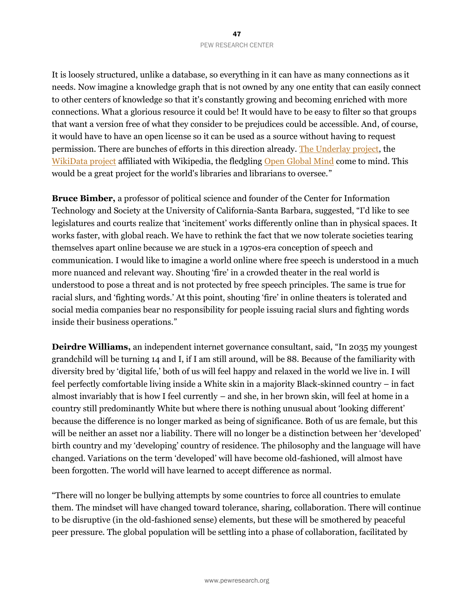It is loosely structured, unlike a database, so everything in it can have as many connections as it needs. Now imagine a knowledge graph that is not owned by any one entity that can easily connect to other centers of knowledge so that it's constantly growing and becoming enriched with more connections. What a glorious resource it could be! It would have to be easy to filter so that groups that want a version free of what they consider to be prejudices could be accessible. And, of course, it would have to have an open license so it can be used as a source without having to request permission. There are bunches of efforts in this direction already. [The Underlay project,](https://www.underlay.org/) the [WikiData project](https://www.wikidata.org/wiki/Wikidata:Introduction) affiliated with Wikipedia, the fledgling [Open Global Mind](https://openglobalmind.com/) come to mind. This would be a great project for the world's libraries and librarians to oversee."

**Bruce Bimber,** a professor of political science and founder of the Center for Information Technology and Society at the University of California-Santa Barbara, suggested, "I'd like to see legislatures and courts realize that 'incitement' works differently online than in physical spaces. It works faster, with global reach. We have to rethink the fact that we now tolerate societies tearing themselves apart online because we are stuck in a 1970s-era conception of speech and communication. I would like to imagine a world online where free speech is understood in a much more nuanced and relevant way. Shouting 'fire' in a crowded theater in the real world is understood to pose a threat and is not protected by free speech principles. The same is true for racial slurs, and 'fighting words.' At this point, shouting 'fire' in online theaters is tolerated and social media companies bear no responsibility for people issuing racial slurs and fighting words inside their business operations."

**Deirdre Williams,** an independent internet governance consultant, said, "In 2035 my youngest grandchild will be turning 14 and I, if I am still around, will be 88. Because of the familiarity with diversity bred by 'digital life,' both of us will feel happy and relaxed in the world we live in. I will feel perfectly comfortable living inside a White skin in a majority Black-skinned country – in fact almost invariably that is how I feel currently – and she, in her brown skin, will feel at home in a country still predominantly White but where there is nothing unusual about 'looking different' because the difference is no longer marked as being of significance. Both of us are female, but this will be neither an asset nor a liability. There will no longer be a distinction between her 'developed' birth country and my 'developing' country of residence. The philosophy and the language will have changed. Variations on the term 'developed' will have become old-fashioned, will almost have been forgotten. The world will have learned to accept difference as normal.

"There will no longer be bullying attempts by some countries to force all countries to emulate them. The mindset will have changed toward tolerance, sharing, collaboration. There will continue to be disruptive (in the old-fashioned sense) elements, but these will be smothered by peaceful peer pressure. The global population will be settling into a phase of collaboration, facilitated by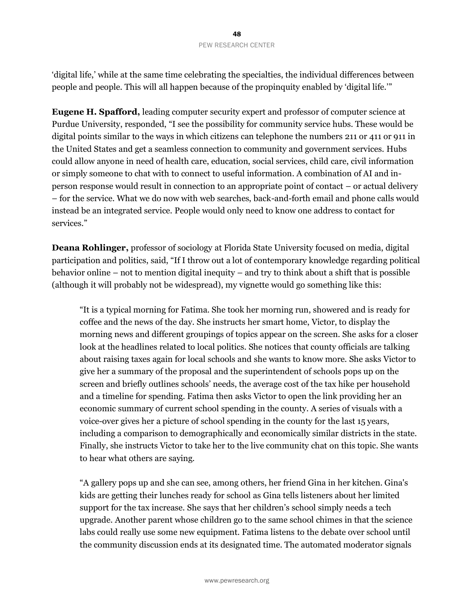#### 48 PEW RESEARCH CENTER

'digital life,' while at the same time celebrating the specialties, the individual differences between people and people. This will all happen because of the propinquity enabled by 'digital life.'"

**Eugene H. Spafford,** leading computer security expert and professor of computer science at Purdue University, responded, "I see the possibility for community service hubs. These would be digital points similar to the ways in which citizens can telephone the numbers 211 or 411 or 911 in the United States and get a seamless connection to community and government services. Hubs could allow anyone in need of health care, education, social services, child care, civil information or simply someone to chat with to connect to useful information. A combination of AI and inperson response would result in connection to an appropriate point of contact – or actual delivery – for the service. What we do now with web searches, back-and-forth email and phone calls would instead be an integrated service. People would only need to know one address to contact for services."

**Deana Rohlinger,** professor of sociology at Florida State University focused on media, digital participation and politics, said, "If I throw out a lot of contemporary knowledge regarding political behavior online – not to mention digital inequity – and try to think about a shift that is possible (although it will probably not be widespread), my vignette would go something like this:

"It is a typical morning for Fatima. She took her morning run, showered and is ready for coffee and the news of the day. She instructs her smart home, Victor, to display the morning news and different groupings of topics appear on the screen. She asks for a closer look at the headlines related to local politics. She notices that county officials are talking about raising taxes again for local schools and she wants to know more. She asks Victor to give her a summary of the proposal and the superintendent of schools pops up on the screen and briefly outlines schools' needs, the average cost of the tax hike per household and a timeline for spending. Fatima then asks Victor to open the link providing her an economic summary of current school spending in the county. A series of visuals with a voice-over gives her a picture of school spending in the county for the last 15 years, including a comparison to demographically and economically similar districts in the state. Finally, she instructs Victor to take her to the live community chat on this topic. She wants to hear what others are saying.

"A gallery pops up and she can see, among others, her friend Gina in her kitchen. Gina's kids are getting their lunches ready for school as Gina tells listeners about her limited support for the tax increase. She says that her children's school simply needs a tech upgrade. Another parent whose children go to the same school chimes in that the science labs could really use some new equipment. Fatima listens to the debate over school until the community discussion ends at its designated time. The automated moderator signals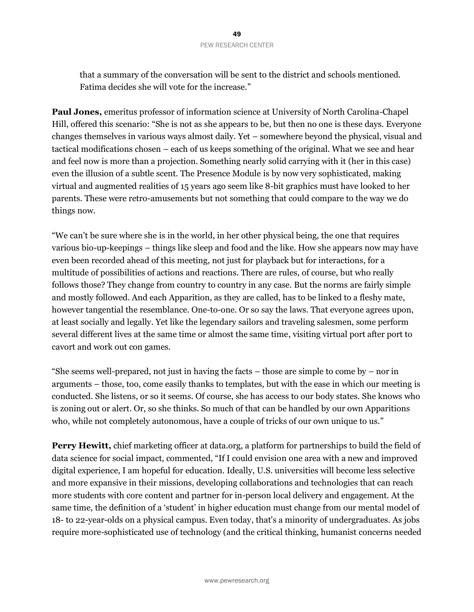that a summary of the conversation will be sent to the district and schools mentioned. Fatima decides she will vote for the increase."

**Paul Jones,** emeritus professor of information science at University of North Carolina-Chapel Hill, offered this scenario: "She is not as she appears to be, but then no one is these days. Everyone changes themselves in various ways almost daily. Yet – somewhere beyond the physical, visual and tactical modifications chosen – each of us keeps something of the original. What we see and hear and feel now is more than a projection. Something nearly solid carrying with it (her in this case) even the illusion of a subtle scent. The Presence Module is by now very sophisticated, making virtual and augmented realities of 15 years ago seem like 8-bit graphics must have looked to her parents. These were retro-amusements but not something that could compare to the way we do things now.

"We can't be sure where she is in the world, in her other physical being, the one that requires various bio-up-keepings – things like sleep and food and the like. How she appears now may have even been recorded ahead of this meeting, not just for playback but for interactions, for a multitude of possibilities of actions and reactions. There are rules, of course, but who really follows those? They change from country to country in any case. But the norms are fairly simple and mostly followed. And each Apparition, as they are called, has to be linked to a fleshy mate, however tangential the resemblance. One-to-one. Or so say the laws. That everyone agrees upon, at least socially and legally. Yet like the legendary sailors and traveling salesmen, some perform several different lives at the same time or almost the same time, visiting virtual port after port to cavort and work out con games.

"She seems well-prepared, not just in having the facts  $-$  those are simple to come by  $-$  nor in arguments – those, too, come easily thanks to templates, but with the ease in which our meeting is conducted. She listens, or so it seems. Of course, she has access to our body states. She knows who is zoning out or alert. Or, so she thinks. So much of that can be handled by our own Apparitions who, while not completely autonomous, have a couple of tricks of our own unique to us."

**Perry Hewitt,** chief marketing officer at data.org, a platform for partnerships to build the field of data science for social impact, commented, "If I could envision one area with a new and improved digital experience, I am hopeful for education. Ideally, U.S. universities will become less selective and more expansive in their missions, developing collaborations and technologies that can reach more students with core content and partner for in-person local delivery and engagement. At the same time, the definition of a 'student' in higher education must change from our mental model of 18- to 22-year-olds on a physical campus. Even today, that's a minority of undergraduates. As jobs require more-sophisticated use of technology (and the critical thinking, humanist concerns needed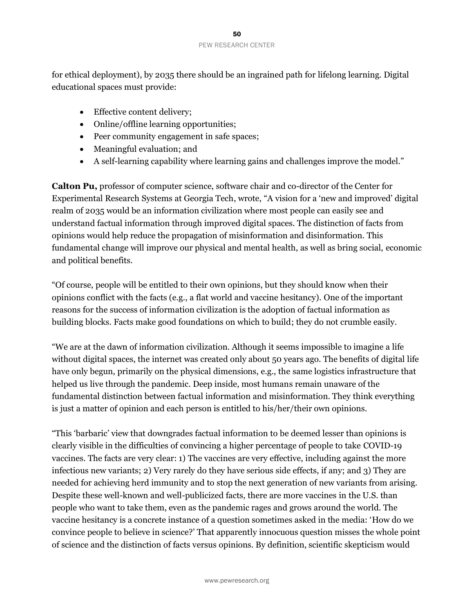for ethical deployment), by 2035 there should be an ingrained path for lifelong learning. Digital educational spaces must provide:

- Effective content delivery;
- Online/offline learning opportunities;
- Peer community engagement in safe spaces;
- Meaningful evaluation; and
- A self-learning capability where learning gains and challenges improve the model."

**Calton Pu,** professor of computer science, software chair and co-director of the Center for Experimental Research Systems at Georgia Tech, wrote, "A vision for a 'new and improved' digital realm of 2035 would be an information civilization where most people can easily see and understand factual information through improved digital spaces. The distinction of facts from opinions would help reduce the propagation of misinformation and disinformation. This fundamental change will improve our physical and mental health, as well as bring social, economic and political benefits.

"Of course, people will be entitled to their own opinions, but they should know when their opinions conflict with the facts (e.g., a flat world and vaccine hesitancy). One of the important reasons for the success of information civilization is the adoption of factual information as building blocks. Facts make good foundations on which to build; they do not crumble easily.

"We are at the dawn of information civilization. Although it seems impossible to imagine a life without digital spaces, the internet was created only about 50 years ago. The benefits of digital life have only begun, primarily on the physical dimensions, e.g., the same logistics infrastructure that helped us live through the pandemic. Deep inside, most humans remain unaware of the fundamental distinction between factual information and misinformation. They think everything is just a matter of opinion and each person is entitled to his/her/their own opinions.

"This 'barbaric' view that downgrades factual information to be deemed lesser than opinions is clearly visible in the difficulties of convincing a higher percentage of people to take COVID-19 vaccines. The facts are very clear: 1) The vaccines are very effective, including against the more infectious new variants; 2) Very rarely do they have serious side effects, if any; and 3) They are needed for achieving herd immunity and to stop the next generation of new variants from arising. Despite these well-known and well-publicized facts, there are more vaccines in the U.S. than people who want to take them, even as the pandemic rages and grows around the world. The vaccine hesitancy is a concrete instance of a question sometimes asked in the media: 'How do we convince people to believe in science?' That apparently innocuous question misses the whole point of science and the distinction of facts versus opinions. By definition, scientific skepticism would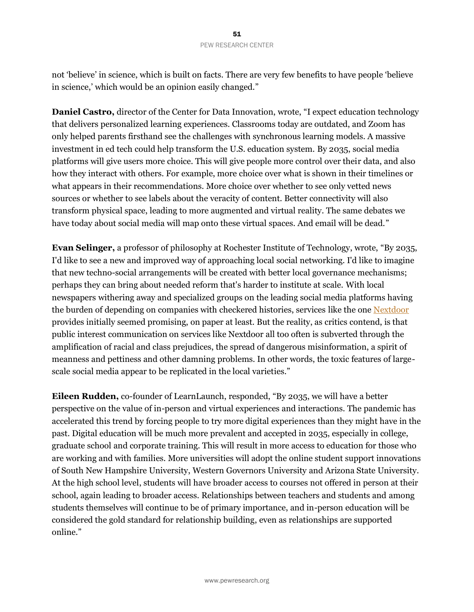not 'believe' in science, which is built on facts. There are very few benefits to have people 'believe in science,' which would be an opinion easily changed."

**Daniel Castro,** director of the Center for Data Innovation, wrote, "I expect education technology that delivers personalized learning experiences. Classrooms today are outdated, and Zoom has only helped parents firsthand see the challenges with synchronous learning models. A massive investment in ed tech could help transform the U.S. education system. By 2035, social media platforms will give users more choice. This will give people more control over their data, and also how they interact with others. For example, more choice over what is shown in their timelines or what appears in their recommendations. More choice over whether to see only vetted news sources or whether to see labels about the veracity of content. Better connectivity will also transform physical space, leading to more augmented and virtual reality. The same debates we have today about social media will map onto these virtual spaces. And email will be dead."

**Evan Selinger,** a professor of philosophy at Rochester Institute of Technology, wrote, "By 2035, I'd like to see a new and improved way of approaching local social networking. I'd like to imagine that new techno-social arrangements will be created with better local governance mechanisms; perhaps they can bring about needed reform that's harder to institute at scale. With local newspapers withering away and specialized groups on the leading social media platforms having the burden of depending on companies with checkered histories, services like the one [Nextdoor](https://nextdoor.com/) provides initially seemed promising, on paper at least. But the reality, as critics contend, is that public interest communication on services like Nextdoor all too often is subverted through the amplification of racial and class prejudices, the spread of dangerous misinformation, a spirit of meanness and pettiness and other damning problems. In other words, the toxic features of largescale social media appear to be replicated in the local varieties."

**Eileen Rudden,** co-founder of LearnLaunch, responded, "By 2035, we will have a better perspective on the value of in-person and virtual experiences and interactions. The pandemic has accelerated this trend by forcing people to try more digital experiences than they might have in the past. Digital education will be much more prevalent and accepted in 2035, especially in college, graduate school and corporate training. This will result in more access to education for those who are working and with families. More universities will adopt the online student support innovations of South New Hampshire University, Western Governors University and Arizona State University. At the high school level, students will have broader access to courses not offered in person at their school, again leading to broader access. Relationships between teachers and students and among students themselves will continue to be of primary importance, and in-person education will be considered the gold standard for relationship building, even as relationships are supported online."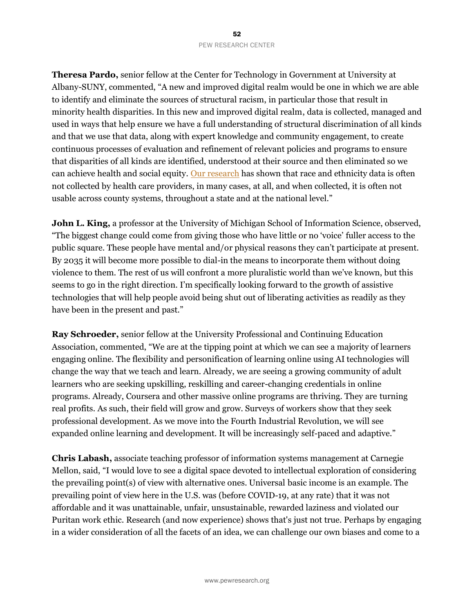### 52 PEW RESEARCH CENTER

**Theresa Pardo,** senior fellow at the Center for Technology in Government at University at Albany-SUNY, commented, "A new and improved digital realm would be one in which we are able to identify and eliminate the sources of structural racism, in particular those that result in minority health disparities. In this new and improved digital realm, data is collected, managed and used in ways that help ensure we have a full understanding of structural discrimination of all kinds and that we use that data, along with expert knowledge and community engagement, to create continuous processes of evaluation and refinement of relevant policies and programs to ensure that disparities of all kinds are identified, understood at their source and then eliminated so we can achieve health and social equity. [Our research](https://www.albany.edu/communicationsmarketing/covid-19-documents/Differential-Impacts-of-COVID-19-NYS%20-%20June-2021%5b2%5d.pdf) has shown that race and ethnicity data is often not collected by health care providers, in many cases, at all, and when collected, it is often not usable across county systems, throughout a state and at the national level."

John L. King, a professor at the University of Michigan School of Information Science, observed, "The biggest change could come from giving those who have little or no 'voice' fuller access to the public square. These people have mental and/or physical reasons they can't participate at present. By 2035 it will become more possible to dial-in the means to incorporate them without doing violence to them. The rest of us will confront a more pluralistic world than we've known, but this seems to go in the right direction. I'm specifically looking forward to the growth of assistive technologies that will help people avoid being shut out of liberating activities as readily as they have been in the present and past."

**Ray Schroeder,** senior fellow at the University Professional and Continuing Education Association, commented, "We are at the tipping point at which we can see a majority of learners engaging online. The flexibility and personification of learning online using AI technologies will change the way that we teach and learn. Already, we are seeing a growing community of adult learners who are seeking upskilling, reskilling and career-changing credentials in online programs. Already, Coursera and other massive online programs are thriving. They are turning real profits. As such, their field will grow and grow. Surveys of workers show that they seek professional development. As we move into the Fourth Industrial Revolution, we will see expanded online learning and development. It will be increasingly self-paced and adaptive."

**Chris Labash,** associate teaching professor of information systems management at Carnegie Mellon, said, "I would love to see a digital space devoted to intellectual exploration of considering the prevailing point(s) of view with alternative ones. Universal basic income is an example. The prevailing point of view here in the U.S. was (before COVID-19, at any rate) that it was not affordable and it was unattainable, unfair, unsustainable, rewarded laziness and violated our Puritan work ethic. Research (and now experience) shows that's just not true. Perhaps by engaging in a wider consideration of all the facets of an idea, we can challenge our own biases and come to a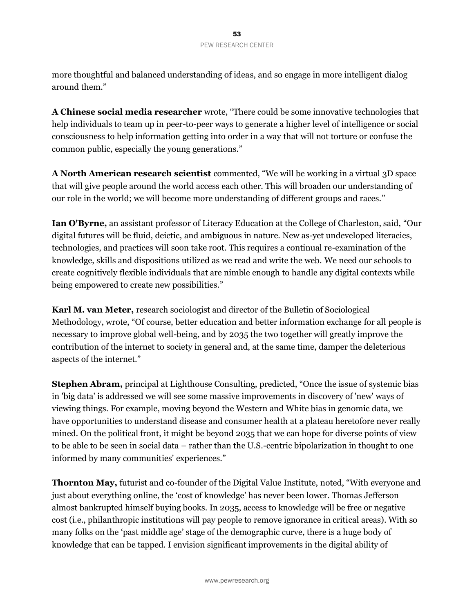more thoughtful and balanced understanding of ideas, and so engage in more intelligent dialog around them."

**A Chinese social media researcher** wrote, "There could be some innovative technologies that help individuals to team up in peer-to-peer ways to generate a higher level of intelligence or social consciousness to help information getting into order in a way that will not torture or confuse the common public, especially the young generations."

**A North American research scientist** commented, "We will be working in a virtual 3D space that will give people around the world access each other. This will broaden our understanding of our role in the world; we will become more understanding of different groups and races."

**Ian O'Byrne,** an assistant professor of Literacy Education at the College of Charleston, said, "Our digital futures will be fluid, deictic, and ambiguous in nature. New as-yet undeveloped literacies, technologies, and practices will soon take root. This requires a continual re-examination of the knowledge, skills and dispositions utilized as we read and write the web. We need our schools to create cognitively flexible individuals that are nimble enough to handle any digital contexts while being empowered to create new possibilities."

**Karl M. van Meter,** research sociologist and director of the Bulletin of Sociological Methodology, wrote, "Of course, better education and better information exchange for all people is necessary to improve global well-being, and by 2035 the two together will greatly improve the contribution of the internet to society in general and, at the same time, damper the deleterious aspects of the internet."

**Stephen Abram,** principal at Lighthouse Consulting, predicted, "Once the issue of systemic bias in 'big data' is addressed we will see some massive improvements in discovery of 'new' ways of viewing things. For example, moving beyond the Western and White bias in genomic data, we have opportunities to understand disease and consumer health at a plateau heretofore never really mined. On the political front, it might be beyond 2035 that we can hope for diverse points of view to be able to be seen in social data – rather than the U.S.-centric bipolarization in thought to one informed by many communities' experiences."

**Thornton May,** futurist and co-founder of the Digital Value Institute, noted, "With everyone and just about everything online, the 'cost of knowledge' has never been lower. Thomas Jefferson almost bankrupted himself buying books. In 2035, access to knowledge will be free or negative cost (i.e., philanthropic institutions will pay people to remove ignorance in critical areas). With so many folks on the 'past middle age' stage of the demographic curve, there is a huge body of knowledge that can be tapped. I envision significant improvements in the digital ability of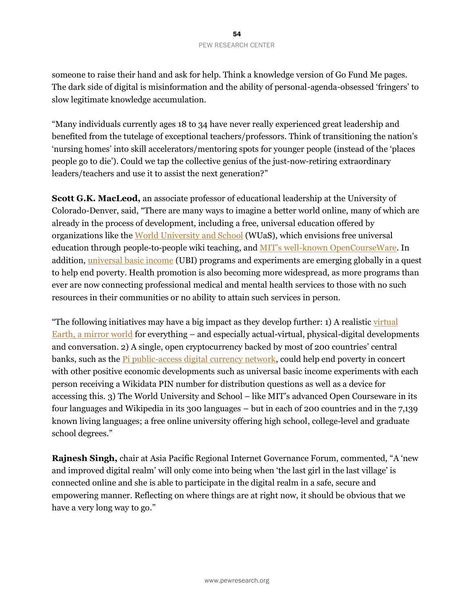someone to raise their hand and ask for help. Think a knowledge version of Go Fund Me pages. The dark side of digital is misinformation and the ability of personal-agenda-obsessed 'fringers' to slow legitimate knowledge accumulation.

"Many individuals currently ages 18 to 34 have never really experienced great leadership and benefited from the tutelage of exceptional teachers/professors. Think of transitioning the nation's 'nursing homes' into skill accelerators/mentoring spots for younger people (instead of the 'places people go to die'). Could we tap the collective genius of the just-now-retiring extraordinary leaders/teachers and use it to assist the next generation?"

**Scott G.K. MacLeod,** an associate professor of educational leadership at the University of Colorado-Denver, said, "There are many ways to imagine a better world online, many of which are already in the process of development, including a free, universal education offered by organizations like the [World University and School](http://worlduniversityandschool.org/) (WUaS), which envisions free universal education through people-to-people wiki teaching, and MIT's well-known [OpenCourseWare.](https://ocw.mit.edu/index.htm) In addition, [universal basic income](https://en.wikipedia.org/wiki/Universal_basic_income) (UBI) programs and experiments are emerging globally in a quest to help end poverty. Health promotion is also becoming more widespread, as more programs than ever are now connecting professional medical and mental health services to those with no such resources in their communities or no ability to attain such services in person.

"The following initiatives may have a big impact as they develop further: 1) A realistic virtual [Earth, a mirror world](https://en.wikipedia.org/wiki/Mirror_world) for everything – and especially actual-virtual, physical-digital developments and conversation. 2) A single, open cryptocurrency backed by most of 200 countries' central banks, such as th[e Pi public-access digital currency network,](https://capital.com/pi-network-pi-coin-price-prediction-2021-2025) could help end poverty in concert with other positive economic developments such as universal basic income experiments with each person receiving a Wikidata PIN number for distribution questions as well as a device for accessing this. 3) The World University and School – like MIT's advanced Open Courseware in its four languages and Wikipedia in its 300 languages – but in each of 200 countries and in the 7,139 known living languages; a free online university offering high school, college-level and graduate school degrees."

**Rajnesh Singh,** chair at Asia Pacific Regional Internet Governance Forum, commented, "A 'new and improved digital realm' will only come into being when 'the last girl in the last village' is connected online and she is able to participate in the digital realm in a safe, secure and empowering manner. Reflecting on where things are at right now, it should be obvious that we have a very long way to go."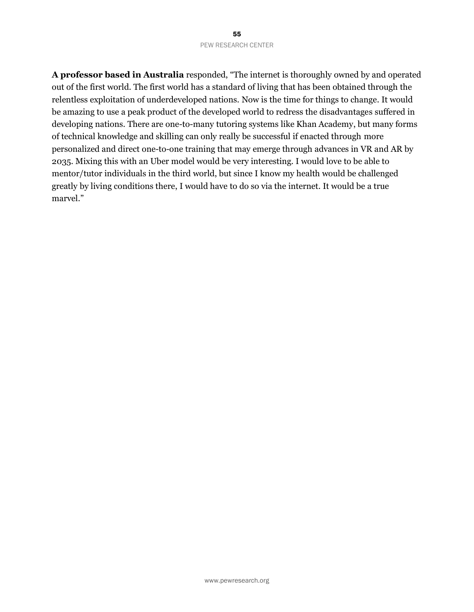#### 55 PEW RESEARCH CENTER

**A professor based in Australia** responded, "The internet is thoroughly owned by and operated out of the first world. The first world has a standard of living that has been obtained through the relentless exploitation of underdeveloped nations. Now is the time for things to change. It would be amazing to use a peak product of the developed world to redress the disadvantages suffered in developing nations. There are one-to-many tutoring systems like Khan Academy, but many forms of technical knowledge and skilling can only really be successful if enacted through more personalized and direct one-to-one training that may emerge through advances in VR and AR by 2035. Mixing this with an Uber model would be very interesting. I would love to be able to mentor/tutor individuals in the third world, but since I know my health would be challenged greatly by living conditions there, I would have to do so via the internet. It would be a true marvel."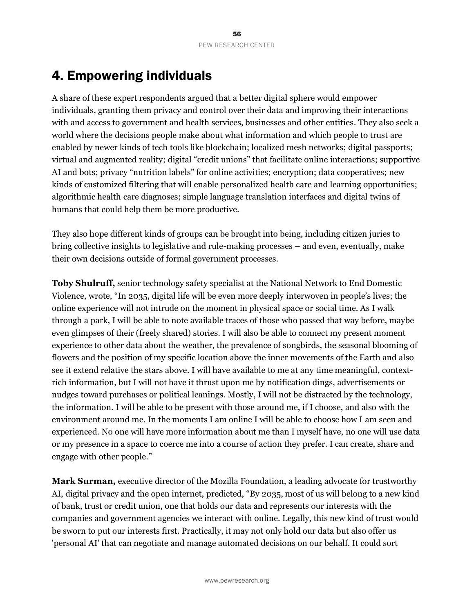# 4. Empowering individuals

A share of these expert respondents argued that a better digital sphere would empower individuals, granting them privacy and control over their data and improving their interactions with and access to government and health services, businesses and other entities. They also seek a world where the decisions people make about what information and which people to trust are enabled by newer kinds of tech tools like blockchain; localized mesh networks; digital passports; virtual and augmented reality; digital "credit unions" that facilitate online interactions; supportive AI and bots; privacy "nutrition labels" for online activities; encryption; data cooperatives; new kinds of customized filtering that will enable personalized health care and learning opportunities; algorithmic health care diagnoses; simple language translation interfaces and digital twins of humans that could help them be more productive.

They also hope different kinds of groups can be brought into being, including citizen juries to bring collective insights to legislative and rule-making processes – and even, eventually, make their own decisions outside of formal government processes.

**Toby Shulruff,** senior technology safety specialist at the National Network to End Domestic Violence, wrote, "In 2035, digital life will be even more deeply interwoven in people's lives; the online experience will not intrude on the moment in physical space or social time. As I walk through a park, I will be able to note available traces of those who passed that way before, maybe even glimpses of their (freely shared) stories. I will also be able to connect my present moment experience to other data about the weather, the prevalence of songbirds, the seasonal blooming of flowers and the position of my specific location above the inner movements of the Earth and also see it extend relative the stars above. I will have available to me at any time meaningful, contextrich information, but I will not have it thrust upon me by notification dings, advertisements or nudges toward purchases or political leanings. Mostly, I will not be distracted by the technology, the information. I will be able to be present with those around me, if I choose, and also with the environment around me. In the moments I am online I will be able to choose how I am seen and experienced. No one will have more information about me than I myself have, no one will use data or my presence in a space to coerce me into a course of action they prefer. I can create, share and engage with other people."

**Mark Surman,** executive director of the Mozilla Foundation, a leading advocate for trustworthy AI, digital privacy and the open internet, predicted, "By 2035, most of us will belong to a new kind of bank, trust or credit union, one that holds our data and represents our interests with the companies and government agencies we interact with online. Legally, this new kind of trust would be sworn to put our interests first. Practically, it may not only hold our data but also offer us 'personal AI' that can negotiate and manage automated decisions on our behalf. It could sort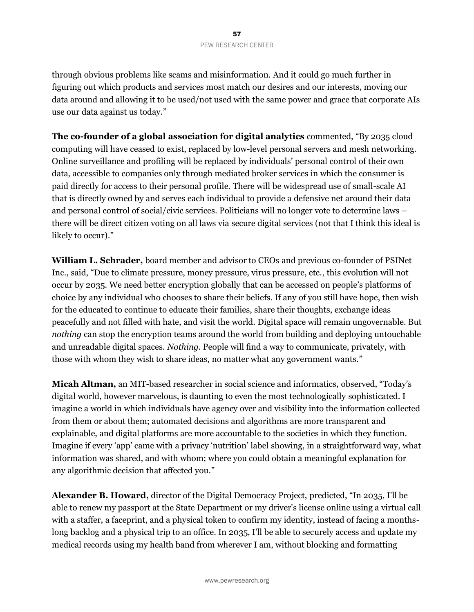through obvious problems like scams and misinformation. And it could go much further in figuring out which products and services most match our desires and our interests, moving our data around and allowing it to be used/not used with the same power and grace that corporate AIs use our data against us today."

**The co-founder of a global association for digital analytics** commented, "By 2035 cloud computing will have ceased to exist, replaced by low-level personal servers and mesh networking. Online surveillance and profiling will be replaced by individuals' personal control of their own data, accessible to companies only through mediated broker services in which the consumer is paid directly for access to their personal profile. There will be widespread use of small-scale AI that is directly owned by and serves each individual to provide a defensive net around their data and personal control of social/civic services. Politicians will no longer vote to determine laws – there will be direct citizen voting on all laws via secure digital services (not that I think this ideal is likely to occur)."

**William L. Schrader,** board member and advisor to CEOs and previous co-founder of PSINet Inc., said, "Due to climate pressure, money pressure, virus pressure, etc., this evolution will not occur by 2035. We need better encryption globally that can be accessed on people's platforms of choice by any individual who chooses to share their beliefs. If any of you still have hope, then wish for the educated to continue to educate their families, share their thoughts, exchange ideas peacefully and not filled with hate, and visit the world. Digital space will remain ungovernable. But *nothing* can stop the encryption teams around the world from building and deploying untouchable and unreadable digital spaces. *Nothing*. People will find a way to communicate, privately, with those with whom they wish to share ideas, no matter what any government wants."

**Micah Altman,** an MIT-based researcher in social science and informatics, observed, "Today's digital world, however marvelous, is daunting to even the most technologically sophisticated. I imagine a world in which individuals have agency over and visibility into the information collected from them or about them; automated decisions and algorithms are more transparent and explainable, and digital platforms are more accountable to the societies in which they function. Imagine if every 'app' came with a privacy 'nutrition' label showing, in a straightforward way, what information was shared, and with whom; where you could obtain a meaningful explanation for any algorithmic decision that affected you."

**Alexander B. Howard,** director of the Digital Democracy Project, predicted, "In 2035, I'll be able to renew my passport at the State Department or my driver's license online using a virtual call with a staffer, a faceprint, and a physical token to confirm my identity, instead of facing a monthslong backlog and a physical trip to an office. In 2035, I'll be able to securely access and update my medical records using my health band from wherever I am, without blocking and formatting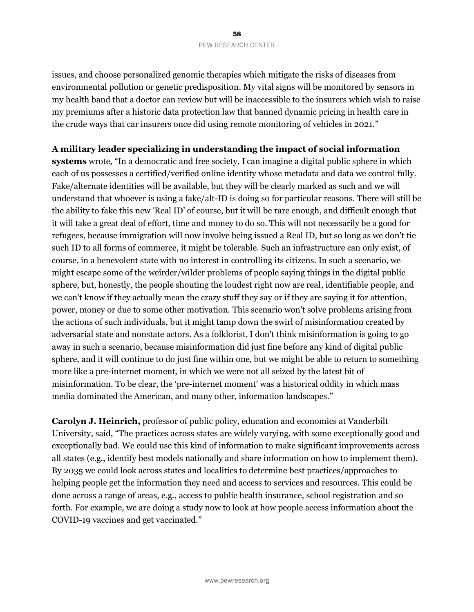### 58 PEW RESEARCH CENTER

issues, and choose personalized genomic therapies which mitigate the risks of diseases from environmental pollution or genetic predisposition. My vital signs will be monitored by sensors in my health band that a doctor can review but will be inaccessible to the insurers which wish to raise my premiums after a historic data protection law that banned dynamic pricing in health care in the crude ways that car insurers once did using remote monitoring of vehicles in 2021."

### **A military leader specializing in understanding the impact of social information**

**systems** wrote, "In a democratic and free society, I can imagine a digital public sphere in which each of us possesses a certified/verified online identity whose metadata and data we control fully. Fake/alternate identities will be available, but they will be clearly marked as such and we will understand that whoever is using a fake/alt-ID is doing so for particular reasons. There will still be the ability to fake this new 'Real ID' of course, but it will be rare enough, and difficult enough that it will take a great deal of effort, time and money to do so. This will not necessarily be a good for refugees, because immigration will now involve being issued a Real ID, but so long as we don't tie such ID to all forms of commerce, it might be tolerable. Such an infrastructure can only exist, of course, in a benevolent state with no interest in controlling its citizens. In such a scenario, we might escape some of the weirder/wilder problems of people saying things in the digital public sphere, but, honestly, the people shouting the loudest right now are real, identifiable people, and we can't know if they actually mean the crazy stuff they say or if they are saying it for attention, power, money or due to some other motivation. This scenario won't solve problems arising from the actions of such individuals, but it might tamp down the swirl of misinformation created by adversarial state and nonstate actors. As a folklorist, I don't think misinformation is going to go away in such a scenario, because misinformation did just fine before any kind of digital public sphere, and it will continue to do just fine within one, but we might be able to return to something more like a pre-internet moment, in which we were not all seized by the latest bit of misinformation. To be clear, the 'pre-internet moment' was a historical oddity in which mass media dominated the American, and many other, information landscapes."

**Carolyn J. Heinrich,** professor of public policy, education and economics at Vanderbilt University, said, "The practices across states are widely varying, with some exceptionally good and exceptionally bad. We could use this kind of information to make significant improvements across all states (e.g., identify best models nationally and share information on how to implement them). By 2035 we could look across states and localities to determine best practices/approaches to helping people get the information they need and access to services and resources. This could be done across a range of areas, e.g., access to public health insurance, school registration and so forth. For example, we are doing a study now to look at how people access information about the COVID-19 vaccines and get vaccinated."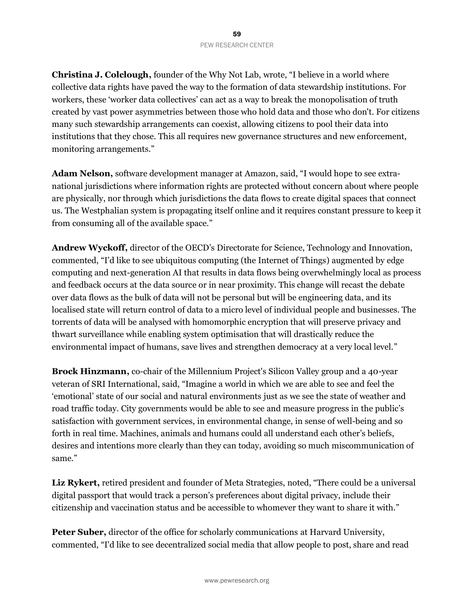**Christina J. Colclough,** founder of the Why Not Lab, wrote, "I believe in a world where collective data rights have paved the way to the formation of data stewardship institutions. For workers, these 'worker data collectives' can act as a way to break the monopolisation of truth created by vast power asymmetries between those who hold data and those who don't. For citizens many such stewardship arrangements can coexist, allowing citizens to pool their data into institutions that they chose. This all requires new governance structures and new enforcement, monitoring arrangements."

**Adam Nelson,** software development manager at Amazon, said, "I would hope to see extranational jurisdictions where information rights are protected without concern about where people are physically, nor through which jurisdictions the data flows to create digital spaces that connect us. The Westphalian system is propagating itself online and it requires constant pressure to keep it from consuming all of the available space."

**Andrew Wyckoff,** director of the OECD's Directorate for Science, Technology and Innovation, commented, "I'd like to see ubiquitous computing (the Internet of Things) augmented by edge computing and next-generation AI that results in data flows being overwhelmingly local as process and feedback occurs at the data source or in near proximity. This change will recast the debate over data flows as the bulk of data will not be personal but will be engineering data, and its localised state will return control of data to a micro level of individual people and businesses. The torrents of data will be analysed with homomorphic encryption that will preserve privacy and thwart surveillance while enabling system optimisation that will drastically reduce the environmental impact of humans, save lives and strengthen democracy at a very local level."

**Brock Hinzmann,** co-chair of the Millennium Project's Silicon Valley group and a 40-year veteran of SRI International, said, "Imagine a world in which we are able to see and feel the 'emotional' state of our social and natural environments just as we see the state of weather and road traffic today. City governments would be able to see and measure progress in the public's satisfaction with government services, in environmental change, in sense of well-being and so forth in real time. Machines, animals and humans could all understand each other's beliefs, desires and intentions more clearly than they can today, avoiding so much miscommunication of same."

Liz Rykert, retired president and founder of Meta Strategies, noted, "There could be a universal digital passport that would track a person's preferences about digital privacy, include their citizenship and vaccination status and be accessible to whomever they want to share it with."

**Peter Suber,** director of the office for scholarly communications at Harvard University, commented, "I'd like to see decentralized social media that allow people to post, share and read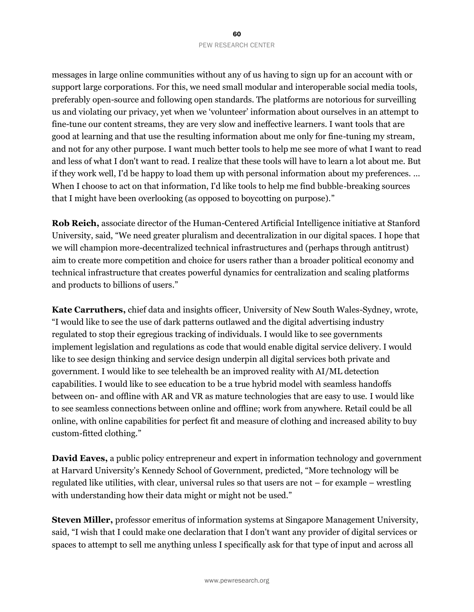messages in large online communities without any of us having to sign up for an account with or support large corporations. For this, we need small modular and interoperable social media tools, preferably open-source and following open standards. The platforms are notorious for surveilling us and violating our privacy, yet when we 'volunteer' information about ourselves in an attempt to fine-tune our content streams, they are very slow and ineffective learners. I want tools that are good at learning and that use the resulting information about me only for fine-tuning my stream, and not for any other purpose. I want much better tools to help me see more of what I want to read and less of what I don't want to read. I realize that these tools will have to learn a lot about me. But if they work well, I'd be happy to load them up with personal information about my preferences. … When I choose to act on that information, I'd like tools to help me find bubble-breaking sources that I might have been overlooking (as opposed to boycotting on purpose)."

**Rob Reich,** associate director of the Human-Centered Artificial Intelligence initiative at Stanford University, said, "We need greater pluralism and decentralization in our digital spaces. I hope that we will champion more-decentralized technical infrastructures and (perhaps through antitrust) aim to create more competition and choice for users rather than a broader political economy and technical infrastructure that creates powerful dynamics for centralization and scaling platforms and products to billions of users."

**Kate Carruthers,** chief data and insights officer, University of New South Wales-Sydney, wrote, "I would like to see the use of dark patterns outlawed and the digital advertising industry regulated to stop their egregious tracking of individuals. I would like to see governments implement legislation and regulations as code that would enable digital service delivery. I would like to see design thinking and service design underpin all digital services both private and government. I would like to see telehealth be an improved reality with AI/ML detection capabilities. I would like to see education to be a true hybrid model with seamless handoffs between on- and offline with AR and VR as mature technologies that are easy to use. I would like to see seamless connections between online and offline; work from anywhere. Retail could be all online, with online capabilities for perfect fit and measure of clothing and increased ability to buy custom-fitted clothing."

**David Eaves,** a public policy entrepreneur and expert in information technology and government at Harvard University's Kennedy School of Government, predicted, "More technology will be regulated like utilities, with clear, universal rules so that users are not – for example – wrestling with understanding how their data might or might not be used."

**Steven Miller,** professor emeritus of information systems at Singapore Management University, said, "I wish that I could make one declaration that I don't want any provider of digital services or spaces to attempt to sell me anything unless I specifically ask for that type of input and across all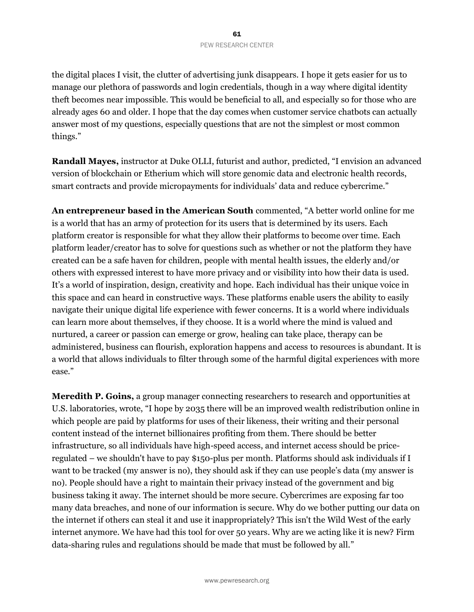the digital places I visit, the clutter of advertising junk disappears. I hope it gets easier for us to manage our plethora of passwords and login credentials, though in a way where digital identity theft becomes near impossible. This would be beneficial to all, and especially so for those who are already ages 60 and older. I hope that the day comes when customer service chatbots can actually answer most of my questions, especially questions that are not the simplest or most common things."

**Randall Mayes,** instructor at Duke OLLI, futurist and author, predicted, "I envision an advanced version of blockchain or Etherium which will store genomic data and electronic health records, smart contracts and provide micropayments for individuals' data and reduce cybercrime."

**An entrepreneur based in the American South** commented, "A better world online for me is a world that has an army of protection for its users that is determined by its users. Each platform creator is responsible for what they allow their platforms to become over time. Each platform leader/creator has to solve for questions such as whether or not the platform they have created can be a safe haven for children, people with mental health issues, the elderly and/or others with expressed interest to have more privacy and or visibility into how their data is used. It's a world of inspiration, design, creativity and hope. Each individual has their unique voice in this space and can heard in constructive ways. These platforms enable users the ability to easily navigate their unique digital life experience with fewer concerns. It is a world where individuals can learn more about themselves, if they choose. It is a world where the mind is valued and nurtured, a career or passion can emerge or grow, healing can take place, therapy can be administered, business can flourish, exploration happens and access to resources is abundant. It is a world that allows individuals to filter through some of the harmful digital experiences with more ease."

**Meredith P. Goins,** a group manager connecting researchers to research and opportunities at U.S. laboratories, wrote, "I hope by 2035 there will be an improved wealth redistribution online in which people are paid by platforms for uses of their likeness, their writing and their personal content instead of the internet billionaires profiting from them. There should be better infrastructure, so all individuals have high-speed access, and internet access should be priceregulated – we shouldn't have to pay \$150-plus per month. Platforms should ask individuals if I want to be tracked (my answer is no), they should ask if they can use people's data (my answer is no). People should have a right to maintain their privacy instead of the government and big business taking it away. The internet should be more secure. Cybercrimes are exposing far too many data breaches, and none of our information is secure. Why do we bother putting our data on the internet if others can steal it and use it inappropriately? This isn't the Wild West of the early internet anymore. We have had this tool for over 50 years. Why are we acting like it is new? Firm data-sharing rules and regulations should be made that must be followed by all."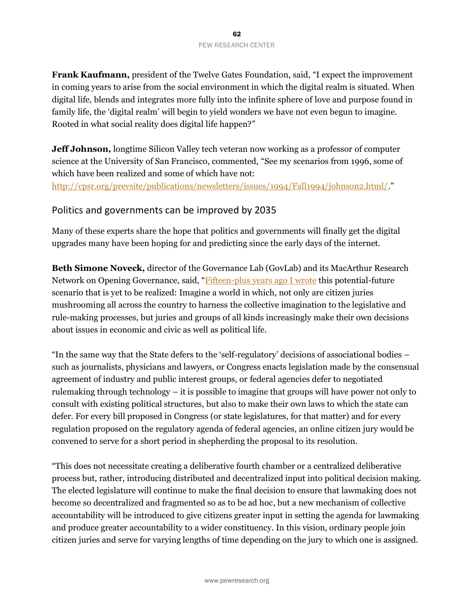**Frank Kaufmann,** president of the Twelve Gates Foundation, said, "I expect the improvement in coming years to arise from the social environment in which the digital realm is situated. When digital life, blends and integrates more fully into the infinite sphere of love and purpose found in family life, the 'digital realm' will begin to yield wonders we have not even begun to imagine. Rooted in what social reality does digital life happen?"

**Jeff Johnson,** longtime Silicon Valley tech veteran now working as a professor of computer science at the University of San Francisco, commented, "See my scenarios from 1996, some of which have been realized and some of which have not:

<http://cpsr.org/prevsite/publications/newsletters/issues/1994/Fall1994/johnson2.html/>."

### Politics and governments can be improved by 2035

Many of these experts share the hope that politics and governments will finally get the digital upgrades many have been hoping for and predicting since the early days of the internet.

**Beth Simone Noveck,** director of the Governance Lab (GovLab) and its MacArthur Research Network on Opening Governance, said, "[Fifteen-plus years ago I wrote](https://doi.org/10.5210/fm.v10i11.1289) this potential-future scenario that is yet to be realized: Imagine a world in which, not only are citizen juries mushrooming all across the country to harness the collective imagination to the legislative and rule-making processes, but juries and groups of all kinds increasingly make their own decisions about issues in economic and civic as well as political life.

"In the same way that the State defers to the 'self-regulatory' decisions of associational bodies – such as journalists, physicians and lawyers, or Congress enacts legislation made by the consensual agreement of industry and public interest groups, or federal agencies defer to negotiated rulemaking through technology – it is possible to imagine that groups will have power not only to consult with existing political structures, but also to make their own laws to which the state can defer. For every bill proposed in Congress (or state legislatures, for that matter) and for every regulation proposed on the regulatory agenda of federal agencies, an online citizen jury would be convened to serve for a short period in shepherding the proposal to its resolution.

"This does not necessitate creating a deliberative fourth chamber or a centralized deliberative process but, rather, introducing distributed and decentralized input into political decision making. The elected legislature will continue to make the final decision to ensure that lawmaking does not become so decentralized and fragmented so as to be ad hoc, but a new mechanism of collective accountability will be introduced to give citizens greater input in setting the agenda for lawmaking and produce greater accountability to a wider constituency. In this vision, ordinary people join citizen juries and serve for varying lengths of time depending on the jury to which one is assigned.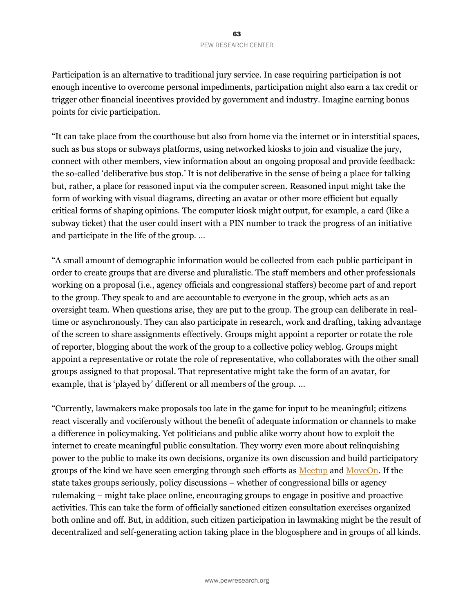Participation is an alternative to traditional jury service. In case requiring participation is not enough incentive to overcome personal impediments, participation might also earn a tax credit or trigger other financial incentives provided by government and industry. Imagine earning bonus points for civic participation.

"It can take place from the courthouse but also from home via the internet or in interstitial spaces, such as bus stops or subways platforms, using networked kiosks to join and visualize the jury, connect with other members, view information about an ongoing proposal and provide feedback: the so-called 'deliberative bus stop.' It is not deliberative in the sense of being a place for talking but, rather, a place for reasoned input via the computer screen. Reasoned input might take the form of working with visual diagrams, directing an avatar or other more efficient but equally critical forms of shaping opinions. The computer kiosk might output, for example, a card (like a subway ticket) that the user could insert with a PIN number to track the progress of an initiative and participate in the life of the group. …

"A small amount of demographic information would be collected from each public participant in order to create groups that are diverse and pluralistic. The staff members and other professionals working on a proposal (i.e., agency officials and congressional staffers) become part of and report to the group. They speak to and are accountable to everyone in the group, which acts as an oversight team. When questions arise, they are put to the group. The group can deliberate in realtime or asynchronously. They can also participate in research, work and drafting, taking advantage of the screen to share assignments effectively. Groups might appoint a reporter or rotate the role of reporter, blogging about the work of the group to a collective policy weblog. Groups might appoint a representative or rotate the role of representative, who collaborates with the other small groups assigned to that proposal. That representative might take the form of an avatar, for example, that is 'played by' different or all members of the group. …

"Currently, lawmakers make proposals too late in the game for input to be meaningful; citizens react viscerally and vociferously without the benefit of adequate information or channels to make a difference in policymaking. Yet politicians and public alike worry about how to exploit the internet to create meaningful public consultation. They worry even more about relinquishing power to the public to make its own decisions, organize its own discussion and build participatory groups of the kind we have seen emerging through such efforts as [Meetup](https://www.meetup.com/) and [MoveOn.](https://front.moveon.org/) If the state takes groups seriously, policy discussions – whether of congressional bills or agency rulemaking – might take place online, encouraging groups to engage in positive and proactive activities. This can take the form of officially sanctioned citizen consultation exercises organized both online and off. But, in addition, such citizen participation in lawmaking might be the result of decentralized and self-generating action taking place in the blogosphere and in groups of all kinds.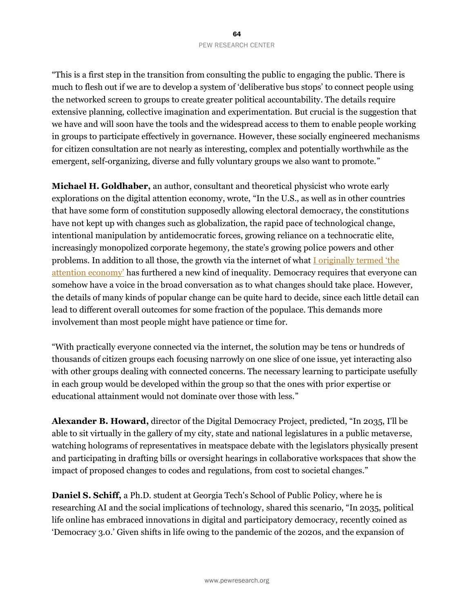"This is a first step in the transition from consulting the public to engaging the public. There is much to flesh out if we are to develop a system of 'deliberative bus stops' to connect people using the networked screen to groups to create greater political accountability. The details require extensive planning, collective imagination and experimentation. But crucial is the suggestion that we have and will soon have the tools and the widespread access to them to enable people working in groups to participate effectively in governance. However, these socially engineered mechanisms for citizen consultation are not nearly as interesting, complex and potentially worthwhile as the emergent, self-organizing, diverse and fully voluntary groups we also want to promote."

**Michael H. Goldhaber,** an author, consultant and theoretical physicist who wrote early explorations on the digital attention economy, wrote, "In the U.S., as well as in other countries that have some form of constitution supposedly allowing electoral democracy, the constitutions have not kept up with changes such as globalization, the rapid pace of technological change, intentional manipulation by antidemocratic forces, growing reliance on a technocratic elite, increasingly monopolized corporate hegemony, the state's growing police powers and other problems. In addition to all those, the growth via the internet of what [I originally termed 'the](https://journals.uic.edu/ojs/index.php/fm/article/view/519/440)  [attention economy'](https://journals.uic.edu/ojs/index.php/fm/article/view/519/440) has furthered a new kind of inequality. Democracy requires that everyone can somehow have a voice in the broad conversation as to what changes should take place. However, the details of many kinds of popular change can be quite hard to decide, since each little detail can lead to different overall outcomes for some fraction of the populace. This demands more involvement than most people might have patience or time for.

"With practically everyone connected via the internet, the solution may be tens or hundreds of thousands of citizen groups each focusing narrowly on one slice of one issue, yet interacting also with other groups dealing with connected concerns. The necessary learning to participate usefully in each group would be developed within the group so that the ones with prior expertise or educational attainment would not dominate over those with less."

**Alexander B. Howard,** director of the Digital Democracy Project, predicted, "In 2035, I'll be able to sit virtually in the gallery of my city, state and national legislatures in a public metaverse, watching holograms of representatives in meatspace debate with the legislators physically present and participating in drafting bills or oversight hearings in collaborative workspaces that show the impact of proposed changes to codes and regulations, from cost to societal changes."

**Daniel S. Schiff,** a Ph.D. student at Georgia Tech's School of Public Policy, where he is researching AI and the social implications of technology, shared this scenario, "In 2035, political life online has embraced innovations in digital and participatory democracy, recently coined as 'Democracy 3.0.' Given shifts in life owing to the pandemic of the 2020s, and the expansion of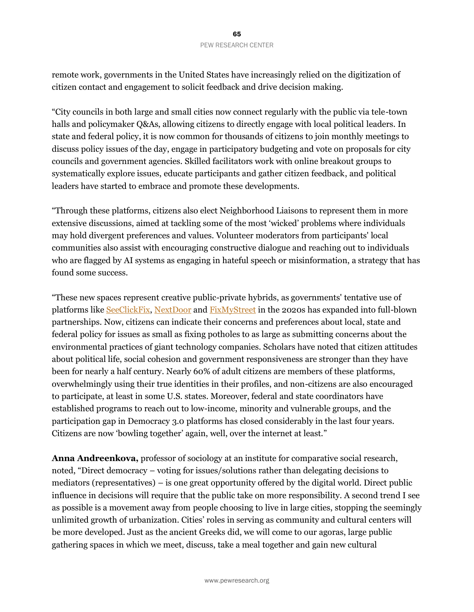remote work, governments in the United States have increasingly relied on the digitization of citizen contact and engagement to solicit feedback and drive decision making.

"City councils in both large and small cities now connect regularly with the public via tele-town halls and policymaker Q&As, allowing citizens to directly engage with local political leaders. In state and federal policy, it is now common for thousands of citizens to join monthly meetings to discuss policy issues of the day, engage in participatory budgeting and vote on proposals for city councils and government agencies. Skilled facilitators work with online breakout groups to systematically explore issues, educate participants and gather citizen feedback, and political leaders have started to embrace and promote these developments.

"Through these platforms, citizens also elect Neighborhood Liaisons to represent them in more extensive discussions, aimed at tackling some of the most 'wicked' problems where individuals may hold divergent preferences and values. Volunteer moderators from participants' local communities also assist with encouraging constructive dialogue and reaching out to individuals who are flagged by AI systems as engaging in hateful speech or misinformation, a strategy that has found some success.

"These new spaces represent creative public-private hybrids, as governments' tentative use of platforms like [SeeClickFix,](https://seeclickfix.com/) [NextDoor](https://nextdoor.com/) an[d FixMyStreet](https://www.fixmystreet.com/) in the 2020s has expanded into full-blown partnerships. Now, citizens can indicate their concerns and preferences about local, state and federal policy for issues as small as fixing potholes to as large as submitting concerns about the environmental practices of giant technology companies. Scholars have noted that citizen attitudes about political life, social cohesion and government responsiveness are stronger than they have been for nearly a half century. Nearly 60% of adult citizens are members of these platforms, overwhelmingly using their true identities in their profiles, and non-citizens are also encouraged to participate, at least in some U.S. states. Moreover, federal and state coordinators have established programs to reach out to low-income, minority and vulnerable groups, and the participation gap in Democracy 3.0 platforms has closed considerably in the last four years. Citizens are now 'bowling together' again, well, over the internet at least."

**Anna Andreenkova,** professor of sociology at an institute for comparative social research, noted, "Direct democracy – voting for issues/solutions rather than delegating decisions to mediators (representatives) – is one great opportunity offered by the digital world. Direct public influence in decisions will require that the public take on more responsibility. A second trend I see as possible is a movement away from people choosing to live in large cities, stopping the seemingly unlimited growth of urbanization. Cities' roles in serving as community and cultural centers will be more developed. Just as the ancient Greeks did, we will come to our agoras, large public gathering spaces in which we meet, discuss, take a meal together and gain new cultural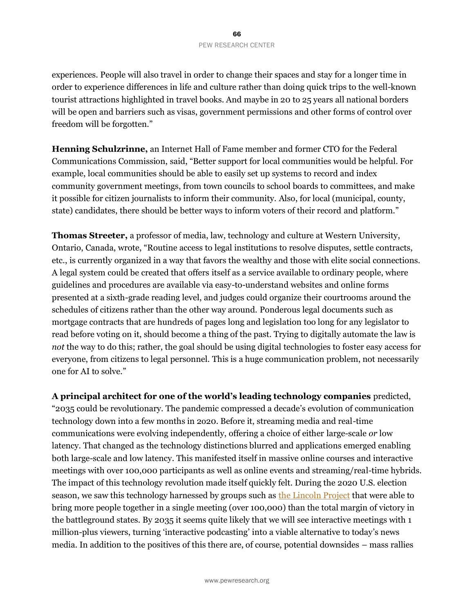experiences. People will also travel in order to change their spaces and stay for a longer time in order to experience differences in life and culture rather than doing quick trips to the well-known tourist attractions highlighted in travel books. And maybe in 20 to 25 years all national borders will be open and barriers such as visas, government permissions and other forms of control over freedom will be forgotten."

**Henning Schulzrinne,** an Internet Hall of Fame member and former CTO for the Federal Communications Commission, said, "Better support for local communities would be helpful. For example, local communities should be able to easily set up systems to record and index community government meetings, from town councils to school boards to committees, and make it possible for citizen journalists to inform their community. Also, for local (municipal, county, state) candidates, there should be better ways to inform voters of their record and platform."

**Thomas Streeter,** a professor of media, law, technology and culture at Western University, Ontario, Canada, wrote, "Routine access to legal institutions to resolve disputes, settle contracts, etc., is currently organized in a way that favors the wealthy and those with elite social connections. A legal system could be created that offers itself as a service available to ordinary people, where guidelines and procedures are available via easy-to-understand websites and online forms presented at a sixth-grade reading level, and judges could organize their courtrooms around the schedules of citizens rather than the other way around. Ponderous legal documents such as mortgage contracts that are hundreds of pages long and legislation too long for any legislator to read before voting on it, should become a thing of the past. Trying to digitally automate the law is *not* the way to do this; rather, the goal should be using digital technologies to foster easy access for everyone, from citizens to legal personnel. This is a huge communication problem, not necessarily one for AI to solve."

**A principal architect for one of the world's leading technology companies** predicted, "2035 could be revolutionary. The pandemic compressed a decade's evolution of communication technology down into a few months in 2o20. Before it, streaming media and real-time communications were evolving independently, offering a choice of either large-scale *or* low latency. That changed as the technology distinctions blurred and applications emerged enabling both large-scale and low latency. This manifested itself in massive online courses and interactive meetings with over 100,000 participants as well as online events and streaming/real-time hybrids. The impact of this technology revolution made itself quickly felt. During the 2020 U.S. election season, we saw this technology harnessed by groups such as [the Lincoln Project](https://en.wikipedia.org/wiki/The_Lincoln_Project) that were able to bring more people together in a single meeting (over 100,000) than the total margin of victory in the battleground states. By 2035 it seems quite likely that we will see interactive meetings with 1 million-plus viewers, turning 'interactive podcasting' into a viable alternative to today's news media. In addition to the positives of this there are, of course, potential downsides – mass rallies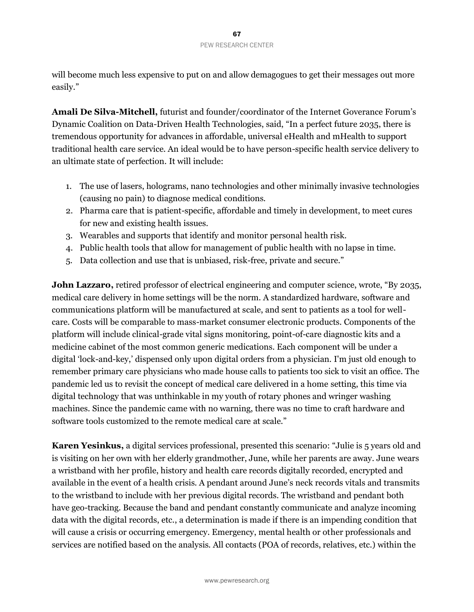will become much less expensive to put on and allow demagogues to get their messages out more easily."

**Amali De Silva-Mitchell,** futurist and founder/coordinator of the Internet Goverance Forum's Dynamic Coalition on Data-Driven Health Technologies, said, "In a perfect future 2035, there is tremendous opportunity for advances in affordable, universal eHealth and mHealth to support traditional health care service. An ideal would be to have person-specific health service delivery to an ultimate state of perfection. It will include:

- 1. The use of lasers, holograms, nano technologies and other minimally invasive technologies (causing no pain) to diagnose medical conditions.
- 2. Pharma care that is patient-specific, affordable and timely in development, to meet cures for new and existing health issues.
- 3. Wearables and supports that identify and monitor personal health risk.
- 4. Public health tools that allow for management of public health with no lapse in time.
- 5. Data collection and use that is unbiased, risk-free, private and secure."

**John Lazzaro,** retired professor of electrical engineering and computer science, wrote, "By 2035, medical care delivery in home settings will be the norm. A standardized hardware, software and communications platform will be manufactured at scale, and sent to patients as a tool for wellcare. Costs will be comparable to mass-market consumer electronic products. Components of the platform will include clinical-grade vital signs monitoring, point-of-care diagnostic kits and a medicine cabinet of the most common generic medications. Each component will be under a digital 'lock-and-key,' dispensed only upon digital orders from a physician. I'm just old enough to remember primary care physicians who made house calls to patients too sick to visit an office. The pandemic led us to revisit the concept of medical care delivered in a home setting, this time via digital technology that was unthinkable in my youth of rotary phones and wringer washing machines. Since the pandemic came with no warning, there was no time to craft hardware and software tools customized to the remote medical care at scale."

**Karen Yesinkus,** a digital services professional, presented this scenario: "Julie is 5 years old and is visiting on her own with her elderly grandmother, June, while her parents are away. June wears a wristband with her profile, history and health care records digitally recorded, encrypted and available in the event of a health crisis. A pendant around June's neck records vitals and transmits to the wristband to include with her previous digital records. The wristband and pendant both have geo-tracking. Because the band and pendant constantly communicate and analyze incoming data with the digital records, etc., a determination is made if there is an impending condition that will cause a crisis or occurring emergency. Emergency, mental health or other professionals and services are notified based on the analysis. All contacts (POA of records, relatives, etc.) within the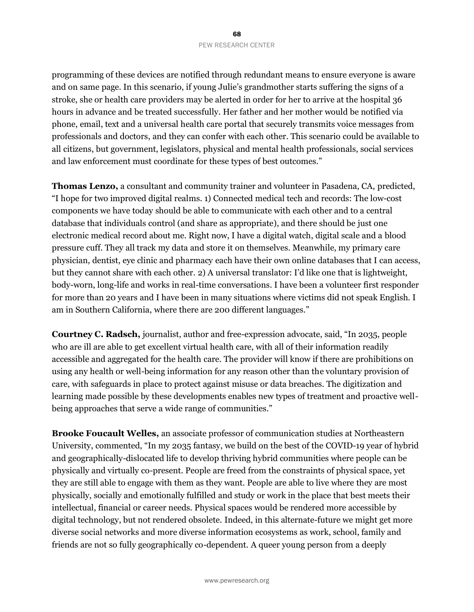programming of these devices are notified through redundant means to ensure everyone is aware and on same page. In this scenario, if young Julie's grandmother starts suffering the signs of a stroke, she or health care providers may be alerted in order for her to arrive at the hospital 36 hours in advance and be treated successfully. Her father and her mother would be notified via phone, email, text and a universal health care portal that securely transmits voice messages from professionals and doctors, and they can confer with each other. This scenario could be available to all citizens, but government, legislators, physical and mental health professionals, social services and law enforcement must coordinate for these types of best outcomes."

**Thomas Lenzo,** a consultant and community trainer and volunteer in Pasadena, CA, predicted, "I hope for two improved digital realms. 1) Connected medical tech and records: The low-cost components we have today should be able to communicate with each other and to a central database that individuals control (and share as appropriate), and there should be just one electronic medical record about me. Right now, I have a digital watch, digital scale and a blood pressure cuff. They all track my data and store it on themselves. Meanwhile, my primary care physician, dentist, eye clinic and pharmacy each have their own online databases that I can access, but they cannot share with each other. 2) A universal translator: I'd like one that is lightweight, body-worn, long-life and works in real-time conversations. I have been a volunteer first responder for more than 20 years and I have been in many situations where victims did not speak English. I am in Southern California, where there are 200 different languages."

**Courtney C. Radsch,** journalist, author and free-expression advocate, said, "In 2035, people who are ill are able to get excellent virtual health care, with all of their information readily accessible and aggregated for the health care. The provider will know if there are prohibitions on using any health or well-being information for any reason other than the voluntary provision of care, with safeguards in place to protect against misuse or data breaches. The digitization and learning made possible by these developments enables new types of treatment and proactive wellbeing approaches that serve a wide range of communities."

**Brooke Foucault Welles,** an associate professor of communication studies at Northeastern University, commented, "In my 2035 fantasy, we build on the best of the COVID-19 year of hybrid and geographically-dislocated life to develop thriving hybrid communities where people can be physically and virtually co-present. People are freed from the constraints of physical space, yet they are still able to engage with them as they want. People are able to live where they are most physically, socially and emotionally fulfilled and study or work in the place that best meets their intellectual, financial or career needs. Physical spaces would be rendered more accessible by digital technology, but not rendered obsolete. Indeed, in this alternate-future we might get more diverse social networks and more diverse information ecosystems as work, school, family and friends are not so fully geographically co-dependent. A queer young person from a deeply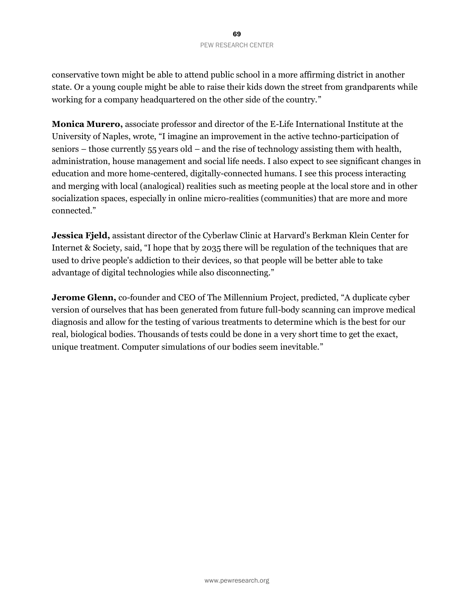conservative town might be able to attend public school in a more affirming district in another state. Or a young couple might be able to raise their kids down the street from grandparents while working for a company headquartered on the other side of the country."

**Monica Murero,** associate professor and director of the E-Life International Institute at the University of Naples, wrote, "I imagine an improvement in the active techno-participation of seniors – those currently 55 years old – and the rise of technology assisting them with health, administration, house management and social life needs. I also expect to see significant changes in education and more home-centered, digitally-connected humans. I see this process interacting and merging with local (analogical) realities such as meeting people at the local store and in other socialization spaces, especially in online micro-realities (communities) that are more and more connected."

**Jessica Fjeld,** assistant director of the Cyberlaw Clinic at Harvard's Berkman Klein Center for Internet & Society, said, "I hope that by 2035 there will be regulation of the techniques that are used to drive people's addiction to their devices, so that people will be better able to take advantage of digital technologies while also disconnecting."

**Jerome Glenn,** co-founder and CEO of The Millennium Project, predicted, "A duplicate cyber version of ourselves that has been generated from future full-body scanning can improve medical diagnosis and allow for the testing of various treatments to determine which is the best for our real, biological bodies. Thousands of tests could be done in a very short time to get the exact, unique treatment. Computer simulations of our bodies seem inevitable."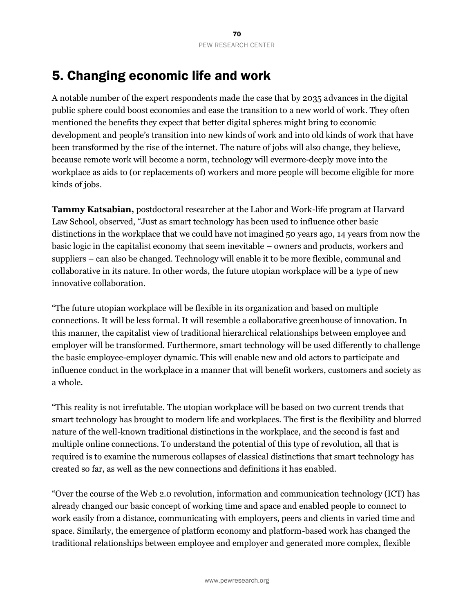# 5. Changing economic life and work

A notable number of the expert respondents made the case that by 2035 advances in the digital public sphere could boost economies and ease the transition to a new world of work. They often mentioned the benefits they expect that better digital spheres might bring to economic development and people's transition into new kinds of work and into old kinds of work that have been transformed by the rise of the internet. The nature of jobs will also change, they believe, because remote work will become a norm, technology will evermore-deeply move into the workplace as aids to (or replacements of) workers and more people will become eligible for more kinds of jobs.

**Tammy Katsabian,** postdoctoral researcher at the Labor and Work-life program at Harvard Law School, observed, "Just as smart technology has been used to influence other basic distinctions in the workplace that we could have not imagined 50 years ago, 14 years from now the basic logic in the capitalist economy that seem inevitable – owners and products, workers and suppliers – can also be changed. Technology will enable it to be more flexible, communal and collaborative in its nature. In other words, the future utopian workplace will be a type of new innovative collaboration.

"The future utopian workplace will be flexible in its organization and based on multiple connections. It will be less formal. It will resemble a collaborative greenhouse of innovation. In this manner, the capitalist view of traditional hierarchical relationships between employee and employer will be transformed. Furthermore, smart technology will be used differently to challenge the basic employee-employer dynamic. This will enable new and old actors to participate and influence conduct in the workplace in a manner that will benefit workers, customers and society as a whole.

"This reality is not irrefutable. The utopian workplace will be based on two current trends that smart technology has brought to modern life and workplaces. The first is the flexibility and blurred nature of the well-known traditional distinctions in the workplace, and the second is fast and multiple online connections. To understand the potential of this type of revolution, all that is required is to examine the numerous collapses of classical distinctions that smart technology has created so far, as well as the new connections and definitions it has enabled.

"Over the course of the Web 2.0 revolution, information and communication technology (ICT) has already changed our basic concept of working time and space and enabled people to connect to work easily from a distance, communicating with employers, peers and clients in varied time and space. Similarly, the emergence of platform economy and platform-based work has changed the traditional relationships between employee and employer and generated more complex, flexible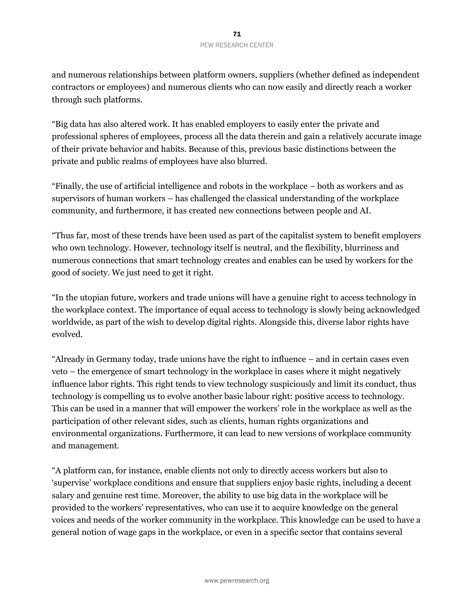and numerous relationships between platform owners, suppliers (whether defined as independent contractors or employees) and numerous clients who can now easily and directly reach a worker through such platforms.

"Big data has also altered work. It has enabled employers to easily enter the private and professional spheres of employees, process all the data therein and gain a relatively accurate image of their private behavior and habits. Because of this, previous basic distinctions between the private and public realms of employees have also blurred.

"Finally, the use of artificial intelligence and robots in the workplace – both as workers and as supervisors of human workers – has challenged the classical understanding of the workplace community, and furthermore, it has created new connections between people and AI.

"Thus far, most of these trends have been used as part of the capitalist system to benefit employers who own technology. However, technology itself is neutral, and the flexibility, blurriness and numerous connections that smart technology creates and enables can be used by workers for the good of society. We just need to get it right.

"In the utopian future, workers and trade unions will have a genuine right to access technology in the workplace context. The importance of equal access to technology is slowly being acknowledged worldwide, as part of the wish to develop digital rights. Alongside this, diverse labor rights have evolved.

"Already in Germany today, trade unions have the right to influence – and in certain cases even veto – the emergence of smart technology in the workplace in cases where it might negatively influence labor rights. This right tends to view technology suspiciously and limit its conduct, thus technology is compelling us to evolve another basic labour right: positive access to technology. This can be used in a manner that will empower the workers' role in the workplace as well as the participation of other relevant sides, such as clients, human rights organizations and environmental organizations. Furthermore, it can lead to new versions of workplace community and management.

"A platform can, for instance, enable clients not only to directly access workers but also to 'supervise' workplace conditions and ensure that suppliers enjoy basic rights, including a decent salary and genuine rest time. Moreover, the ability to use big data in the workplace will be provided to the workers' representatives, who can use it to acquire knowledge on the general voices and needs of the worker community in the workplace. This knowledge can be used to have a general notion of wage gaps in the workplace, or even in a specific sector that contains several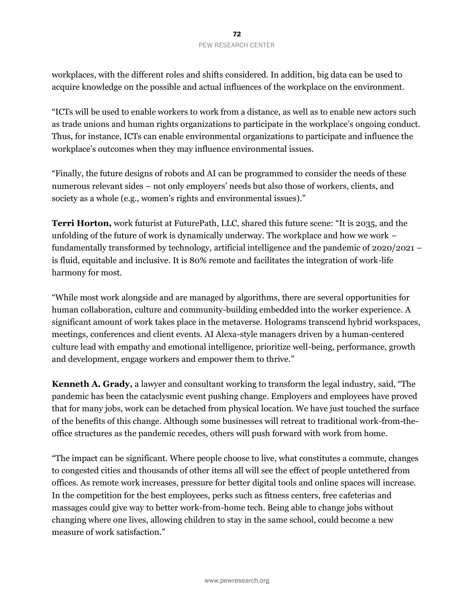workplaces, with the different roles and shifts considered. In addition, big data can be used to acquire knowledge on the possible and actual influences of the workplace on the environment.

"ICTs will be used to enable workers to work from a distance, as well as to enable new actors such as trade unions and human rights organizations to participate in the workplace's ongoing conduct. Thus, for instance, ICTs can enable environmental organizations to participate and influence the workplace's outcomes when they may influence environmental issues.

"Finally, the future designs of robots and AI can be programmed to consider the needs of these numerous relevant sides – not only employers' needs but also those of workers, clients, and society as a whole (e.g., women's rights and environmental issues)."

**Terri Horton,** work futurist at FuturePath, LLC, shared this future scene: "It is 2035, and the unfolding of the future of work is dynamically underway. The workplace and how we work  $$ fundamentally transformed by technology, artificial intelligence and the pandemic of 2020/2021 – is fluid, equitable and inclusive. It is 80% remote and facilitates the integration of work-life harmony for most.

"While most work alongside and are managed by algorithms, there are several opportunities for human collaboration, culture and community-building embedded into the worker experience. A significant amount of work takes place in the metaverse. Holograms transcend hybrid workspaces, meetings, conferences and client events. AI Alexa-style managers driven by a human-centered culture lead with empathy and emotional intelligence, prioritize well-being, performance, growth and development, engage workers and empower them to thrive."

**Kenneth A. Grady,** a lawyer and consultant working to transform the legal industry, said, "The pandemic has been the cataclysmic event pushing change. Employers and employees have proved that for many jobs, work can be detached from physical location. We have just touched the surface of the benefits of this change. Although some businesses will retreat to traditional work-from-theoffice structures as the pandemic recedes, others will push forward with work from home.

"The impact can be significant. Where people choose to live, what constitutes a commute, changes to congested cities and thousands of other items all will see the effect of people untethered from offices. As remote work increases, pressure for better digital tools and online spaces will increase. In the competition for the best employees, perks such as fitness centers, free cafeterias and massages could give way to better work-from-home tech. Being able to change jobs without changing where one lives, allowing children to stay in the same school, could become a new measure of work satisfaction."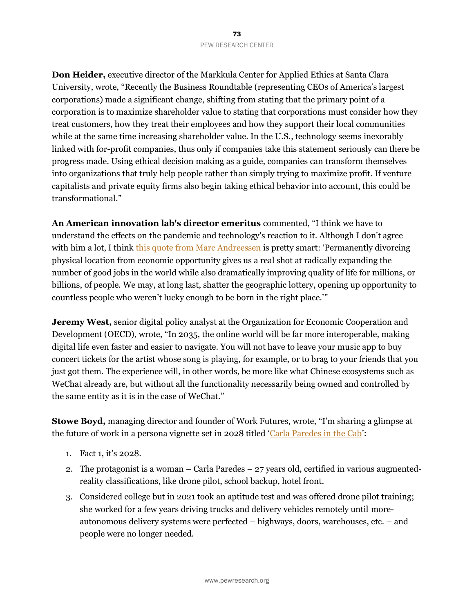**Don Heider,** executive director of the Markkula Center for Applied Ethics at Santa Clara University, wrote, "Recently the Business Roundtable (representing CEOs of America's largest corporations) made a significant change, shifting from stating that the primary point of a corporation is to maximize shareholder value to stating that corporations must consider how they treat customers, how they treat their employees and how they support their local communities while at the same time increasing shareholder value. In the U.S., technology seems inexorably linked with for-profit companies, thus only if companies take this statement seriously can there be progress made. Using ethical decision making as a guide, companies can transform themselves into organizations that truly help people rather than simply trying to maximize profit. If venture capitalists and private equity firms also begin taking ethical behavior into account, this could be transformational."

**An American innovation lab's director emeritus** commented, "I think we have to understand the effects on the pandemic and technology's reaction to it. Although I don't agree with him a lot, I think this quote from [Marc Andreessen](https://www.businessinsider.com/marc-andreessen-remote-work-more-important-than-internet-civilizational-shift-2021-6) is pretty smart: 'Permanently divorcing physical location from economic opportunity gives us a real shot at radically expanding the number of good jobs in the world while also dramatically improving quality of life for millions, or billions, of people. We may, at long last, shatter the geographic lottery, opening up opportunity to countless people who weren't lucky enough to be born in the right place.'"

**Jeremy West,** senior digital policy analyst at the Organization for Economic Cooperation and Development (OECD), wrote, "In 2035, the online world will be far more interoperable, making digital life even faster and easier to navigate. You will not have to leave your music app to buy concert tickets for the artist whose song is playing, for example, or to brag to your friends that you just got them. The experience will, in other words, be more like what Chinese ecosystems such as WeChat already are, but without all the functionality necessarily being owned and controlled by the same entity as it is in the case of WeChat."

**Stowe Boyd,** managing director and founder of Work Futures, wrote, "I'm sharing a glimpse at the future of work in a persona vignette set in 2028 titled '[Carla Paredes in the Cab](https://stoweboyd.com/post/180650049842/a-working-future-carla-paredes-in-the-cab-2027)':

- 1. Fact 1, it's 2028.
- 2. The protagonist is a woman Carla Paredes 27 years old, certified in various augmentedreality classifications, like drone pilot, school backup, hotel front.
- 3. Considered college but in 2021 took an aptitude test and was offered drone pilot training; she worked for a few years driving trucks and delivery vehicles remotely until moreautonomous delivery systems were perfected – highways, doors, warehouses, etc. – and people were no longer needed.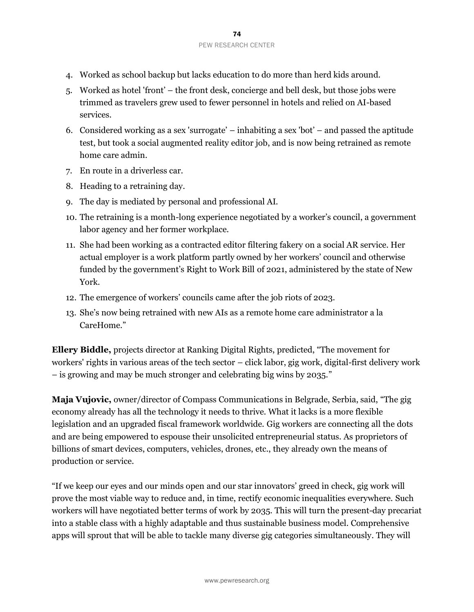- 4. Worked as school backup but lacks education to do more than herd kids around.
- 5. Worked as hotel 'front' the front desk, concierge and bell desk, but those jobs were trimmed as travelers grew used to fewer personnel in hotels and relied on AI-based services.
- 6. Considered working as a sex 'surrogate' inhabiting a sex 'bot' and passed the aptitude test, but took a social augmented reality editor job, and is now being retrained as remote home care admin.
- 7. En route in a driverless car.
- 8. Heading to a retraining day.
- 9. The day is mediated by personal and professional AI.
- 10. The retraining is a month-long experience negotiated by a worker's council, a government labor agency and her former workplace.
- 11. She had been working as a contracted editor filtering fakery on a social AR service. Her actual employer is a work platform partly owned by her workers' council and otherwise funded by the government's Right to Work Bill of 2021, administered by the state of New York.
- 12. The emergence of workers' councils came after the job riots of 2023.
- 13. She's now being retrained with new AIs as a remote home care administrator a la CareHome."

**Ellery Biddle,** projects director at Ranking Digital Rights, predicted, "The movement for workers' rights in various areas of the tech sector – click labor, gig work, digital-first delivery work – is growing and may be much stronger and celebrating big wins by 2035."

**Maja Vujovic,** owner/director of Compass Communications in Belgrade, Serbia, said, "The gig economy already has all the technology it needs to thrive. What it lacks is a more flexible legislation and an upgraded fiscal framework worldwide. Gig workers are connecting all the dots and are being empowered to espouse their unsolicited entrepreneurial status. As proprietors of billions of smart devices, computers, vehicles, drones, etc., they already own the means of production or service.

"If we keep our eyes and our minds open and our star innovators' greed in check, gig work will prove the most viable way to reduce and, in time, rectify economic inequalities everywhere. Such workers will have negotiated better terms of work by 2035. This will turn the present-day precariat into a stable class with a highly adaptable and thus sustainable business model. Comprehensive apps will sprout that will be able to tackle many diverse gig categories simultaneously. They will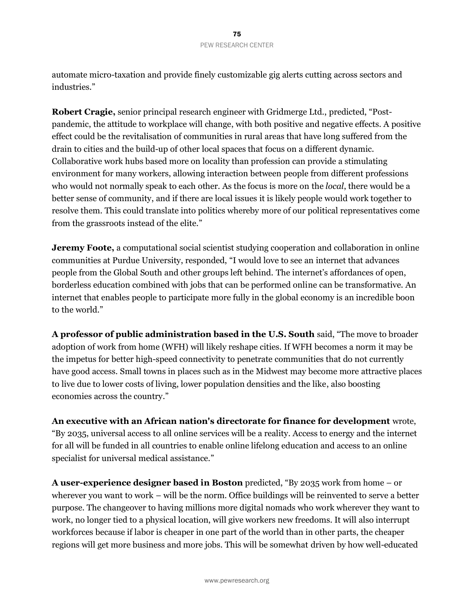automate micro-taxation and provide finely customizable gig alerts cutting across sectors and industries."

**Robert Cragie,** senior principal research engineer with Gridmerge Ltd., predicted, "Postpandemic, the attitude to workplace will change, with both positive and negative effects. A positive effect could be the revitalisation of communities in rural areas that have long suffered from the drain to cities and the build-up of other local spaces that focus on a different dynamic. Collaborative work hubs based more on locality than profession can provide a stimulating environment for many workers, allowing interaction between people from different professions who would not normally speak to each other. As the focus is more on the *local*, there would be a better sense of community, and if there are local issues it is likely people would work together to resolve them. This could translate into politics whereby more of our political representatives come from the grassroots instead of the elite."

**Jeremy Foote,** a computational social scientist studying cooperation and collaboration in online communities at Purdue University, responded, "I would love to see an internet that advances people from the Global South and other groups left behind. The internet's affordances of open, borderless education combined with jobs that can be performed online can be transformative. An internet that enables people to participate more fully in the global economy is an incredible boon to the world."

**A professor of public administration based in the U.S. South** said, "The move to broader adoption of work from home (WFH) will likely reshape cities. If WFH becomes a norm it may be the impetus for better high-speed connectivity to penetrate communities that do not currently have good access. Small towns in places such as in the Midwest may become more attractive places to live due to lower costs of living, lower population densities and the like, also boosting economies across the country."

**An executive with an African nation's directorate for finance for development** wrote, "By 2035, universal access to all online services will be a reality. Access to energy and the internet for all will be funded in all countries to enable online lifelong education and access to an online specialist for universal medical assistance."

**A user-experience designer based in Boston** predicted, "By 2035 work from home – or wherever you want to work – will be the norm. Office buildings will be reinvented to serve a better purpose. The changeover to having millions more digital nomads who work wherever they want to work, no longer tied to a physical location, will give workers new freedoms. It will also interrupt workforces because if labor is cheaper in one part of the world than in other parts, the cheaper regions will get more business and more jobs. This will be somewhat driven by how well-educated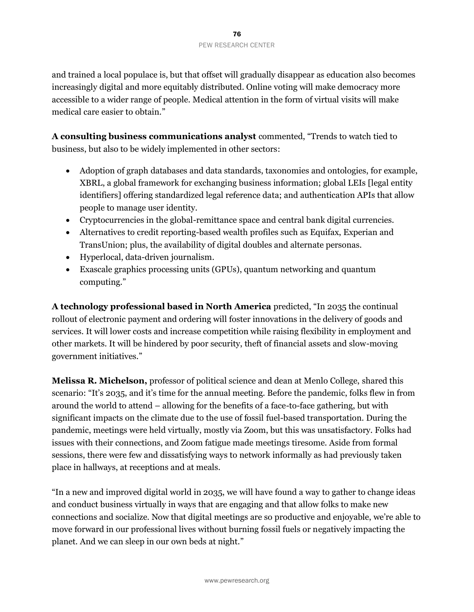and trained a local populace is, but that offset will gradually disappear as education also becomes increasingly digital and more equitably distributed. Online voting will make democracy more accessible to a wider range of people. Medical attention in the form of virtual visits will make medical care easier to obtain."

**A consulting business communications analyst** commented, "Trends to watch tied to business, but also to be widely implemented in other sectors:

- Adoption of graph databases and data standards, taxonomies and ontologies, for example, [XBRL,](https://en.wikipedia.org/wiki/XBRL) a global framework for exchanging business information; global LEIs [legal entity identifiers] offering standardized legal reference data; and authentication APIs that allow people to manage user identity.
- Cryptocurrencies in the global-remittance space and central bank digital currencies.
- Alternatives to credit reporting-based wealth profiles such as Equifax, Experian and TransUnion; plus, the availability of digital doubles and alternate personas.
- Hyperlocal, data-driven journalism.
- Exascale graphics processing units (GPUs), quantum networking and quantum computing."

**A technology professional based in North America** predicted, "In 2035 the continual rollout of electronic payment and ordering will foster innovations in the delivery of goods and services. It will lower costs and increase competition while raising flexibility in employment and other markets. It will be hindered by poor security, theft of financial assets and slow-moving government initiatives."

**Melissa R. Michelson,** professor of political science and dean at Menlo College, shared this scenario: "It's 2035, and it's time for the annual meeting. Before the pandemic, folks flew in from around the world to attend – allowing for the benefits of a face-to-face gathering, but with significant impacts on the climate due to the use of fossil fuel-based transportation. During the pandemic, meetings were held virtually, mostly via Zoom, but this was unsatisfactory. Folks had issues with their connections, and Zoom fatigue made meetings tiresome. Aside from formal sessions, there were few and dissatisfying ways to network informally as had previously taken place in hallways, at receptions and at meals.

"In a new and improved digital world in 2035, we will have found a way to gather to change ideas and conduct business virtually in ways that are engaging and that allow folks to make new connections and socialize. Now that digital meetings are so productive and enjoyable, we're able to move forward in our professional lives without burning fossil fuels or negatively impacting the planet. And we can sleep in our own beds at night."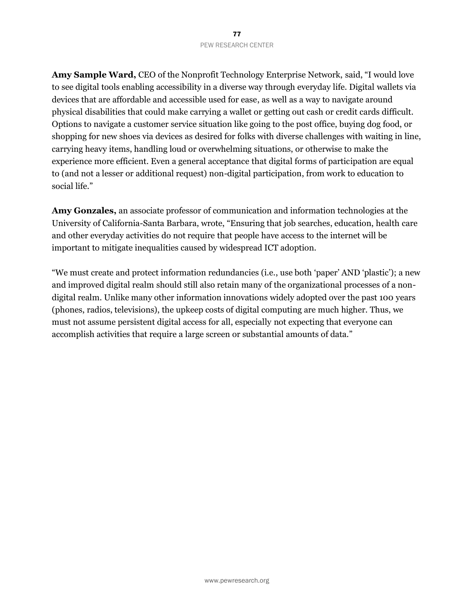**Amy Sample Ward,** CEO of the Nonprofit Technology Enterprise Network, said, "I would love to see digital tools enabling accessibility in a diverse way through everyday life. Digital wallets via devices that are affordable and accessible used for ease, as well as a way to navigate around physical disabilities that could make carrying a wallet or getting out cash or credit cards difficult. Options to navigate a customer service situation like going to the post office, buying dog food, or shopping for new shoes via devices as desired for folks with diverse challenges with waiting in line, carrying heavy items, handling loud or overwhelming situations, or otherwise to make the experience more efficient. Even a general acceptance that digital forms of participation are equal to (and not a lesser or additional request) non-digital participation, from work to education to social life."

**Amy Gonzales,** an associate professor of communication and information technologies at the University of California-Santa Barbara, wrote, "Ensuring that job searches, education, health care and other everyday activities do not require that people have access to the internet will be important to mitigate inequalities caused by widespread ICT adoption.

"We must create and protect information redundancies (i.e., use both 'paper' AND 'plastic'); a new and improved digital realm should still also retain many of the organizational processes of a nondigital realm. Unlike many other information innovations widely adopted over the past 100 years (phones, radios, televisions), the upkeep costs of digital computing are much higher. Thus, we must not assume persistent digital access for all, especially not expecting that everyone can accomplish activities that require a large screen or substantial amounts of data."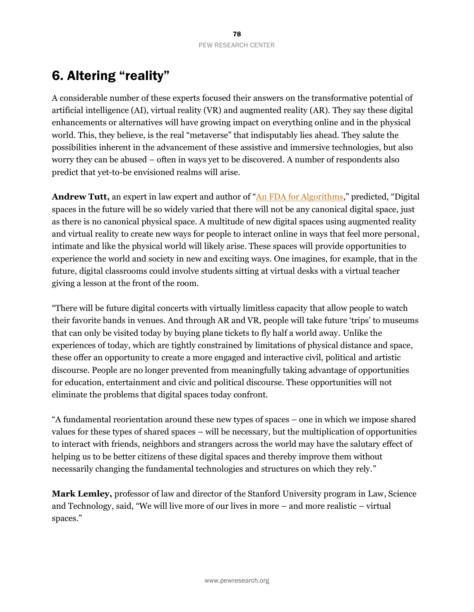# 6. Altering "reality"

A considerable number of these experts focused their answers on the transformative potential of artificial intelligence (AI), virtual reality (VR) and augmented reality (AR). They say these digital enhancements or alternatives will have growing impact on everything online and in the physical world. This, they believe, is the real "metaverse" that indisputably lies ahead. They salute the possibilities inherent in the advancement of these assistive and immersive technologies, but also worry they can be abused – often in ways yet to be discovered. A number of respondents also predict that yet-to-be envisioned realms will arise.

**Andrew Tutt,** an expert in law expert and author of "[An FDA for Algorithms,](https://papers.ssrn.com/sol3/papers.cfm?abstract_id=2747994)" predicted, "Digital spaces in the future will be so widely varied that there will not be any canonical digital space, just as there is no canonical physical space. A multitude of new digital spaces using augmented reality and virtual reality to create new ways for people to interact online in ways that feel more personal, intimate and like the physical world will likely arise. These spaces will provide opportunities to experience the world and society in new and exciting ways. One imagines, for example, that in the future, digital classrooms could involve students sitting at virtual desks with a virtual teacher giving a lesson at the front of the room.

"There will be future digital concerts with virtually limitless capacity that allow people to watch their favorite bands in venues. And through AR and VR, people will take future 'trips' to museums that can only be visited today by buying plane tickets to fly half a world away. Unlike the experiences of today, which are tightly constrained by limitations of physical distance and space, these offer an opportunity to create a more engaged and interactive civil, political and artistic discourse. People are no longer prevented from meaningfully taking advantage of opportunities for education, entertainment and civic and political discourse. These opportunities will not eliminate the problems that digital spaces today confront.

"A fundamental reorientation around these new types of spaces – one in which we impose shared values for these types of shared spaces – will be necessary, but the multiplication of opportunities to interact with friends, neighbors and strangers across the world may have the salutary effect of helping us to be better citizens of these digital spaces and thereby improve them without necessarily changing the fundamental technologies and structures on which they rely."

**Mark Lemley,** professor of law and director of the Stanford University program in Law, Science and Technology, said, "We will live more of our lives in more – and more realistic – virtual spaces."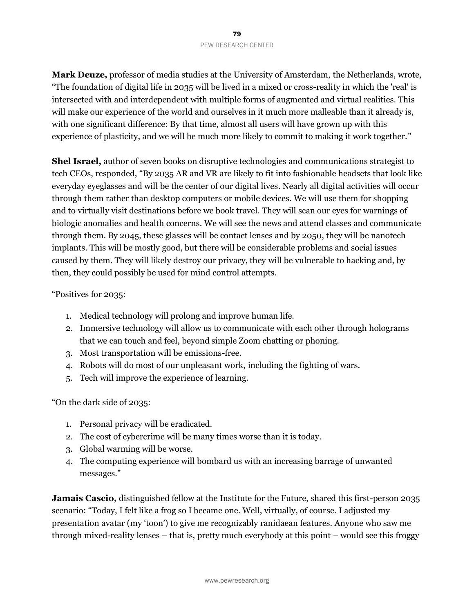**Mark Deuze,** professor of media studies at the University of Amsterdam, the Netherlands, wrote, "The foundation of digital life in 2035 will be lived in a mixed or cross-reality in which the 'real' is intersected with and interdependent with multiple forms of augmented and virtual realities. This will make our experience of the world and ourselves in it much more malleable than it already is, with one significant difference: By that time, almost all users will have grown up with this experience of plasticity, and we will be much more likely to commit to making it work together."

**Shel Israel,** author of seven books on disruptive technologies and communications strategist to tech CEOs, responded, "By 2035 AR and VR are likely to fit into fashionable headsets that look like everyday eyeglasses and will be the center of our digital lives. Nearly all digital activities will occur through them rather than desktop computers or mobile devices. We will use them for shopping and to virtually visit destinations before we book travel. They will scan our eyes for warnings of biologic anomalies and health concerns. We will see the news and attend classes and communicate through them. By 2045, these glasses will be contact lenses and by 2050, they will be nanotech implants. This will be mostly good, but there will be considerable problems and social issues caused by them. They will likely destroy our privacy, they will be vulnerable to hacking and, by then, they could possibly be used for mind control attempts.

## "Positives for 2035:

- 1. Medical technology will prolong and improve human life.
- 2. Immersive technology will allow us to communicate with each other through holograms that we can touch and feel, beyond simple Zoom chatting or phoning.
- 3. Most transportation will be emissions-free.
- 4. Robots will do most of our unpleasant work, including the fighting of wars.
- 5. Tech will improve the experience of learning.

"On the dark side of 2035:

- 1. Personal privacy will be eradicated.
- 2. The cost of cybercrime will be many times worse than it is today.
- 3. Global warming will be worse.
- 4. The computing experience will bombard us with an increasing barrage of unwanted messages."

**Jamais Cascio,** distinguished fellow at the Institute for the Future, shared this first-person 2035 scenario: "Today, I felt like a frog so I became one. Well, virtually, of course. I adjusted my presentation avatar (my 'toon') to give me recognizably ranidaean features. Anyone who saw me through mixed-reality lenses – that is, pretty much everybody at this point – would see this froggy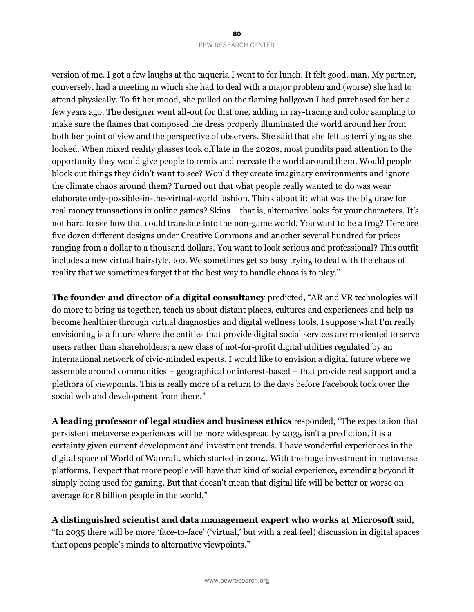version of me. I got a few laughs at the taqueria I went to for lunch. It felt good, man. My partner, conversely, had a meeting in which she had to deal with a major problem and (worse) she had to attend physically. To fit her mood, she pulled on the flaming ballgown I had purchased for her a few years ago. The designer went all-out for that one, adding in ray-tracing and color sampling to make sure the flames that composed the dress properly illuminated the world around her from both her point of view and the perspective of observers. She said that she felt as terrifying as she looked. When mixed reality glasses took off late in the 2020s, most pundits paid attention to the opportunity they would give people to remix and recreate the world around them. Would people block out things they didn't want to see? Would they create imaginary environments and ignore the climate chaos around them? Turned out that what people really wanted to do was wear elaborate only-possible-in-the-virtual-world fashion. Think about it: what was the big draw for real money transactions in online games? Skins – that is, alternative looks for your characters. It's not hard to see how that could translate into the non-game world. You want to be a frog? Here are five dozen different designs under Creative Commons and another several hundred for prices ranging from a dollar to a thousand dollars. You want to look serious and professional? This outfit includes a new virtual hairstyle, too. We sometimes get so busy trying to deal with the chaos of reality that we sometimes forget that the best way to handle chaos is to play."

**The founder and director of a digital consultancy** predicted, "AR and VR technologies will do more to bring us together, teach us about distant places, cultures and experiences and help us become healthier through virtual diagnostics and digital wellness tools. I suppose what I'm really envisioning is a future where the entities that provide digital social services are reoriented to serve users rather than shareholders; a new class of not-for-profit digital utilities regulated by an international network of civic-minded experts. I would like to envision a digital future where we assemble around communities – geographical or interest-based – that provide real support and a plethora of viewpoints. This is really more of a return to the days before Facebook took over the social web and development from there."

**A leading professor of legal studies and business ethics** responded, "The expectation that persistent metaverse experiences will be more widespread by 2035 isn't a prediction, it is a certainty given current development and investment trends. I have wonderful experiences in the digital space of World of Warcraft, which started in 2004. With the huge investment in metaverse platforms, I expect that more people will have that kind of social experience, extending beyond it simply being used for gaming. But that doesn't mean that digital life will be better or worse on average for 8 billion people in the world."

**A distinguished scientist and data management expert who works at Microsoft** said, "In 2035 there will be more 'face-to-face' ('virtual,' but with a real feel) discussion in digital spaces that opens people's minds to alternative viewpoints."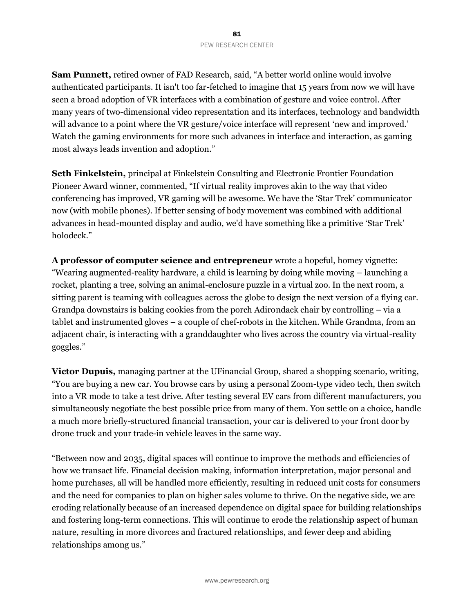**Sam Punnett,** retired owner of FAD Research, said, "A better world online would involve authenticated participants. It isn't too far-fetched to imagine that 15 years from now we will have seen a broad adoption of VR interfaces with a combination of gesture and voice control. After many years of two-dimensional video representation and its interfaces, technology and bandwidth will advance to a point where the VR gesture/voice interface will represent 'new and improved.' Watch the gaming environments for more such advances in interface and interaction, as gaming most always leads invention and adoption."

**Seth Finkelstein,** principal at Finkelstein Consulting and Electronic Frontier Foundation Pioneer Award winner, commented, "If virtual reality improves akin to the way that video conferencing has improved, VR gaming will be awesome. We have the 'Star Trek' communicator now (with mobile phones). If better sensing of body movement was combined with additional advances in head-mounted display and audio, we'd have something like a primitive 'Star Trek' holodeck."

**A professor of computer science and entrepreneur** wrote a hopeful, homey vignette: "Wearing augmented-reality hardware, a child is learning by doing while moving – launching a rocket, planting a tree, solving an animal-enclosure puzzle in a virtual zoo. In the next room, a sitting parent is teaming with colleagues across the globe to design the next version of a flying car. Grandpa downstairs is baking cookies from the porch Adirondack chair by controlling – via a tablet and instrumented gloves – a couple of chef-robots in the kitchen. While Grandma, from an adjacent chair, is interacting with a granddaughter who lives across the country via virtual-reality goggles."

**Victor Dupuis,** managing partner at the UFinancial Group, shared a shopping scenario, writing, "You are buying a new car. You browse cars by using a personal Zoom-type video tech, then switch into a VR mode to take a test drive. After testing several EV cars from different manufacturers, you simultaneously negotiate the best possible price from many of them. You settle on a choice, handle a much more briefly-structured financial transaction, your car is delivered to your front door by drone truck and your trade-in vehicle leaves in the same way.

"Between now and 2035, digital spaces will continue to improve the methods and efficiencies of how we transact life. Financial decision making, information interpretation, major personal and home purchases, all will be handled more efficiently, resulting in reduced unit costs for consumers and the need for companies to plan on higher sales volume to thrive. On the negative side, we are eroding relationally because of an increased dependence on digital space for building relationships and fostering long-term connections. This will continue to erode the relationship aspect of human nature, resulting in more divorces and fractured relationships, and fewer deep and abiding relationships among us."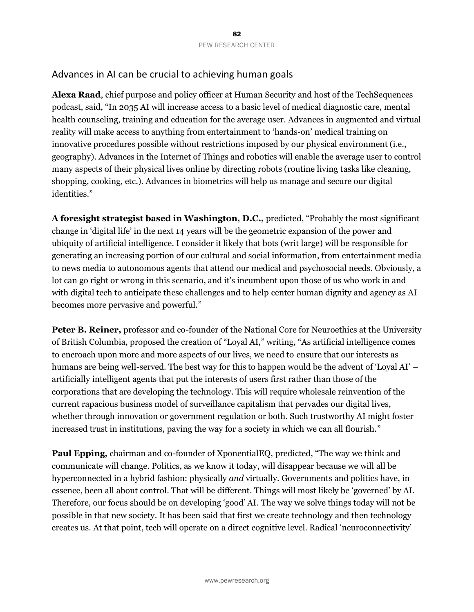## Advances in AI can be crucial to achieving human goals

**Alexa Raad**, chief purpose and policy officer at Human Security and host of the TechSequences podcast, said, "In 2035 AI will increase access to a basic level of medical diagnostic care, mental health counseling, training and education for the average user. Advances in augmented and virtual reality will make access to anything from entertainment to 'hands-on' medical training on innovative procedures possible without restrictions imposed by our physical environment (i.e., geography). Advances in the Internet of Things and robotics will enable the average user to control many aspects of their physical lives online by directing robots (routine living tasks like cleaning, shopping, cooking, etc.). Advances in biometrics will help us manage and secure our digital identities."

**A foresight strategist based in Washington, D.C.,** predicted, "Probably the most significant change in 'digital life' in the next 14 years will be the geometric expansion of the power and ubiquity of artificial intelligence. I consider it likely that bots (writ large) will be responsible for generating an increasing portion of our cultural and social information, from entertainment media to news media to autonomous agents that attend our medical and psychosocial needs. Obviously, a lot can go right or wrong in this scenario, and it's incumbent upon those of us who work in and with digital tech to anticipate these challenges and to help center human dignity and agency as AI becomes more pervasive and powerful."

**Peter B. Reiner,** professor and co-founder of the National Core for Neuroethics at the University of British Columbia, proposed the creation of "Loyal AI," writing, "As artificial intelligence comes to encroach upon more and more aspects of our lives, we need to ensure that our interests as humans are being well-served. The best way for this to happen would be the advent of 'Loyal AI' – artificially intelligent agents that put the interests of users first rather than those of the corporations that are developing the technology. This will require wholesale reinvention of the current rapacious business model of surveillance capitalism that pervades our digital lives, whether through innovation or government regulation or both. Such trustworthy AI might foster increased trust in institutions, paving the way for a society in which we can all flourish."

**Paul Epping,** chairman and co-founder of XponentialEQ, predicted, "The way we think and communicate will change. Politics, as we know it today, will disappear because we will all be hyperconnected in a hybrid fashion: physically *and* virtually. Governments and politics have, in essence, been all about control. That will be different. Things will most likely be 'governed' by AI. Therefore, our focus should be on developing 'good' AI. The way we solve things today will not be possible in that new society. It has been said that first we create technology and then technology creates us. At that point, tech will operate on a direct cognitive level. Radical 'neuroconnectivity'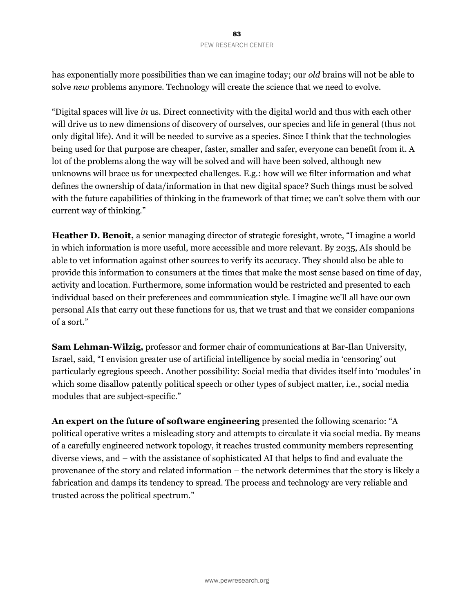has exponentially more possibilities than we can imagine today; our *old* brains will not be able to solve *new* problems anymore. Technology will create the science that we need to evolve.

"Digital spaces will live *in* us. Direct connectivity with the digital world and thus with each other will drive us to new dimensions of discovery of ourselves, our species and life in general (thus not only digital life). And it will be needed to survive as a species. Since I think that the technologies being used for that purpose are cheaper, faster, smaller and safer, everyone can benefit from it. A lot of the problems along the way will be solved and will have been solved, although new unknowns will brace us for unexpected challenges. E.g.: how will we filter information and what defines the ownership of data/information in that new digital space? Such things must be solved with the future capabilities of thinking in the framework of that time; we can't solve them with our current way of thinking."

**Heather D. Benoit,** a senior managing director of strategic foresight, wrote, "I imagine a world in which information is more useful, more accessible and more relevant. By 2035, AIs should be able to vet information against other sources to verify its accuracy. They should also be able to provide this information to consumers at the times that make the most sense based on time of day, activity and location. Furthermore, some information would be restricted and presented to each individual based on their preferences and communication style. I imagine we'll all have our own personal AIs that carry out these functions for us, that we trust and that we consider companions of a sort."

**Sam Lehman-Wilzig,** professor and former chair of communications at Bar-Ilan University, Israel, said, "I envision greater use of artificial intelligence by social media in 'censoring' out particularly egregious speech. Another possibility: Social media that divides itself into 'modules' in which some disallow patently political speech or other types of subject matter, i.e., social media modules that are subject-specific."

**An expert on the future of software engineering** presented the following scenario: "A political operative writes a misleading story and attempts to circulate it via social media. By means of a carefully engineered network topology, it reaches trusted community members representing diverse views, and – with the assistance of sophisticated AI that helps to find and evaluate the provenance of the story and related information – the network determines that the story is likely a fabrication and damps its tendency to spread. The process and technology are very reliable and trusted across the political spectrum."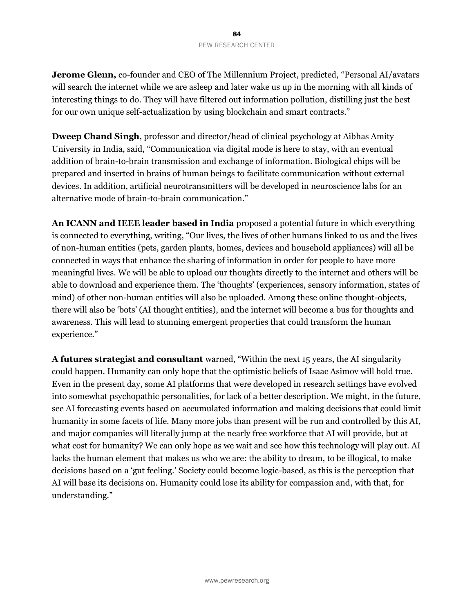**Jerome Glenn,** co-founder and CEO of The Millennium Project, predicted, "Personal AI/avatars will search the internet while we are asleep and later wake us up in the morning with all kinds of interesting things to do. They will have filtered out information pollution, distilling just the best for our own unique self-actualization by using blockchain and smart contracts."

**Dweep Chand Singh**, professor and director/head of clinical psychology at Aibhas Amity University in India, said, "Communication via digital mode is here to stay, with an eventual addition of brain-to-brain transmission and exchange of information. Biological chips will be prepared and inserted in brains of human beings to facilitate communication without external devices. In addition, artificial neurotransmitters will be developed in neuroscience labs for an alternative mode of brain-to-brain communication."

**An ICANN and IEEE leader based in India** proposed a potential future in which everything is connected to everything, writing, "Our lives, the lives of other humans linked to us and the lives of non-human entities (pets, garden plants, homes, devices and household appliances) will all be connected in ways that enhance the sharing of information in order for people to have more meaningful lives. We will be able to upload our thoughts directly to the internet and others will be able to download and experience them. The 'thoughts' (experiences, sensory information, states of mind) of other non-human entities will also be uploaded. Among these online thought-objects, there will also be 'bots' (AI thought entities), and the internet will become a bus for thoughts and awareness. This will lead to stunning emergent properties that could transform the human experience."

**A futures strategist and consultant** warned, "Within the next 15 years, the AI singularity could happen. Humanity can only hope that the optimistic beliefs of Isaac Asimov will hold true. Even in the present day, some AI platforms that were developed in research settings have evolved into somewhat psychopathic personalities, for lack of a better description. We might, in the future, see AI forecasting events based on accumulated information and making decisions that could limit humanity in some facets of life. Many more jobs than present will be run and controlled by this AI, and major companies will literally jump at the nearly free workforce that AI will provide, but at what cost for humanity? We can only hope as we wait and see how this technology will play out. AI lacks the human element that makes us who we are: the ability to dream, to be illogical, to make decisions based on a 'gut feeling.' Society could become logic-based, as this is the perception that AI will base its decisions on. Humanity could lose its ability for compassion and, with that, for understanding."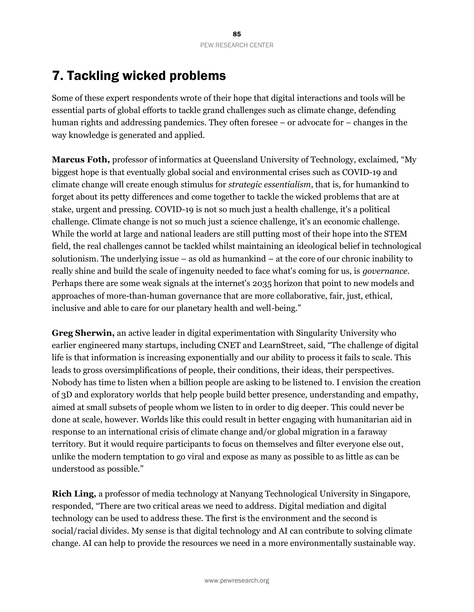# 7. Tackling wicked problems

Some of these expert respondents wrote of their hope that digital interactions and tools will be essential parts of global efforts to tackle grand challenges such as climate change, defending human rights and addressing pandemics. They often foresee – or advocate for – changes in the way knowledge is generated and applied.

**Marcus Foth,** professor of informatics at Queensland University of Technology, exclaimed, "My biggest hope is that eventually global social and environmental crises such as COVID-19 and climate change will create enough stimulus for *strategic essentialism*, that is, for humankind to forget about its petty differences and come together to tackle the wicked problems that are at stake, urgent and pressing. COVID-19 is not so much just a health challenge, it's a political challenge. Climate change is not so much just a science challenge, it's an economic challenge. While the world at large and national leaders are still putting most of their hope into the STEM field, the real challenges cannot be tackled whilst maintaining an ideological belief in technological solutionism. The underlying issue – as old as humankind – at the core of our chronic inability to really shine and build the scale of ingenuity needed to face what's coming for us, is *governance*. Perhaps there are some weak signals at the internet's 2035 horizon that point to new models and approaches of more-than-human governance that are more collaborative, fair, just, ethical, inclusive and able to care for our planetary health and well-being."

**Greg Sherwin,** an active leader in digital experimentation with Singularity University who earlier engineered many startups, including CNET and LearnStreet, said, "The challenge of digital life is that information is increasing exponentially and our ability to process it fails to scale. This leads to gross oversimplifications of people, their conditions, their ideas, their perspectives. Nobody has time to listen when a billion people are asking to be listened to. I envision the creation of 3D and exploratory worlds that help people build better presence, understanding and empathy, aimed at small subsets of people whom we listen to in order to dig deeper. This could never be done at scale, however. Worlds like this could result in better engaging with humanitarian aid in response to an international crisis of climate change and/or global migration in a faraway territory. But it would require participants to focus on themselves and filter everyone else out, unlike the modern temptation to go viral and expose as many as possible to as little as can be understood as possible."

**Rich Ling,** a professor of media technology at Nanyang Technological University in Singapore, responded, "There are two critical areas we need to address. Digital mediation and digital technology can be used to address these. The first is the environment and the second is social/racial divides. My sense is that digital technology and AI can contribute to solving climate change. AI can help to provide the resources we need in a more environmentally sustainable way.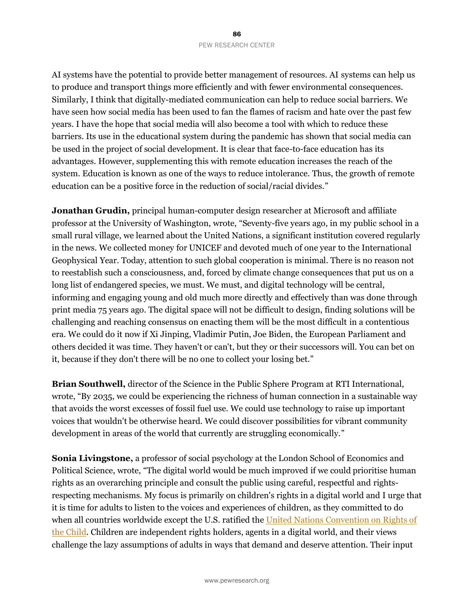AI systems have the potential to provide better management of resources. AI systems can help us to produce and transport things more efficiently and with fewer environmental consequences. Similarly, I think that digitally-mediated communication can help to reduce social barriers. We have seen how social media has been used to fan the flames of racism and hate over the past few years. I have the hope that social media will also become a tool with which to reduce these barriers. Its use in the educational system during the pandemic has shown that social media can be used in the project of social development. It is clear that face-to-face education has its advantages. However, supplementing this with remote education increases the reach of the system. Education is known as one of the ways to reduce intolerance. Thus, the growth of remote education can be a positive force in the reduction of social/racial divides."

**Jonathan Grudin,** principal human-computer design researcher at Microsoft and affiliate professor at the University of Washington, wrote, "Seventy-five years ago, in my public school in a small rural village, we learned about the United Nations, a significant institution covered regularly in the news. We collected money for UNICEF and devoted much of one year to the International Geophysical Year. Today, attention to such global cooperation is minimal. There is no reason not to reestablish such a consciousness, and, forced by climate change consequences that put us on a long list of endangered species, we must. We must, and digital technology will be central, informing and engaging young and old much more directly and effectively than was done through print media 75 years ago. The digital space will not be difficult to design, finding solutions will be challenging and reaching consensus on enacting them will be the most difficult in a contentious era. We could do it now if Xi Jinping, Vladimir Putin, Joe Biden, the European Parliament and others decided it was time. They haven't or can't, but they or their successors will. You can bet on it, because if they don't there will be no one to collect your losing bet."

**Brian Southwell,** director of the Science in the Public Sphere Program at RTI International, wrote, "By 2035, we could be experiencing the richness of human connection in a sustainable way that avoids the worst excesses of fossil fuel use. We could use technology to raise up important voices that wouldn't be otherwise heard. We could discover possibilities for vibrant community development in areas of the world that currently are struggling economically."

**Sonia Livingstone,** a professor of social psychology at the London School of Economics and Political Science, wrote, "The digital world would be much improved if we could prioritise human rights as an overarching principle and consult the public using careful, respectful and rightsrespecting mechanisms. My focus is primarily on children's rights in a digital world and I urge that it is time for adults to listen to the voices and experiences of children, as they committed to do when all countries worldwide except the U.S. ratified the United Nations Convention on Rights of [the Child.](https://en.wikipedia.org/wiki/Convention_on_the_Rights_of_the_Child) Children are independent rights holders, agents in a digital world, and their views challenge the lazy assumptions of adults in ways that demand and deserve attention. Their input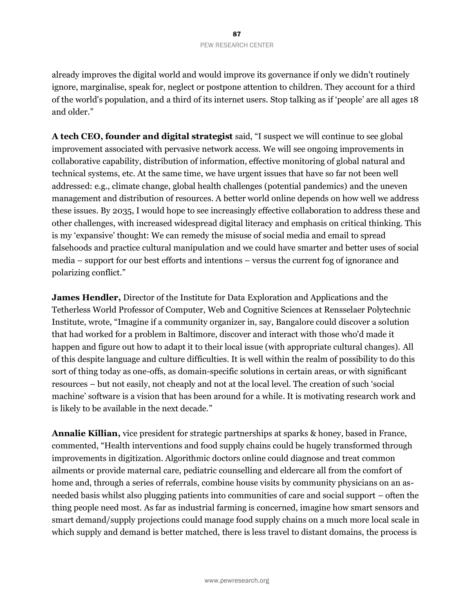already improves the digital world and would improve its governance if only we didn't routinely ignore, marginalise, speak for, neglect or postpone attention to children. They account for a third of the world's population, and a third of its internet users. Stop talking as if 'people' are all ages 18 and older."

**A tech CEO, founder and digital strategist** said, "I suspect we will continue to see global improvement associated with pervasive network access. We will see ongoing improvements in collaborative capability, distribution of information, effective monitoring of global natural and technical systems, etc. At the same time, we have urgent issues that have so far not been well addressed: e.g., climate change, global health challenges (potential pandemics) and the uneven management and distribution of resources. A better world online depends on how well we address these issues. By 2035, I would hope to see increasingly effective collaboration to address these and other challenges, with increased widespread digital literacy and emphasis on critical thinking. This is my 'expansive' thought: We can remedy the misuse of social media and email to spread falsehoods and practice cultural manipulation and we could have smarter and better uses of social media – support for our best efforts and intentions – versus the current fog of ignorance and polarizing conflict."

**James Hendler,** Director of the Institute for Data Exploration and Applications and the Tetherless World Professor of Computer, Web and Cognitive Sciences at Rensselaer Polytechnic Institute, wrote, "Imagine if a community organizer in, say, Bangalore could discover a solution that had worked for a problem in Baltimore, discover and interact with those who'd made it happen and figure out how to adapt it to their local issue (with appropriate cultural changes). All of this despite language and culture difficulties. It is well within the realm of possibility to do this sort of thing today as one-offs, as domain-specific solutions in certain areas, or with significant resources – but not easily, not cheaply and not at the local level. The creation of such 'social machine' software is a vision that has been around for a while. It is motivating research work and is likely to be available in the next decade."

**Annalie Killian,** vice president for strategic partnerships at sparks & honey, based in France, commented, "Health interventions and food supply chains could be hugely transformed through improvements in digitization. Algorithmic doctors online could diagnose and treat common ailments or provide maternal care, pediatric counselling and eldercare all from the comfort of home and, through a series of referrals, combine house visits by community physicians on an asneeded basis whilst also plugging patients into communities of care and social support – often the thing people need most. As far as industrial farming is concerned, imagine how smart sensors and smart demand/supply projections could manage food supply chains on a much more local scale in which supply and demand is better matched, there is less travel to distant domains, the process is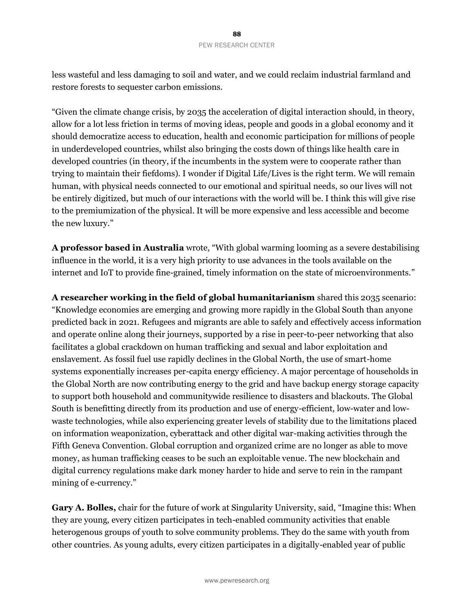less wasteful and less damaging to soil and water, and we could reclaim industrial farmland and restore forests to sequester carbon emissions.

"Given the climate change crisis, by 2035 the acceleration of digital interaction should, in theory, allow for a lot less friction in terms of moving ideas, people and goods in a global economy and it should democratize access to education, health and economic participation for millions of people in underdeveloped countries, whilst also bringing the costs down of things like health care in developed countries (in theory, if the incumbents in the system were to cooperate rather than trying to maintain their fiefdoms). I wonder if Digital Life/Lives is the right term. We will remain human, with physical needs connected to our emotional and spiritual needs, so our lives will not be entirely digitized, but much of our interactions with the world will be. I think this will give rise to the premiumization of the physical. It will be more expensive and less accessible and become the new luxury."

**A professor based in Australia** wrote, "With global warming looming as a severe destabilising influence in the world, it is a very high priority to use advances in the tools available on the internet and IoT to provide fine-grained, timely information on the state of microenvironments."

**A researcher working in the field of global humanitarianism** shared this 2035 scenario: "Knowledge economies are emerging and growing more rapidly in the Global South than anyone predicted back in 2021. Refugees and migrants are able to safely and effectively access information and operate online along their journeys, supported by a rise in peer-to-peer networking that also facilitates a global crackdown on human trafficking and sexual and labor exploitation and enslavement. As fossil fuel use rapidly declines in the Global North, the use of smart-home systems exponentially increases per-capita energy efficiency. A major percentage of households in the Global North are now contributing energy to the grid and have backup energy storage capacity to support both household and communitywide resilience to disasters and blackouts. The Global South is benefitting directly from its production and use of energy-efficient, low-water and lowwaste technologies, while also experiencing greater levels of stability due to the limitations placed on information weaponization, cyberattack and other digital war-making activities through the Fifth Geneva Convention. Global corruption and organized crime are no longer as able to move money, as human trafficking ceases to be such an exploitable venue. The new blockchain and digital currency regulations make dark money harder to hide and serve to rein in the rampant mining of e-currency."

**Gary A. Bolles,** chair for the future of work at Singularity University, said, "Imagine this: When they are young, every citizen participates in tech-enabled community activities that enable heterogenous groups of youth to solve community problems. They do the same with youth from other countries. As young adults, every citizen participates in a digitally-enabled year of public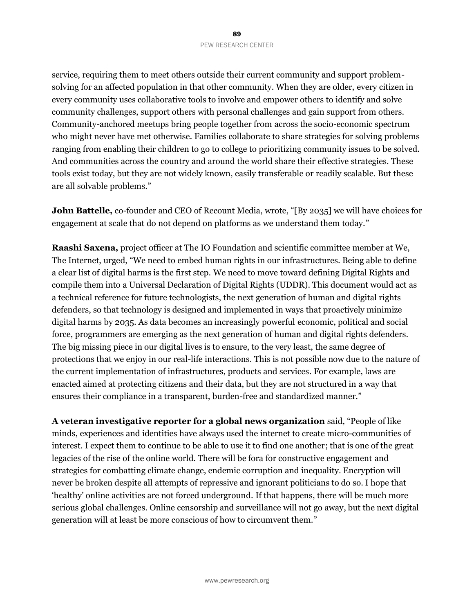service, requiring them to meet others outside their current community and support problemsolving for an affected population in that other community. When they are older, every citizen in every community uses collaborative tools to involve and empower others to identify and solve community challenges, support others with personal challenges and gain support from others. Community-anchored meetups bring people together from across the socio-economic spectrum who might never have met otherwise. Families collaborate to share strategies for solving problems ranging from enabling their children to go to college to prioritizing community issues to be solved. And communities across the country and around the world share their effective strategies. These tools exist today, but they are not widely known, easily transferable or readily scalable. But these are all solvable problems."

**John Battelle,** co-founder and CEO of Recount Media, wrote, "[By 2035] we will have choices for engagement at scale that do not depend on platforms as we understand them today."

**Raashi Saxena,** project officer at The IO Foundation and scientific committee member at We, The Internet, urged, "We need to embed human rights in our infrastructures. Being able to define a clear list of digital harms is the first step. We need to move toward defining Digital Rights and compile them into a Universal Declaration of Digital Rights (UDDR). This document would act as a technical reference for future technologists, the next generation of human and digital rights defenders, so that technology is designed and implemented in ways that proactively minimize digital harms by 2035. As data becomes an increasingly powerful economic, political and social force, programmers are emerging as the next generation of human and digital rights defenders. The big missing piece in our digital lives is to ensure, to the very least, the same degree of protections that we enjoy in our real-life interactions. This is not possible now due to the nature of the current implementation of infrastructures, products and services. For example, laws are enacted aimed at protecting citizens and their data, but they are not structured in a way that ensures their compliance in a transparent, burden-free and standardized manner."

**A veteran investigative reporter for a global news organization** said, "People of like minds, experiences and identities have always used the internet to create micro-communities of interest. I expect them to continue to be able to use it to find one another; that is one of the great legacies of the rise of the online world. There will be fora for constructive engagement and strategies for combatting climate change, endemic corruption and inequality. Encryption will never be broken despite all attempts of repressive and ignorant politicians to do so. I hope that 'healthy' online activities are not forced underground. If that happens, there will be much more serious global challenges. Online censorship and surveillance will not go away, but the next digital generation will at least be more conscious of how to circumvent them."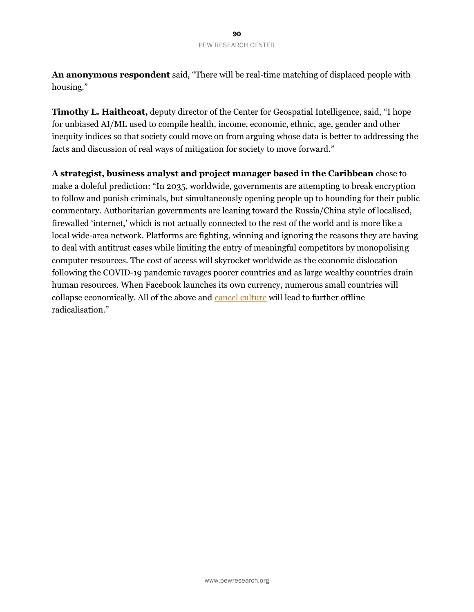**An anonymous respondent** said, "There will be real-time matching of displaced people with housing."

**Timothy L. Haithcoat,** deputy director of the Center for Geospatial Intelligence, said, "I hope for unbiased AI/ML used to compile health, income, economic, ethnic, age, gender and other inequity indices so that society could move on from arguing whose data is better to addressing the facts and discussion of real ways of mitigation for society to move forward."

**A strategist, business analyst and project manager based in the Caribbean** chose to make a doleful prediction: "In 2035, worldwide, governments are attempting to break encryption to follow and punish criminals, but simultaneously opening people up to hounding for their public commentary. Authoritarian governments are leaning toward the Russia/China style of localised, firewalled 'internet,' which is not actually connected to the rest of the world and is more like a local wide-area network. Platforms are fighting, winning and ignoring the reasons they are having to deal with antitrust cases while limiting the entry of meaningful competitors by monopolising computer resources. The cost of access will skyrocket worldwide as the economic dislocation following the COVID-19 pandemic ravages poorer countries and as large wealthy countries drain human resources. When Facebook launches its own currency, numerous small countries will collapse economically. All of the above and [cancel culture](https://en.wikipedia.org/wiki/Cancel_culture) will lead to further offline radicalisation."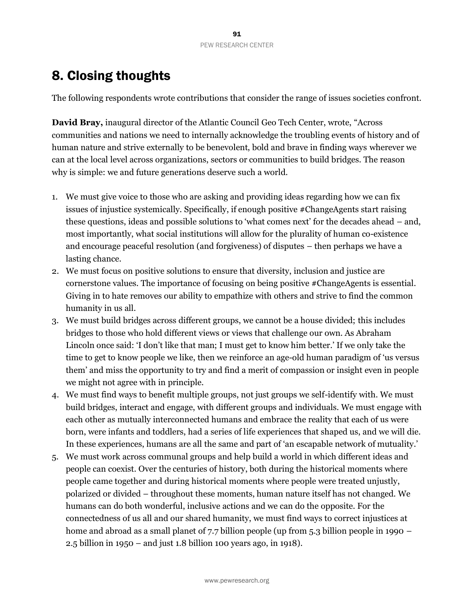# 8. Closing thoughts

The following respondents wrote contributions that consider the range of issues societies confront.

**David Bray,** inaugural director of the Atlantic Council Geo Tech Center, wrote, "Across communities and nations we need to internally acknowledge the troubling events of history and of human nature and strive externally to be benevolent, bold and brave in finding ways wherever we can at the local level across organizations, sectors or communities to build bridges. The reason why is simple: we and future generations deserve such a world.

- 1. We must give voice to those who are asking and providing ideas regarding how we can fix issues of injustice systemically. Specifically, if enough positive #ChangeAgents start raising these questions, ideas and possible solutions to 'what comes next' for the decades ahead – and, most importantly, what social institutions will allow for the plurality of human co-existence and encourage peaceful resolution (and forgiveness) of disputes – then perhaps we have a lasting chance.
- 2. We must focus on positive solutions to ensure that diversity, inclusion and justice are cornerstone values. The importance of focusing on being positive #ChangeAgents is essential. Giving in to hate removes our ability to empathize with others and strive to find the common humanity in us all.
- 3. We must build bridges across different groups, we cannot be a house divided; this includes bridges to those who hold different views or views that challenge our own. As Abraham Lincoln once said: 'I don't like that man; I must get to know him better.' If we only take the time to get to know people we like, then we reinforce an age-old human paradigm of 'us versus them' and miss the opportunity to try and find a merit of compassion or insight even in people we might not agree with in principle.
- 4. We must find ways to benefit multiple groups, not just groups we self-identify with. We must build bridges, interact and engage, with different groups and individuals. We must engage with each other as mutually interconnected humans and embrace the reality that each of us were born, were infants and toddlers, had a series of life experiences that shaped us, and we will die. In these experiences, humans are all the same and part of 'an escapable network of mutuality.'
- 5. We must work across communal groups and help build a world in which different ideas and people can coexist. Over the centuries of history, both during the historical moments where people came together and during historical moments where people were treated unjustly, polarized or divided – throughout these moments, human nature itself has not changed. We humans can do both wonderful, inclusive actions and we can do the opposite. For the connectedness of us all and our shared humanity, we must find ways to correct injustices at home and abroad as a small planet of 7.7 billion people (up from 5.3 billion people in 1990 – 2.5 billion in 1950 – and just 1.8 billion 100 years ago, in 1918).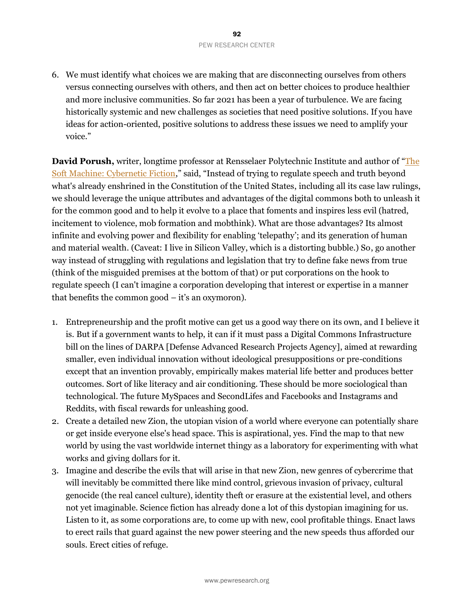6. We must identify what choices we are making that are disconnecting ourselves from others versus connecting ourselves with others, and then act on better choices to produce healthier and more inclusive communities. So far 2021 has been a year of turbulence. We are facing historically systemic and new challenges as societies that need positive solutions. If you have ideas for action-oriented, positive solutions to address these issues we need to amplify your voice."

**David Porush,** writer, longtime professor at Rensselaer Polytechnic Institute and author of "[The](https://www.goodreads.com/book/show/2999496-the-soft-machine)  [Soft Machine: Cybernetic Fiction,](https://www.goodreads.com/book/show/2999496-the-soft-machine)" said, "Instead of trying to regulate speech and truth beyond what's already enshrined in the Constitution of the United States, including all its case law rulings, we should leverage the unique attributes and advantages of the digital commons both to unleash it for the common good and to help it evolve to a place that foments and inspires less evil (hatred, incitement to violence, mob formation and mobthink). What are those advantages? Its almost infinite and evolving power and flexibility for enabling 'telepathy'; and its generation of human and material wealth. (Caveat: I live in Silicon Valley, which is a distorting bubble.) So, go another way instead of struggling with regulations and legislation that try to define fake news from true (think of the misguided premises at the bottom of that) or put corporations on the hook to regulate speech (I can't imagine a corporation developing that interest or expertise in a manner that benefits the common good – it's an oxymoron).

- 1. Entrepreneurship and the profit motive can get us a good way there on its own, and I believe it is. But if a government wants to help, it can if it must pass a Digital Commons Infrastructure bill on the lines of DARPA [Defense Advanced Research Projects Agency], aimed at rewarding smaller, even individual innovation without ideological presuppositions or pre-conditions except that an invention provably, empirically makes material life better and produces better outcomes. Sort of like literacy and air conditioning. These should be more sociological than technological. The future MySpaces and SecondLifes and Facebooks and Instagrams and Reddits, with fiscal rewards for unleashing good.
- 2. Create a detailed new Zion, the utopian vision of a world where everyone can potentially share or get inside everyone else's head space. This is aspirational, yes. Find the map to that new world by using the vast worldwide internet thingy as a laboratory for experimenting with what works and giving dollars for it.
- 3. Imagine and describe the evils that will arise in that new Zion, new genres of cybercrime that will inevitably be committed there like mind control, grievous invasion of privacy, cultural genocide (the real cancel culture), identity theft or erasure at the existential level, and others not yet imaginable. Science fiction has already done a lot of this dystopian imagining for us. Listen to it, as some corporations are, to come up with new, cool profitable things. Enact laws to erect rails that guard against the new power steering and the new speeds thus afforded our souls. Erect cities of refuge.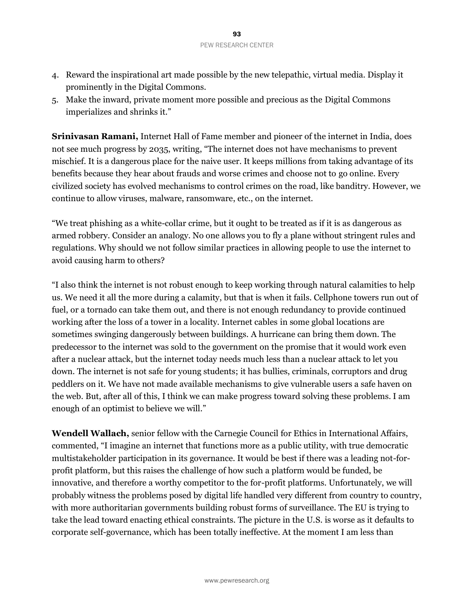- 4. Reward the inspirational art made possible by the new telepathic, virtual media. Display it prominently in the Digital Commons.
- 5. Make the inward, private moment more possible and precious as the Digital Commons imperializes and shrinks it."

**Srinivasan Ramani,** Internet Hall of Fame member and pioneer of the internet in India, does not see much progress by 2035, writing, "The internet does not have mechanisms to prevent mischief. It is a dangerous place for the naive user. It keeps millions from taking advantage of its benefits because they hear about frauds and worse crimes and choose not to go online. Every civilized society has evolved mechanisms to control crimes on the road, like banditry. However, we continue to allow viruses, malware, ransomware, etc., on the internet.

"We treat phishing as a white-collar crime, but it ought to be treated as if it is as dangerous as armed robbery. Consider an analogy. No one allows you to fly a plane without stringent rules and regulations. Why should we not follow similar practices in allowing people to use the internet to avoid causing harm to others?

"I also think the internet is not robust enough to keep working through natural calamities to help us. We need it all the more during a calamity, but that is when it fails. Cellphone towers run out of fuel, or a tornado can take them out, and there is not enough redundancy to provide continued working after the loss of a tower in a locality. Internet cables in some global locations are sometimes swinging dangerously between buildings. A hurricane can bring them down. The predecessor to the internet was sold to the government on the promise that it would work even after a nuclear attack, but the internet today needs much less than a nuclear attack to let you down. The internet is not safe for young students; it has bullies, criminals, corruptors and drug peddlers on it. We have not made available mechanisms to give vulnerable users a safe haven on the web. But, after all of this, I think we can make progress toward solving these problems. I am enough of an optimist to believe we will."

**Wendell Wallach,** senior fellow with the Carnegie Council for Ethics in International Affairs, commented, "I imagine an internet that functions more as a public utility, with true democratic multistakeholder participation in its governance. It would be best if there was a leading not-forprofit platform, but this raises the challenge of how such a platform would be funded, be innovative, and therefore a worthy competitor to the for-profit platforms. Unfortunately, we will probably witness the problems posed by digital life handled very different from country to country, with more authoritarian governments building robust forms of surveillance. The EU is trying to take the lead toward enacting ethical constraints. The picture in the U.S. is worse as it defaults to corporate self-governance, which has been totally ineffective. At the moment I am less than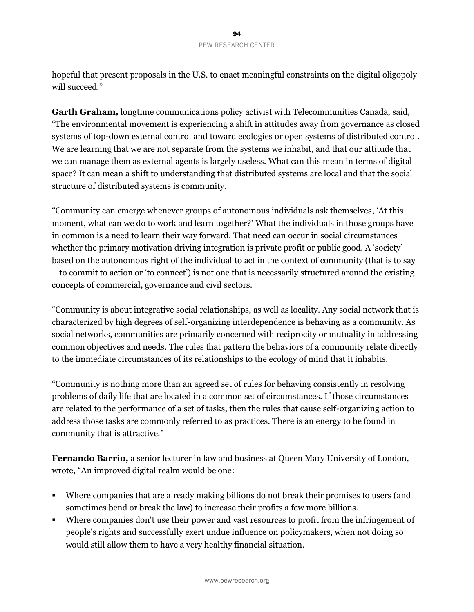hopeful that present proposals in the U.S. to enact meaningful constraints on the digital oligopoly will succeed."

**Garth Graham,** longtime communications policy activist with Telecommunities Canada, said, "The environmental movement is experiencing a shift in attitudes away from governance as closed systems of top-down external control and toward ecologies or open systems of distributed control. We are learning that we are not separate from the systems we inhabit, and that our attitude that we can manage them as external agents is largely useless. What can this mean in terms of digital space? It can mean a shift to understanding that distributed systems are local and that the social structure of distributed systems is community.

"Community can emerge whenever groups of autonomous individuals ask themselves, 'At this moment, what can we do to work and learn together?' What the individuals in those groups have in common is a need to learn their way forward. That need can occur in social circumstances whether the primary motivation driving integration is private profit or public good. A 'society' based on the autonomous right of the individual to act in the context of community (that is to say – to commit to action or 'to connect') is not one that is necessarily structured around the existing concepts of commercial, governance and civil sectors.

"Community is about integrative social relationships, as well as locality. Any social network that is characterized by high degrees of self-organizing interdependence is behaving as a community. As social networks, communities are primarily concerned with reciprocity or mutuality in addressing common objectives and needs. The rules that pattern the behaviors of a community relate directly to the immediate circumstances of its relationships to the ecology of mind that it inhabits.

"Community is nothing more than an agreed set of rules for behaving consistently in resolving problems of daily life that are located in a common set of circumstances. If those circumstances are related to the performance of a set of tasks, then the rules that cause self-organizing action to address those tasks are commonly referred to as practices. There is an energy to be found in community that is attractive."

**Fernando Barrio,** a senior lecturer in law and business at Queen Mary University of London, wrote, "An improved digital realm would be one:

- Where companies that are already making billions do not break their promises to users (and sometimes bend or break the law) to increase their profits a few more billions.
- Where companies don't use their power and vast resources to profit from the infringement of people's rights and successfully exert undue influence on policymakers, when not doing so would still allow them to have a very healthy financial situation.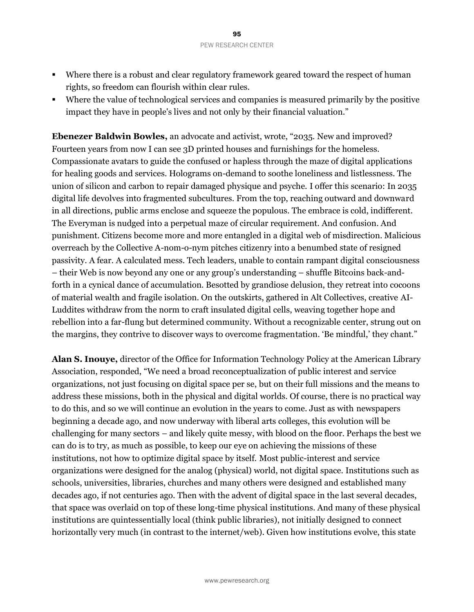- Where there is a robust and clear regulatory framework geared toward the respect of human rights, so freedom can flourish within clear rules.
- Where the value of technological services and companies is measured primarily by the positive impact they have in people's lives and not only by their financial valuation."

**Ebenezer Baldwin Bowles,** an advocate and activist, wrote, "2035. New and improved? Fourteen years from now I can see 3D printed houses and furnishings for the homeless. Compassionate avatars to guide the confused or hapless through the maze of digital applications for healing goods and services. Holograms on-demand to soothe loneliness and listlessness. The union of silicon and carbon to repair damaged physique and psyche. I offer this scenario: In 2035 digital life devolves into fragmented subcultures. From the top, reaching outward and downward in all directions, public arms enclose and squeeze the populous. The embrace is cold, indifferent. The Everyman is nudged into a perpetual maze of circular requirement. And confusion. And punishment. Citizens become more and more entangled in a digital web of misdirection. Malicious overreach by the Collective A-nom-o-nym pitches citizenry into a benumbed state of resigned passivity. A fear. A calculated mess. Tech leaders, unable to contain rampant digital consciousness – their Web is now beyond any one or any group's understanding – shuffle Bitcoins back-andforth in a cynical dance of accumulation. Besotted by grandiose delusion, they retreat into cocoons of material wealth and fragile isolation. On the outskirts, gathered in Alt Collectives, creative AI-Luddites withdraw from the norm to craft insulated digital cells, weaving together hope and rebellion into a far-flung but determined community. Without a recognizable center, strung out on the margins, they contrive to discover ways to overcome fragmentation. 'Be mindful,' they chant."

**Alan S. Inouye,** director of the Office for Information Technology Policy at the American Library Association, responded, "We need a broad reconceptualization of public interest and service organizations, not just focusing on digital space per se, but on their full missions and the means to address these missions, both in the physical and digital worlds. Of course, there is no practical way to do this, and so we will continue an evolution in the years to come. Just as with newspapers beginning a decade ago, and now underway with liberal arts colleges, this evolution will be challenging for many sectors – and likely quite messy, with blood on the floor. Perhaps the best we can do is to try, as much as possible, to keep our eye on achieving the missions of these institutions, not how to optimize digital space by itself. Most public-interest and service organizations were designed for the analog (physical) world, not digital space. Institutions such as schools, universities, libraries, churches and many others were designed and established many decades ago, if not centuries ago. Then with the advent of digital space in the last several decades, that space was overlaid on top of these long-time physical institutions. And many of these physical institutions are quintessentially local (think public libraries), not initially designed to connect horizontally very much (in contrast to the internet/web). Given how institutions evolve, this state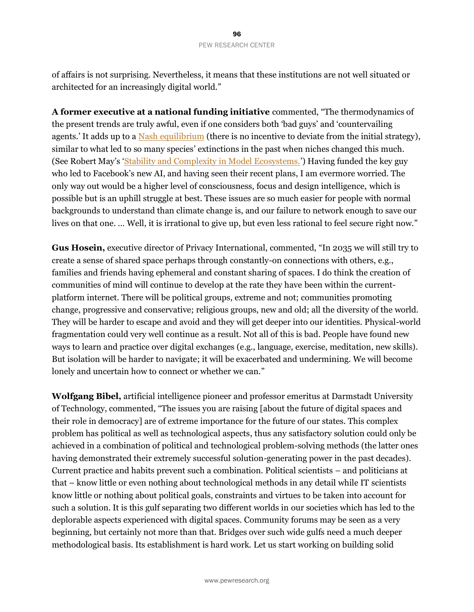of affairs is not surprising. Nevertheless, it means that these institutions are not well situated or architected for an increasingly digital world."

**A former executive at a national funding initiative** commented, "The thermodynamics of the present trends are truly awful, even if one considers both 'bad guys' and 'countervailing agents.' It adds up to a [Nash equilibrium](https://en.wikipedia.org/wiki/Nash_equilibrium) (there is no incentive to deviate from the initial strategy), similar to what led to so many species' extinctions in the past when niches changed this much. (See Robert May's '[Stability and Complexity in Model Ecosystems.](https://press.princeton.edu/books/paperback/9780691088617/stability-and-complexity-in-model-ecosystems)') Having funded the key guy who led to Facebook's new AI, and having seen their recent plans, I am evermore worried. The only way out would be a higher level of consciousness, focus and design intelligence, which is possible but is an uphill struggle at best. These issues are so much easier for people with normal backgrounds to understand than climate change is, and our failure to network enough to save our lives on that one. ... Well, it is irrational to give up, but even less rational to feel secure right now."

**Gus Hosein,** executive director of Privacy International, commented, "In 2035 we will still try to create a sense of shared space perhaps through constantly-on connections with others, e.g., families and friends having ephemeral and constant sharing of spaces. I do think the creation of communities of mind will continue to develop at the rate they have been within the currentplatform internet. There will be political groups, extreme and not; communities promoting change, progressive and conservative; religious groups, new and old; all the diversity of the world. They will be harder to escape and avoid and they will get deeper into our identities. Physical-world fragmentation could very well continue as a result. Not all of this is bad. People have found new ways to learn and practice over digital exchanges (e.g., language, exercise, meditation, new skills). But isolation will be harder to navigate; it will be exacerbated and undermining. We will become lonely and uncertain how to connect or whether we can."

**Wolfgang Bibel,** artificial intelligence pioneer and professor emeritus at Darmstadt University of Technology, commented, "The issues you are raising [about the future of digital spaces and their role in democracy] are of extreme importance for the future of our states. This complex problem has political as well as technological aspects, thus any satisfactory solution could only be achieved in a combination of political and technological problem-solving methods (the latter ones having demonstrated their extremely successful solution-generating power in the past decades). Current practice and habits prevent such a combination. Political scientists – and politicians at that – know little or even nothing about technological methods in any detail while IT scientists know little or nothing about political goals, constraints and virtues to be taken into account for such a solution. It is this gulf separating two different worlds in our societies which has led to the deplorable aspects experienced with digital spaces. Community forums may be seen as a very beginning, but certainly not more than that. Bridges over such wide gulfs need a much deeper methodological basis. Its establishment is hard work. Let us start working on building solid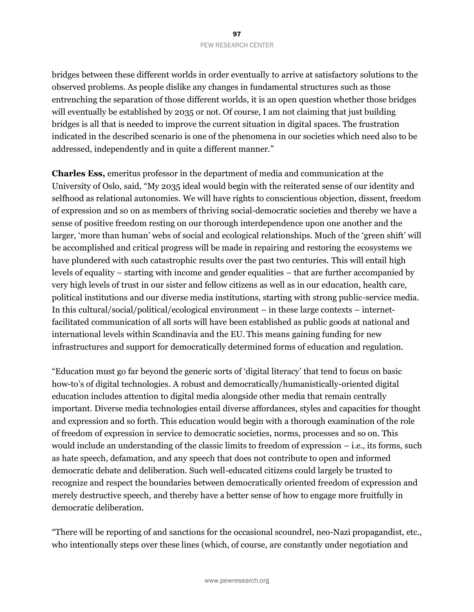bridges between these different worlds in order eventually to arrive at satisfactory solutions to the observed problems. As people dislike any changes in fundamental structures such as those entrenching the separation of those different worlds, it is an open question whether those bridges will eventually be established by 2035 or not. Of course, I am not claiming that just building bridges is all that is needed to improve the current situation in digital spaces. The frustration indicated in the described scenario is one of the phenomena in our societies which need also to be addressed, independently and in quite a different manner."

**Charles Ess,** emeritus professor in the department of media and communication at the University of Oslo, said, "My 2035 ideal would begin with the reiterated sense of our identity and selfhood as relational autonomies. We will have rights to conscientious objection, dissent, freedom of expression and so on as members of thriving social-democratic societies and thereby we have a sense of positive freedom resting on our thorough interdependence upon one another and the larger, 'more than human' webs of social and ecological relationships. Much of the 'green shift' will be accomplished and critical progress will be made in repairing and restoring the ecosystems we have plundered with such catastrophic results over the past two centuries. This will entail high levels of equality – starting with income and gender equalities – that are further accompanied by very high levels of trust in our sister and fellow citizens as well as in our education, health care, political institutions and our diverse media institutions, starting with strong public-service media. In this cultural/social/political/ecological environment – in these large contexts – internetfacilitated communication of all sorts will have been established as public goods at national and international levels within Scandinavia and the EU. This means gaining funding for new infrastructures and support for democratically determined forms of education and regulation.

"Education must go far beyond the generic sorts of 'digital literacy' that tend to focus on basic how-to's of digital technologies. A robust and democratically/humanistically-oriented digital education includes attention to digital media alongside other media that remain centrally important. Diverse media technologies entail diverse affordances, styles and capacities for thought and expression and so forth. This education would begin with a thorough examination of the role of freedom of expression in service to democratic societies, norms, processes and so on. This would include an understanding of the classic limits to freedom of expression – i.e., its forms, such as hate speech, defamation, and any speech that does not contribute to open and informed democratic debate and deliberation. Such well-educated citizens could largely be trusted to recognize and respect the boundaries between democratically oriented freedom of expression and merely destructive speech, and thereby have a better sense of how to engage more fruitfully in democratic deliberation.

"There will be reporting of and sanctions for the occasional scoundrel, neo-Nazi propagandist, etc., who intentionally steps over these lines (which, of course, are constantly under negotiation and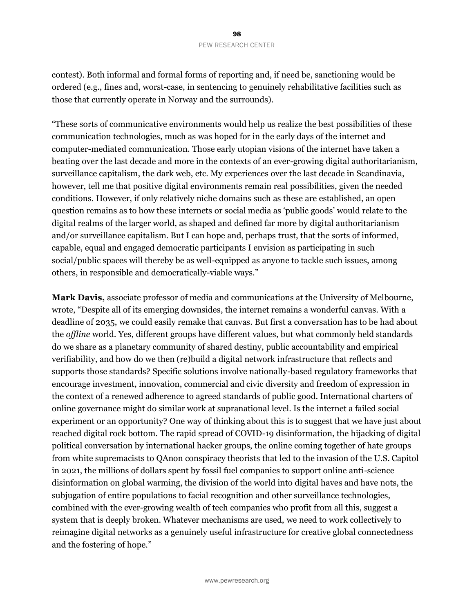contest). Both informal and formal forms of reporting and, if need be, sanctioning would be ordered (e.g., fines and, worst-case, in sentencing to genuinely rehabilitative facilities such as those that currently operate in Norway and the surrounds).

"These sorts of communicative environments would help us realize the best possibilities of these communication technologies, much as was hoped for in the early days of the internet and computer-mediated communication. Those early utopian visions of the internet have taken a beating over the last decade and more in the contexts of an ever-growing digital authoritarianism, surveillance capitalism, the dark web, etc. My experiences over the last decade in Scandinavia, however, tell me that positive digital environments remain real possibilities, given the needed conditions. However, if only relatively niche domains such as these are established, an open question remains as to how these internets or social media as 'public goods' would relate to the digital realms of the larger world, as shaped and defined far more by digital authoritarianism and/or surveillance capitalism. But I can hope and, perhaps trust, that the sorts of informed, capable, equal and engaged democratic participants I envision as participating in such social/public spaces will thereby be as well-equipped as anyone to tackle such issues, among others, in responsible and democratically-viable ways."

**Mark Davis,** associate professor of media and communications at the University of Melbourne, wrote, "Despite all of its emerging downsides, the internet remains a wonderful canvas. With a deadline of 2035, we could easily remake that canvas. But first a conversation has to be had about the *offline* world. Yes, different groups have different values, but what commonly held standards do we share as a planetary community of shared destiny, public accountability and empirical verifiability, and how do we then (re)build a digital network infrastructure that reflects and supports those standards? Specific solutions involve nationally-based regulatory frameworks that encourage investment, innovation, commercial and civic diversity and freedom of expression in the context of a renewed adherence to agreed standards of public good. International charters of online governance might do similar work at supranational level. Is the internet a failed social experiment or an opportunity? One way of thinking about this is to suggest that we have just about reached digital rock bottom. The rapid spread of COVID-19 disinformation, the hijacking of digital political conversation by international hacker groups, the online coming together of hate groups from white supremacists to QAnon conspiracy theorists that led to the invasion of the U.S. Capitol in 2021, the millions of dollars spent by fossil fuel companies to support online anti-science disinformation on global warming, the division of the world into digital haves and have nots, the subjugation of entire populations to facial recognition and other surveillance technologies, combined with the ever-growing wealth of tech companies who profit from all this, suggest a system that is deeply broken. Whatever mechanisms are used, we need to work collectively to reimagine digital networks as a genuinely useful infrastructure for creative global connectedness and the fostering of hope."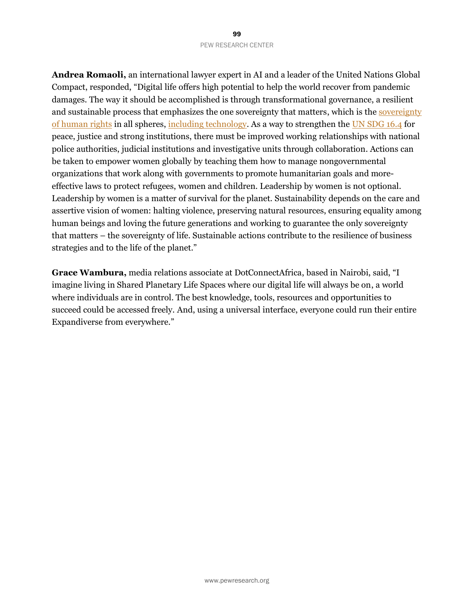**Andrea Romaoli,** an international lawyer expert in AI and a leader of the United Nations Global Compact, responded, "Digital life offers high potential to help the world recover from pandemic damages. The way it should be accomplished is through transformational governance, a resilient and sustainable process that emphasizes the one sovereignty that matters, which is th[e sovereignty](https://global.oup.com/academic/product/the-sovereignty-of-human-rights-9780190267315)  [of human rights](https://global.oup.com/academic/product/the-sovereignty-of-human-rights-9780190267315) in all spheres, [including technology.](http://hrlibrary.umn.edu/edumat/hreduseries/hereandnow/Part-5/8_udhr-abbr.htm) As a way to strengthen th[e UN SDG 16.4](https://sdgs.un.org/goals/goal16) for peace, justice and strong institutions, there must be improved working relationships with national police authorities, judicial institutions and investigative units through collaboration. Actions can be taken to empower women globally by teaching them how to manage nongovernmental organizations that work along with governments to promote humanitarian goals and moreeffective laws to protect refugees, women and children. Leadership by women is not optional. Leadership by women is a matter of survival for the planet. Sustainability depends on the care and assertive vision of women: halting violence, preserving natural resources, ensuring equality among human beings and loving the future generations and working to guarantee the only sovereignty that matters – the sovereignty of life. Sustainable actions contribute to the resilience of business strategies and to the life of the planet."

**Grace Wambura,** media relations associate at DotConnectAfrica, based in Nairobi, said, "I imagine living in Shared Planetary Life Spaces where our digital life will always be on, a world where individuals are in control. The best knowledge, tools, resources and opportunities to succeed could be accessed freely. And, using a universal interface, everyone could run their entire Expandiverse from everywhere."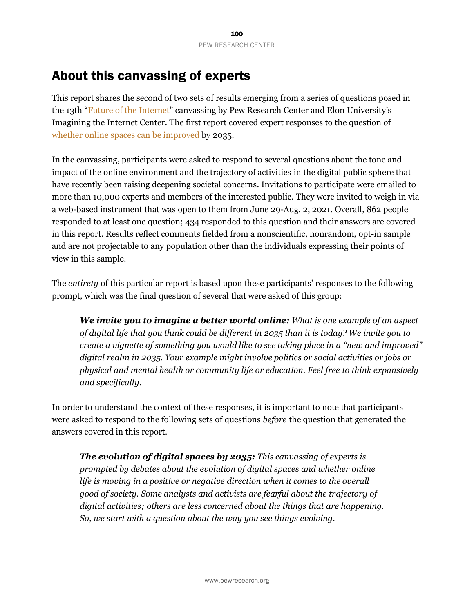# About this canvassing of experts

This report shares the second of two sets of results emerging from a series of questions posed in the 13th "Future of the [Internet](https://www.pewinternet.org/topics/future-of-the-internet/)" canvassing by Pew Research Center and Elon University's Imagining the Internet Center. The first report covered expert responses to the question of [whether online spaces can be improved](https://www.pewresearch.org/internet/2021/11/22/the-future-of-digital-spaces-and-their-role-in-democracy/) by 2035.

In the canvassing, participants were asked to respond to several questions about the tone and impact of the online environment and the trajectory of activities in the digital public sphere that have recently been raising deepening societal concerns. Invitations to participate were emailed to more than 10,000 experts and members of the interested public. They were invited to weigh in via a web-based instrument that was open to them from June 29-Aug. 2, 2021. Overall, 862 people responded to at least one question; 434 responded to this question and their answers are covered in this report. Results reflect comments fielded from a nonscientific, nonrandom, opt-in sample and are not projectable to any population other than the individuals expressing their points of view in this sample.

The *entirety* of this particular report is based upon these participants' responses to the following prompt, which was the final question of several that were asked of this group:

*We invite you to imagine a better world online: What is one example of an aspect of digital life that you think could be different in 2035 than it is today? We invite you to create a vignette of something you would like to see taking place in a "new and improved" digital realm in 2035. Your example might involve politics or social activities or jobs or physical and mental health or community life or education. Feel free to think expansively and specifically.*

In order to understand the context of these responses, it is important to note that participants were asked to respond to the following sets of questions *before* the question that generated the answers covered in this report.

*The evolution of digital spaces by 2035: This canvassing of experts is prompted by debates about the evolution of digital spaces and whether online life is moving in a positive or negative direction when it comes to the overall good of society. Some analysts and activists are fearful about the trajectory of digital activities; others are less concerned about the things that are happening. So, we start with a question about the way you see things evolving.*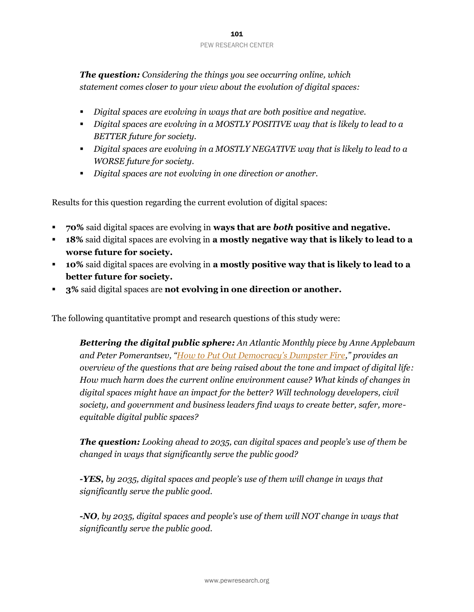*The question: Considering the things you see occurring online, which statement comes closer to your view about the evolution of digital spaces:* 

- *Digital spaces are evolving in ways that are both positive and negative.*
- *Digital spaces are evolving in a MOSTLY POSITIVE way that is likely to lead to a BETTER future for society.*
- *Digital spaces are evolving in a MOSTLY NEGATIVE way that is likely to lead to a WORSE future for society.*
- *Digital spaces are not evolving in one direction or another.*

Results for this question regarding the current evolution of digital spaces:

- **70%** said digital spaces are evolving in **ways that are** *both* **positive and negative.**
- **18%** said digital spaces are evolving in **a mostly negative way that is likely to lead to a worse future for society.**
- **10%** said digital spaces are evolving in **a mostly positive way that is likely to lead to a better future for society.**
- **3%** said digital spaces are **not evolving in one direction or another.**

The following quantitative prompt and research questions of this study were:

*Bettering the digital public sphere: An Atlantic Monthly piece by Anne Applebaum an[d Peter Pomerantsev](https://www.theatlantic.com/author/peter-pomerantsev/), ["How to Put Out Democracy's Dumpster Fire,](https://www.theatlantic.com/magazine/archive/2021/04/the-internet-doesnt-have-to-be-awful/618079/)" provides an overview of the questions that are being raised about the tone and impact of digital life: How much harm does the current online environment cause? What kinds of changes in digital spaces might have an impact for the better? Will technology developers, civil society, and government and business leaders find ways to create better, safer, moreequitable digital public spaces?* 

*The question: Looking ahead to 2035, can digital spaces and people's use of them be changed in ways that significantly serve the public good?*

*-YES, by 2035, digital spaces and people's use of them will change in ways that significantly serve the public good.*

*-NO, by 2035, digital spaces and people's use of them will NOT change in ways that significantly serve the public good.*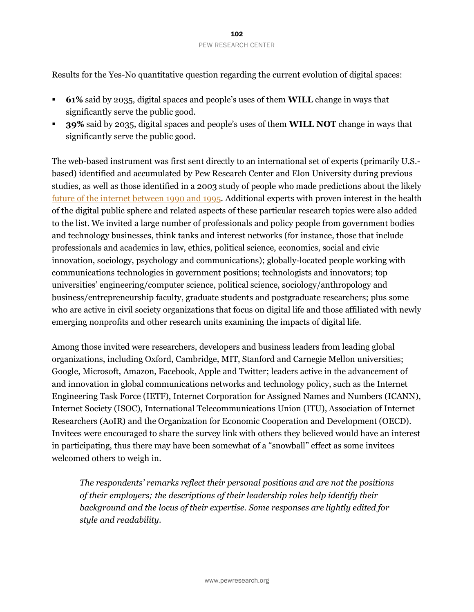Results for the Yes-No quantitative question regarding the current evolution of digital spaces:

- **61%** said by 2035, digital spaces and people's uses of them **WILL** change in ways that significantly serve the public good.
- **39%** said by 2035, digital spaces and people's uses of them **WILL NOT** change in ways that significantly serve the public good.

The web-based instrument was first sent directly to an international set of experts (primarily U.S. based) identified and accumulated by Pew Research Center and Elon University during previous studies, as well as those identified in a 2003 study of people who made predictions about the likely future of the internet [between](https://www.elon.edu/u/imagining/time-capsule/early-90s/) 1990 and 1995. Additional experts with proven interest in the health of the digital public sphere and related aspects of these particular research topics were also added to the list. We invited a large number of professionals and policy people from government bodies and technology businesses, think tanks and interest networks (for instance, those that include professionals and academics in law, ethics, political science, economics, social and civic innovation, sociology, psychology and communications); globally-located people working with communications technologies in government positions; technologists and innovators; top universities' engineering/computer science, political science, sociology/anthropology and business/entrepreneurship faculty, graduate students and postgraduate researchers; plus some who are active in civil society organizations that focus on digital life and those affiliated with newly emerging nonprofits and other research units examining the impacts of digital life.

Among those invited were researchers, developers and business leaders from leading global organizations, including Oxford, Cambridge, MIT, Stanford and Carnegie Mellon universities; Google, Microsoft, Amazon, Facebook, Apple and Twitter; leaders active in the advancement of and innovation in global communications networks and technology policy, such as the Internet Engineering Task Force (IETF), Internet Corporation for Assigned Names and Numbers (ICANN), Internet Society (ISOC), International Telecommunications Union (ITU), Association of Internet Researchers (AoIR) and the Organization for Economic Cooperation and Development (OECD). Invitees were encouraged to share the survey link with others they believed would have an interest in participating, thus there may have been somewhat of a "snowball" effect as some invitees welcomed others to weigh in.

*The respondents' remarks reflect their personal positions and are not the positions of their employers; the descriptions of their leadership roles help identify their background and the locus of their expertise. Some responses are lightly edited for style and readability.*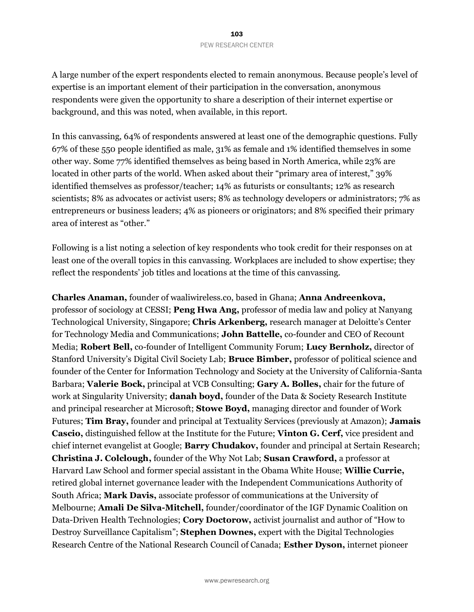A large number of the expert respondents elected to remain anonymous. Because people's level of expertise is an important element of their participation in the conversation, anonymous respondents were given the opportunity to share a description of their internet expertise or background, and this was noted, when available, in this report.

In this canvassing, 64% of respondents answered at least one of the demographic questions. Fully 67% of these 550 people identified as male, 31% as female and 1% identified themselves in some other way. Some 77% identified themselves as being based in North America, while 23% are located in other parts of the world. When asked about their "primary area of interest," 39% identified themselves as professor/teacher; 14% as futurists or consultants; 12% as research scientists; 8% as advocates or activist users; 8% as technology developers or administrators; 7% as entrepreneurs or business leaders; 4% as pioneers or originators; and 8% specified their primary area of interest as "other."

Following is a list noting a selection of key respondents who took credit for their responses on at least one of the overall topics in this canvassing. Workplaces are included to show expertise; they reflect the respondents' job titles and locations at the time of this canvassing.

**Charles Anaman,** founder of waaliwireless.co, based in Ghana; **Anna Andreenkova,** professor of sociology at CESSI; **Peng Hwa Ang,** professor of media law and policy at Nanyang Technological University, Singapore; **Chris Arkenberg,** research manager at Deloitte's Center for Technology Media and Communications; **John Battelle,** co-founder and CEO of Recount Media; **Robert Bell,** co-founder of Intelligent Community Forum; **Lucy Bernholz,** director of Stanford University's Digital Civil Society Lab; **Bruce Bimber,** professor of political science and founder of the Center for Information Technology and Society at the University of California-Santa Barbara; **Valerie Bock,** principal at VCB Consulting; **Gary A. Bolles,** chair for the future of work at Singularity University; **danah boyd,** founder of the Data & Society Research Institute and principal researcher at Microsoft; **Stowe Boyd,** managing director and founder of Work Futures; **Tim Bray,** founder and principal at Textuality Services (previously at Amazon); **Jamais Cascio,** distinguished fellow at the Institute for the Future; **Vinton G. Cerf,** vice president and chief internet evangelist at Google; **Barry Chudakov,** founder and principal at Sertain Research; **Christina J. Colclough,** founder of the Why Not Lab; **Susan Crawford,** a professor at Harvard Law School and former special assistant in the Obama White House; **Willie Currie,** retired global internet governance leader with the Independent Communications Authority of South Africa; **Mark Davis,** associate professor of communications at the University of Melbourne; **Amali De Silva-Mitchell,** founder/coordinator of the IGF Dynamic Coalition on Data-Driven Health Technologies; **Cory Doctorow,** activist journalist and author of "How to Destroy Surveillance Capitalism"; **Stephen Downes,** expert with the Digital Technologies Research Centre of the National Research Council of Canada; **Esther Dyson,** internet pioneer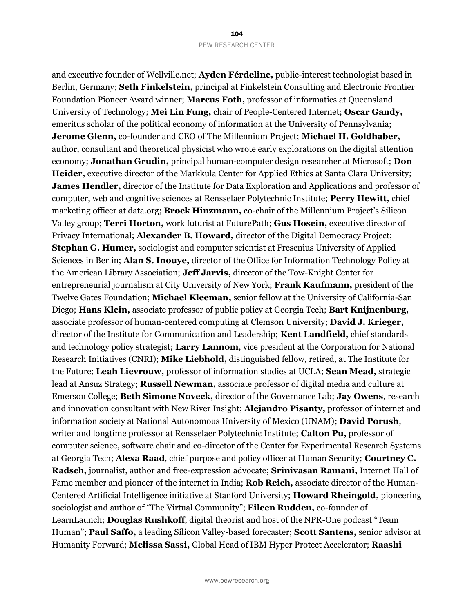and executive founder of Wellville.net; **Ayden Férdeline,** public-interest technologist based in Berlin, Germany; **Seth Finkelstein,** principal at Finkelstein Consulting and Electronic Frontier Foundation Pioneer Award winner; **Marcus Foth,** professor of informatics at Queensland University of Technology; **Mei Lin Fung,** chair of People-Centered Internet; **Oscar Gandy,** emeritus scholar of the political economy of information at the University of Pennsylvania; **Jerome Glenn,** co-founder and CEO of The Millennium Project; **Michael H. Goldhaber,** author, consultant and theoretical physicist who wrote early explorations on the digital attention economy; **Jonathan Grudin,** principal human-computer design researcher at Microsoft; **Don Heider,** executive director of the Markkula Center for Applied Ethics at Santa Clara University; **James Hendler,** director of the Institute for Data Exploration and Applications and professor of computer, web and cognitive sciences at Rensselaer Polytechnic Institute; **Perry Hewitt,** chief marketing officer at data.org; **Brock Hinzmann,** co-chair of the Millennium Project's Silicon Valley group; **Terri Horton,** work futurist at FuturePath; **Gus Hosein,** executive director of Privacy International; **Alexander B. Howard,** director of the Digital Democracy Project; **Stephan G. Humer,** sociologist and computer scientist at Fresenius University of Applied Sciences in Berlin; **Alan S. Inouye,** director of the Office for Information Technology Policy at the American Library Association; **Jeff Jarvis,** director of the Tow-Knight Center for entrepreneurial journalism at City University of New York; **Frank Kaufmann,** president of the Twelve Gates Foundation; **Michael Kleeman,** senior fellow at the University of California-San Diego; **Hans Klein,** associate professor of public policy at Georgia Tech; **Bart Knijnenburg,** associate professor of human-centered computing at Clemson University; **David J. Krieger,** director of the Institute for Communication and Leadership; **Kent Landfield,** chief standards and technology policy strategist; **Larry Lannom**, vice president at the Corporation for National Research Initiatives (CNRI); **Mike Liebhold,** distinguished fellow, retired, at The Institute for the Future; **Leah Lievrouw,** professor of information studies at UCLA; **Sean Mead,** strategic lead at Ansuz Strategy; **Russell Newman,** associate professor of digital media and culture at Emerson College; **Beth Simone Noveck,** director of the Governance Lab; **Jay Owens**, research and innovation consultant with New River Insight; **Alejandro Pisanty,** professor of internet and information society at National Autonomous University of Mexico (UNAM); **David Porush**, writer and longtime professor at Rensselaer Polytechnic Institute; **Calton Pu,** professor of computer science, software chair and co-director of the Center for Experimental Research Systems at Georgia Tech; **Alexa Raad**, chief purpose and policy officer at Human Security; **Courtney C. Radsch,** journalist, author and free-expression advocate; **Srinivasan Ramani,** Internet Hall of Fame member and pioneer of the internet in India; **Rob Reich,** associate director of the Human-Centered Artificial Intelligence initiative at Stanford University; **Howard Rheingold,** pioneering sociologist and author of "The Virtual Community"; **Eileen Rudden,** co-founder of LearnLaunch; **Douglas Rushkoff**, digital theorist and host of the NPR-One podcast "Team Human"; **Paul Saffo,** a leading Silicon Valley-based forecaster; **Scott Santens,** senior advisor at Humanity Forward; **Melissa Sassi,** Global Head of IBM Hyper Protect Accelerator; **Raashi**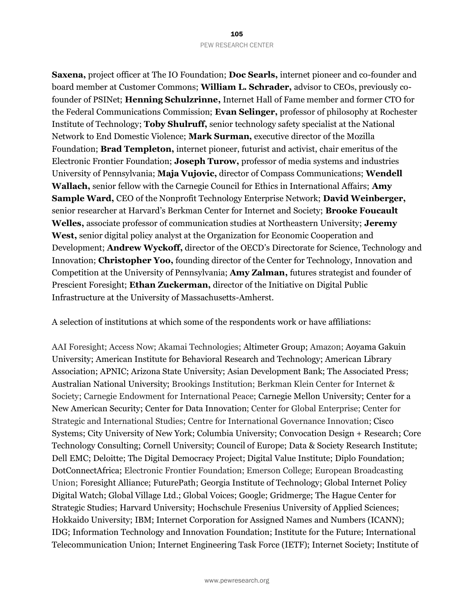**Saxena,** project officer at The IO Foundation; **Doc Searls,** internet pioneer and co-founder and board member at Customer Commons; **William L. Schrader,** advisor to CEOs, previously cofounder of PSINet; **Henning Schulzrinne,** Internet Hall of Fame member and former CTO for the Federal Communications Commission; **Evan Selinger,** professor of philosophy at Rochester Institute of Technology; **Toby Shulruff,** senior technology safety specialist at the National Network to End Domestic Violence; **Mark Surman,** executive director of the Mozilla Foundation; **Brad Templeton,** internet pioneer, futurist and activist, chair emeritus of the Electronic Frontier Foundation; **Joseph Turow,** professor of media systems and industries University of Pennsylvania; **Maja Vujovic,** director of Compass Communications; **Wendell Wallach,** senior fellow with the Carnegie Council for Ethics in International Affairs; **Amy Sample Ward,** CEO of the Nonprofit Technology Enterprise Network; **David Weinberger,** senior researcher at Harvard's Berkman Center for Internet and Society; **Brooke Foucault Welles,** associate professor of communication studies at Northeastern University; **Jeremy West,** senior digital policy analyst at the Organization for Economic Cooperation and Development; **Andrew Wyckoff,** director of the OECD's Directorate for Science, Technology and Innovation; **Christopher Yoo,** founding director of the Center for Technology, Innovation and Competition at the University of Pennsylvania; **Amy Zalman,** futures strategist and founder of Prescient Foresight; **Ethan Zuckerman,** director of the Initiative on Digital Public Infrastructure at the University of Massachusetts-Amherst.

A selection of institutions at which some of the respondents work or have affiliations:

AAI Foresight; Access Now; Akamai Technologies; Altimeter Group; Amazon; Aoyama Gakuin University; American Institute for Behavioral Research and Technology; American Library Association; APNIC; Arizona State University; Asian Development Bank; The Associated Press; Australian National University; Brookings Institution; Berkman Klein Center for Internet & Society; Carnegie Endowment for International Peace; Carnegie Mellon University; Center for a New American Security; Center for Data Innovation; Center for Global Enterprise; Center for Strategic and International Studies; Centre for International Governance Innovation; Cisco Systems; City University of New York; Columbia University; Convocation Design + Research; Core Technology Consulting; Cornell University; Council of Europe; Data & Society Research Institute; Dell EMC; Deloitte; The Digital Democracy Project; Digital Value Institute; Diplo Foundation; DotConnectAfrica; Electronic Frontier Foundation; Emerson College; European Broadcasting Union; Foresight Alliance; FuturePath; Georgia Institute of Technology; Global Internet Policy Digital Watch; Global Village Ltd.; Global Voices; Google; Gridmerge; The Hague Center for Strategic Studies; Harvard University; Hochschule Fresenius University of Applied Sciences; Hokkaido University; IBM; Internet Corporation for Assigned Names and Numbers (ICANN); IDG; Information Technology and Innovation Foundation; Institute for the Future; International Telecommunication Union; Internet Engineering Task Force (IETF); Internet Society; Institute of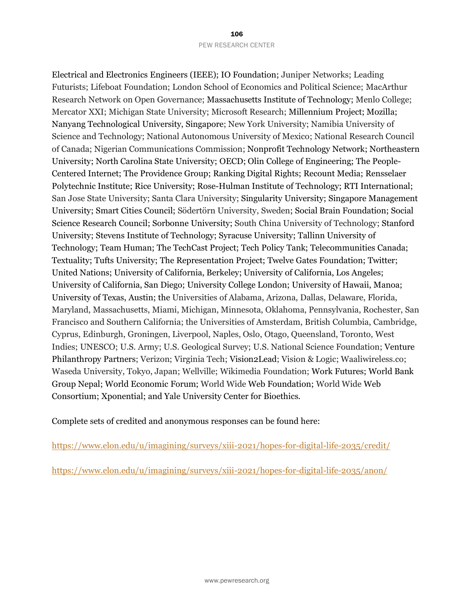Electrical and Electronics Engineers (IEEE); IO Foundation; Juniper Networks; Leading Futurists; Lifeboat Foundation; London School of Economics and Political Science; MacArthur Research Network on Open Governance; Massachusetts Institute of Technology; Menlo College; Mercator XXI; Michigan State University; Microsoft Research; Millennium Project; Mozilla; Nanyang Technological University, Singapore; New York University; Namibia University of Science and Technology; National Autonomous University of Mexico; National Research Council of Canada; Nigerian Communications Commission; Nonprofit Technology Network; Northeastern University; North Carolina State University; OECD; Olin College of Engineering; The People-Centered Internet; The Providence Group; Ranking Digital Rights; Recount Media; Rensselaer Polytechnic Institute; Rice University; Rose-Hulman Institute of Technology; RTI International; San Jose State University; Santa Clara University; Singularity University; Singapore Management University; Smart Cities Council; Södertörn University, Sweden; Social Brain Foundation; Social Science Research Council; Sorbonne University; South China University of Technology; Stanford University; Stevens Institute of Technology; Syracuse University; Tallinn University of Technology; Team Human; The TechCast Project; Tech Policy Tank; Telecommunities Canada; Textuality; Tufts University; The Representation Project; Twelve Gates Foundation; Twitter; United Nations; University of California, Berkeley; University of California, Los Angeles; University of California, San Diego; University College London; University of Hawaii, Manoa; University of Texas, Austin; the Universities of Alabama, Arizona, Dallas, Delaware, Florida, Maryland, Massachusetts, Miami, Michigan, Minnesota, Oklahoma, Pennsylvania, Rochester, San Francisco and Southern California; the Universities of Amsterdam, British Columbia, Cambridge, Cyprus, Edinburgh, Groningen, Liverpool, Naples, Oslo, Otago, Queensland, Toronto, West Indies; UNESCO; U.S. Army; U.S. Geological Survey; U.S. National Science Foundation; Venture Philanthropy Partners; Verizon; Virginia Tech; Vision2Lead; Vision & Logic; Waaliwireless.co; Waseda University, Tokyo, Japan; Wellville; Wikimedia Foundation; Work Futures; World Bank Group Nepal; World Economic Forum; World Wide Web Foundation; World Wide Web Consortium; Xponential; and Yale University Center for Bioethics.

Complete sets of credited and anonymous responses can be found here:

<https://www.elon.edu/u/imagining/surveys/xiii-2021/hopes-for-digital-life-2035/credit/>

<https://www.elon.edu/u/imagining/surveys/xiii-2021/hopes-for-digital-life-2035/anon/>